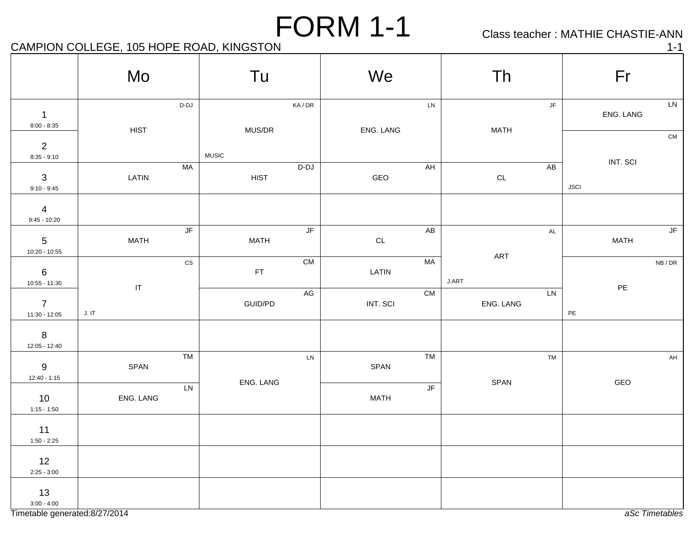Class teacher : MATHIE CHASTIE-ANN

## CAMPION COLLEGE, 105 HOPE ROAD, KINGSTON 1-1 1-1

|                                  | Mo                         | Tu                                            | We                  | Th                     | Fr                                               |
|----------------------------------|----------------------------|-----------------------------------------------|---------------------|------------------------|--------------------------------------------------|
| $\mathbf{1}$<br>$8:00 - 8:35$    |                            | D-DJ<br>KA/DR                                 | ${\sf LN}$          | $\mathsf{J}\mathsf{F}$ | ${\sf LN}$<br>ENG. LANG                          |
| $\overline{2}$<br>$8:35 - 9:10$  | <b>HIST</b>                | MUS/DR<br><b>MUSIC</b>                        | ENG. LANG           | <b>MATH</b>            | ${\sf CM}$                                       |
| $\mathbf{3}$<br>$9:10 - 9:45$    | LATIN                      | MA<br>$D-DJ$<br><b>HIST</b>                   | AH<br>GEO           | AB<br>$\mathsf{CL}$    | INT. SCI<br><b>JSCI</b>                          |
| $\overline{4}$<br>$9:45 - 10:20$ |                            |                                               |                     |                        |                                                  |
| $\overline{5}$<br>10:20 - 10:55  | <b>MATH</b>                | $\overline{\mathsf{JF}}$<br>JF<br><b>MATH</b> | AB<br>$\mathsf{CL}$ | $\mathsf{AL}$<br>ART   | $\overline{\mathsf{J}\mathsf{F}}$<br><b>MATH</b> |
| $\,6\,$<br>$10:55 - 11:30$       | $\ensuremath{\mathsf{IT}}$ | CM<br>$\mathtt{CS}$<br>$\mathsf{FT}$          | <b>MA</b><br>LATIN  | J.ART                  | NB/DR<br>$\mathsf{PE}$                           |
| $\overline{7}$<br>11:30 - 12:05  | J. I T                     | $\mathsf{AG}$<br>GUID/PD                      | CM<br>INT. SCI      | LN<br>ENG. LANG        | $\mathsf{PE}$                                    |
| 8<br>12:05 - 12:40               |                            |                                               |                     |                        |                                                  |
| $9\,$<br>$12:40 - 1:15$          | SPAN                       | TM<br>${\sf LN}$<br>ENG. LANG                 | TM<br>SPAN          | TM<br>SPAN             | $\mathsf{AH}$<br>GEO                             |
| 10<br>$1:15 - 1:50$              | ENG. LANG                  | LN                                            | JF<br><b>MATH</b>   |                        |                                                  |
| 11<br>$1:50 - 2:25$              |                            |                                               |                     |                        |                                                  |
| 12<br>$2:25 - 3:00$              |                            |                                               |                     |                        |                                                  |
| 13<br>$3:00 - 4:00$              |                            |                                               |                     |                        |                                                  |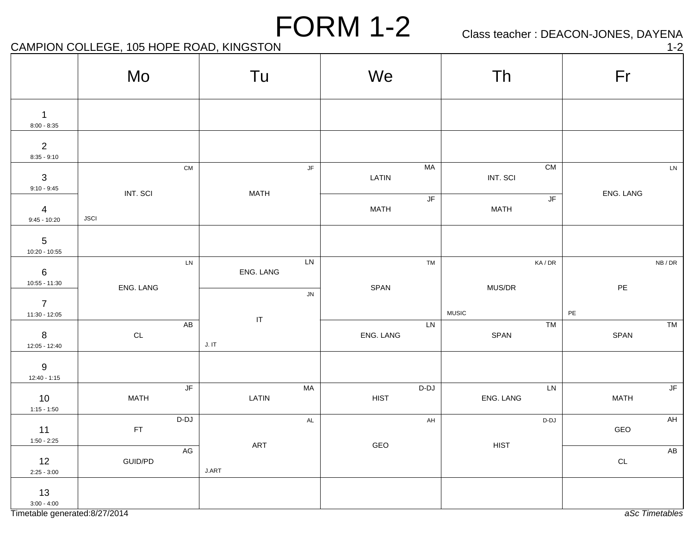## Class teacher : DEACON-JONES, DAYENA

CAMPION COLLEGE, 105 HOPE ROAD, KINGSTON 1-2

|                                   | Mo                      | Tu                                                |                        | We                    | Th                                      | Fr                    |
|-----------------------------------|-------------------------|---------------------------------------------------|------------------------|-----------------------|-----------------------------------------|-----------------------|
| $\overline{1}$<br>$8:00 - 8:35$   |                         |                                                   |                        |                       |                                         |                       |
| $\overline{2}$<br>$8:35 - 9:10$   |                         |                                                   |                        |                       |                                         |                       |
| $\mathbf{3}$<br>$9:10 - 9:45$     |                         | ${\sf CM}$                                        | $\mathsf{J}\mathsf{F}$ | MA<br>LATIN           | ${\sf CM}$<br>INT. SCI                  | LN                    |
| $\overline{4}$<br>$9:45 - 10:20$  | INT. SCI<br><b>JSCI</b> | <b>MATH</b>                                       |                        | JF<br><b>MATH</b>     | $\overline{\mathsf{JF}}$<br><b>MATH</b> | ENG. LANG             |
| $5\phantom{.0}$<br>10:20 - 10:55  |                         |                                                   |                        |                       |                                         |                       |
| $\,6\,$<br>$10:55 - 11:30$        |                         | ${\sf LN}$<br>ENG. LANG                           | ${\sf LN}$             | TM                    | KA/DR                                   | NB/DR                 |
| $\overline{7}$<br>$11:30 - 12:05$ | ENG. LANG               |                                                   | ${\sf JN}$             | SPAN                  | MUS/DR<br><b>MUSIC</b>                  | $\mathsf{PE}$<br>$PE$ |
| $8\phantom{1}$<br>12:05 - 12:40   | $\mathsf{CL}$           | $\ensuremath{\mathsf{IT}}\xspace$<br>AB<br>J. I T |                        | LN<br>ENG. LANG       | <b>TM</b><br>SPAN                       | TM<br>SPAN            |
| 9<br>$12:40 - 1:15$               |                         |                                                   |                        |                       |                                         |                       |
| 10<br>$1:15 - 1:50$               | <b>MATH</b>             | $\sqrt{\mathsf{F}}$<br>LATIN                      | MA                     | $D-DJ$<br><b>HIST</b> | LN<br>ENG. LANG                         | JF<br><b>MATH</b>     |
| 11<br>$1:50 - 2:25$               | FT                      | $D-DJ$                                            | AL                     | AH                    | D-DJ                                    | AH<br>GEO             |
| 12<br>$2:25 - 3:00$               | GUID/PD                 | ART<br>AG<br>J.ART                                |                        | GEO                   | <b>HIST</b>                             | AB<br>$\mathsf{CL}$   |
| 13<br>$3:00 - 4:00$               |                         |                                                   |                        |                       |                                         |                       |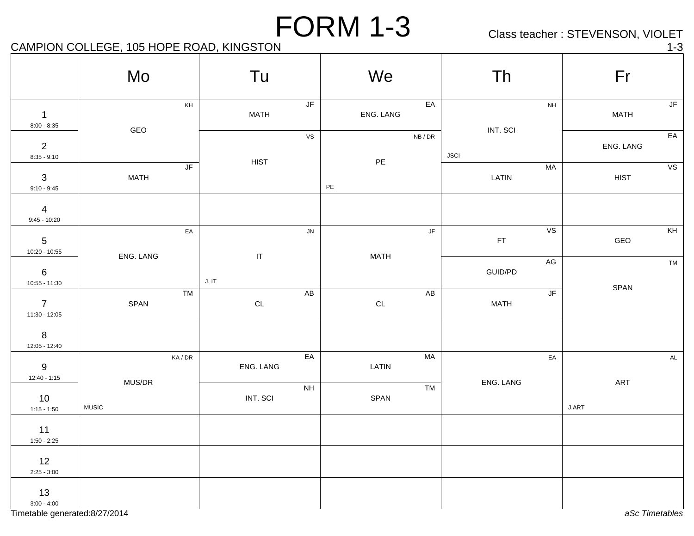Class teacher : STEVENSON, VIOLET

## CAMPION COLLEGE, 105 HOPE ROAD, KINGSTON 1-3

|                                    | Mo                                              | Tu                                              | We                                       | Th                                               | Fr                                    |
|------------------------------------|-------------------------------------------------|-------------------------------------------------|------------------------------------------|--------------------------------------------------|---------------------------------------|
| $\overline{1}$<br>$8:00 - 8:35$    | $\mathsf{KH}% \left( \mathcal{M}\right)$<br>GEO | $\mathsf{J}\mathsf{F}$<br><b>MATH</b>           | EA<br>ENG. LANG                          | $\mathsf{NH}\,$<br>INT. SCI                      | JF<br><b>MATH</b>                     |
| $\overline{2}$<br>$8:35 - 9:10$    |                                                 | ${\mathsf V}{\mathsf S}$<br>HIST                | ${\sf NB}$ / ${\sf DR}$<br>$\mathsf{PE}$ | <b>JSCI</b>                                      | $\overline{\mathsf{EA}}$<br>ENG. LANG |
| $\mathbf{3}$<br>$9:10 - 9:45$      | $\overline{\mathsf{JF}}$<br><b>MATH</b>         |                                                 | $PE$                                     | MA<br>LATIN                                      | VS<br><b>HIST</b>                     |
| $\overline{4}$<br>$9:45 - 10:20$   |                                                 |                                                 |                                          |                                                  |                                       |
| $5\phantom{.0}$<br>$10:20 - 10:55$ | EA<br>ENG. LANG                                 | ${\sf JN}$<br>$\ensuremath{\mathsf{IT}}\xspace$ | $\mathsf{J}\mathsf{F}$<br><b>MATH</b>    | VS<br>$\mathsf{FT}$                              | KH<br>GEO                             |
| $\,6\,$<br>$10:55 - 11:30$         |                                                 | J. I T                                          |                                          | $\mathsf{AG}$<br>GUID/PD                         | TM<br>SPAN                            |
| $\overline{7}$<br>$11:30 - 12:05$  | <b>TM</b><br>SPAN                               | AB<br>$\mathsf{CL}$                             | AB<br>$\mathsf{CL}$                      | $\overline{\mathsf{J}\mathsf{F}}$<br><b>MATH</b> |                                       |
| $\boldsymbol{8}$<br>12:05 - 12:40  |                                                 |                                                 |                                          |                                                  |                                       |
| $9\,$<br>$12:40 - 1:15$            | $\mathsf{KA}/\mathsf{DR}$<br>MUS/DR             | $E$ A<br>ENG. LANG                              | <b>MA</b><br>LATIN                       | $\mathsf{E}\mathsf{A}$<br>ENG. LANG              | $\mathsf{AL}$<br>ART                  |
| 10<br>$1:15 - 1:50$                | <b>MUSIC</b>                                    | $\mathsf{NH}\,$<br>INT. SCI                     | TM<br>SPAN                               |                                                  | J.ART                                 |
| 11<br>$1:50 - 2:25$                |                                                 |                                                 |                                          |                                                  |                                       |
| 12<br>$2:25 - 3:00$                |                                                 |                                                 |                                          |                                                  |                                       |
| 13<br>$3:00 - 4:00$                |                                                 |                                                 |                                          |                                                  |                                       |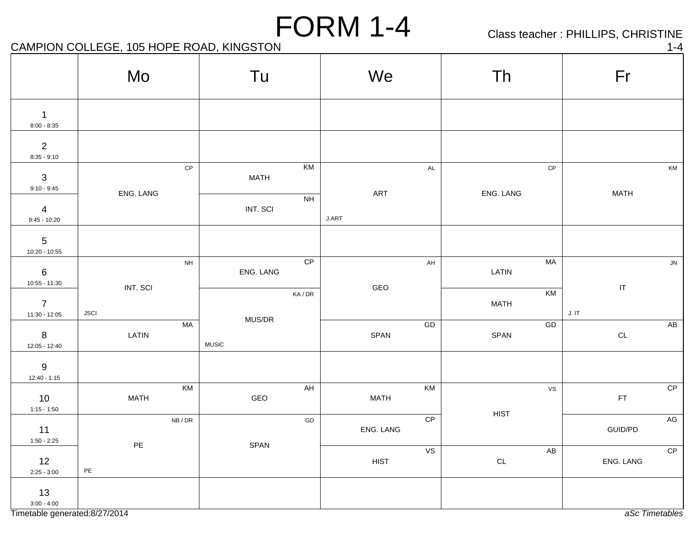Class teacher : PHILLIPS, CHRISTINE

CAMPION COLLEGE, 105 HOPE ROAD, KINGSTON 1-4

|                                    | Mo                             |                        | Tu                     |           | We          |                          | Th                         |       | Fr            |               |
|------------------------------------|--------------------------------|------------------------|------------------------|-----------|-------------|--------------------------|----------------------------|-------|---------------|---------------|
| $\mathbf{1}$<br>$8:00 - 8:35$      |                                |                        |                        |           |             |                          |                            |       |               |               |
| $\overline{2}$<br>$8:35 - 9:10$    |                                |                        |                        |           |             |                          |                            |       |               |               |
| $\mathbf{3}$<br>$9:10 - 9:45$      | ENG. LANG                      | $\mathsf{CP}$          | <b>MATH</b>            | KM        | ART         | $\mathsf{AL}$            | $\mathsf{CP}$<br>ENG. LANG |       | <b>MATH</b>   | KM            |
| $\overline{4}$<br>$9:45 - 10:20$   |                                |                        | INT. SCI               | <b>NH</b> | J.ART       |                          |                            |       |               |               |
| $5\phantom{.0}$<br>$10:20 - 10:55$ |                                |                        |                        |           |             |                          |                            |       |               |               |
| $6\phantom{.}6$<br>$10:55 - 11:30$ | INT. SCI                       | $\mathsf{NH}\,$        | ENG. LANG              | CP        | GEO         | $\mathsf{AH}$            | <b>MA</b><br>LATIN         |       | $\sf IT$      | ${\sf JN}$    |
| $\overline{7}$<br>11:30 - 12:05    | <b>JSCI</b>                    |                        |                        | KA/DR     |             |                          | KM<br><b>MATH</b>          | J. IT |               |               |
| $8\phantom{1}$<br>12:05 - 12:40    | LATIN                          | MA                     | MUS/DR<br><b>MUSIC</b> |           | SPAN        | GD                       | ${\sf GD}$<br>SPAN         |       | $\mathsf{CL}$ | AB            |
| 9<br>$12:40 - 1:15$                |                                |                        |                        |           |             |                          |                            |       |               |               |
| 10<br>$1:15 - 1:50$                | <b>MATH</b>                    | $\overline{\text{KM}}$ | GEO                    | AH        | <b>MATH</b> | KM                       | VS                         |       | $\mathsf{FT}$ | CP            |
| 11<br>$1:50 - 2:25$                |                                | NB/DR                  |                        | GD        | ENG. LANG   | CP                       | <b>HIST</b>                |       | GUID/PD       | $\mathsf{AG}$ |
| 12<br>$2:25 - 3:00$                | $\mathsf{PE}$<br>$\mathsf{PE}$ |                        | SPAN                   |           | <b>HIST</b> | $\overline{\mathsf{vs}}$ | AB<br>$\mathsf{CL}$        |       | ENG. LANG     | CP            |
| 13<br>$3:00 - 4:00$                |                                |                        |                        |           |             |                          |                            |       |               |               |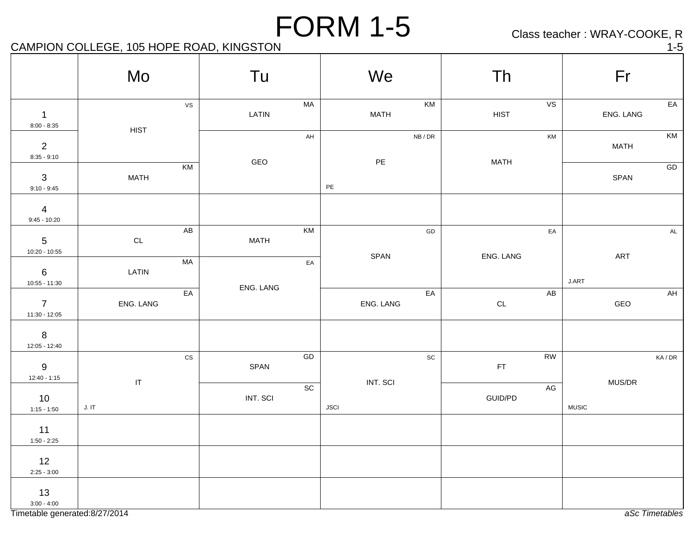Class teacher : WRAY-COOKE, R

#### CAMPION COLLEGE, 105 HOPE ROAD, KINGSTON 1-5

|                                    | Mo                         |               | Tu                 | We            |                              | Th                         | Fr                   |
|------------------------------------|----------------------------|---------------|--------------------|---------------|------------------------------|----------------------------|----------------------|
| $\overline{1}$<br>$8:00 - 8:35$    | <b>HIST</b>                | <b>VS</b>     | MA<br>LATIN        | <b>MATH</b>   | KM                           | VS<br><b>HIST</b>          | EA<br>ENG. LANG      |
| $\overline{2}$<br>$8:35 - 9:10$    |                            |               | AH<br>GEO          | $\mathsf{PE}$ | NB/DR                        | KM<br><b>MATH</b>          | KM<br><b>MATH</b>    |
| $\mathbf{3}$<br>$9:10 - 9:45$      | <b>MATH</b>                | KM            |                    | $\mathsf{PE}$ |                              |                            | ${\sf GD}$<br>SPAN   |
| $\overline{4}$<br>$9:45 - 10:20$   |                            |               |                    |               |                              |                            |                      |
| $5\phantom{.0}$<br>10:20 - 10:55   | $\mathsf{CL}$              | AB            | KM<br><b>MATH</b>  | SPAN          | ${\sf GD}$                   | EA<br>ENG. LANG            | $\mathsf{AL}$<br>ART |
| $6\phantom{.}6$<br>$10:55 - 11:30$ | LATIN                      | <b>MA</b>     | EA<br>ENG. LANG    |               |                              |                            | J.ART                |
| $\overline{7}$<br>$11:30 - 12:05$  | ENG. LANG                  | EA            |                    | ENG. LANG     | $E$                          | AB<br>$\mathsf{CL}$        | AH<br>GEO            |
| $8\phantom{1}$<br>12:05 - 12:40    |                            |               |                    |               |                              |                            |                      |
| 9<br>$12:40 - 1:15$                | $\ensuremath{\mathsf{IT}}$ | $\mathtt{CS}$ | ${\sf GD}$<br>SPAN | INT. SCI      | $\operatorname{\textsf{SC}}$ | <b>RW</b><br>$\mathsf{FT}$ | KA / DR<br>MUS/DR    |
| 10<br>$1:15 - 1:50$                | J. IT                      |               | SC<br>INT. SCI     | <b>JSCI</b>   |                              | $\mathsf{AG}$<br>GUID/PD   | <b>MUSIC</b>         |
| 11<br>$1:50 - 2:25$                |                            |               |                    |               |                              |                            |                      |
| 12<br>$2:25 - 3:00$                |                            |               |                    |               |                              |                            |                      |
| 13<br>$3:00 - 4:00$                |                            |               |                    |               |                              |                            |                      |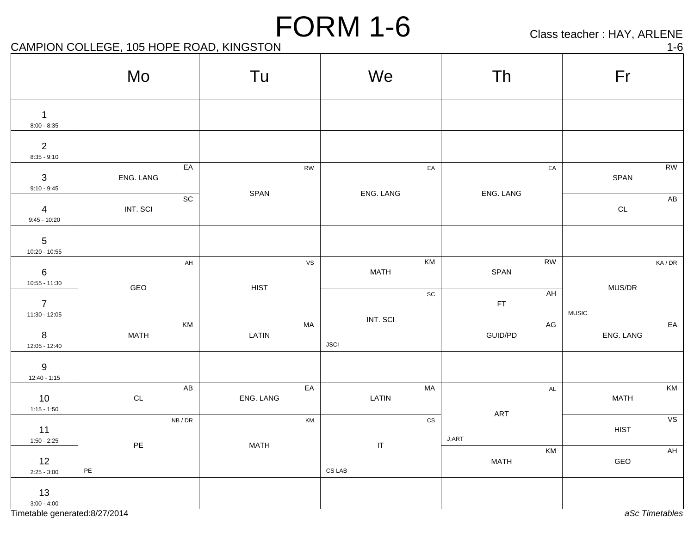Class teacher : HAY, ARLENE

CAMPION COLLEGE, 105 HOPE ROAD, KINGSTON 1-6

|                                  | Mo                  |                         | Tu          |               | We                                |                              | Th           |               | Fr                     |                |
|----------------------------------|---------------------|-------------------------|-------------|---------------|-----------------------------------|------------------------------|--------------|---------------|------------------------|----------------|
| $\mathbf 1$<br>$8:00 - 8:35$     |                     |                         |             |               |                                   |                              |              |               |                        |                |
| $\overline{2}$<br>$8:35 - 9:10$  |                     |                         |             |               |                                   |                              |              |               |                        |                |
| $3$<br>9:10 - 9:45               | ENG. LANG           | EA                      |             | RW            |                                   | EA                           |              | EA            | SPAN                   | <b>RW</b>      |
| $\overline{4}$<br>$9:45 - 10:20$ | INT. SCI            | SC                      | SPAN        |               | ENG. LANG                         |                              | ENG. LANG    |               | $\mathsf{CL}$          | ${\sf AB}$     |
| $5$<br>10:20 - 10:55             |                     |                         |             |               |                                   |                              |              |               |                        |                |
| $6$<br>10:55 - 11:30             |                     | $\mathsf{AH}$           |             | VS            | MATH                              | KM                           | SPAN         | RW            |                        | KA/DR          |
| $\overline{7}$<br>11:30 - 12:05  | GEO                 |                         | <b>HIST</b> |               |                                   | $\operatorname{\textsf{SC}}$ | FT           | $\mathsf{AH}$ | MUS/DR<br><b>MUSIC</b> |                |
| $\,8\,$<br>12:05 - 12:40         | <b>MATH</b>         | KM                      | LATIN       | MA            | INT. SCI<br><b>JSCI</b>           |                              | GUID/PD      | $\mathsf{AG}$ | ENG. LANG              | EA             |
| $9$<br>12:40 - 1:15              |                     |                         |             |               |                                   |                              |              |               |                        |                |
| 10<br>$1:15 - 1:50$              | $\mathsf{CL}$       | $\mathsf{A}\mathsf{B}$  | ENG. LANG   | EA            | LATIN                             | MA                           |              | $\mathsf{AL}$ | <b>MATH</b>            | KM             |
| 11<br>$1:50 - 2:25$              |                     | ${\sf NB}$ / ${\sf DR}$ |             | $\mathsf{KM}$ |                                   | $\mathtt{CS}$                | ART<br>J.ART |               | <b>HIST</b>            | VS             |
| 12<br>$2:25 - 3:00$              | PE<br>$\mathsf{PE}$ |                         | <b>MATH</b> |               | IT<br>$\mathsf{CS}\,\mathsf{LAB}$ |                              | <b>MATH</b>  | KM            | GEO                    | AH             |
| 13<br>$3:00 - 4:00$              |                     |                         |             |               |                                   |                              |              |               |                        |                |
| Timetable generated:8/27/2014    |                     |                         |             |               |                                   |                              |              |               |                        | aSc Timetables |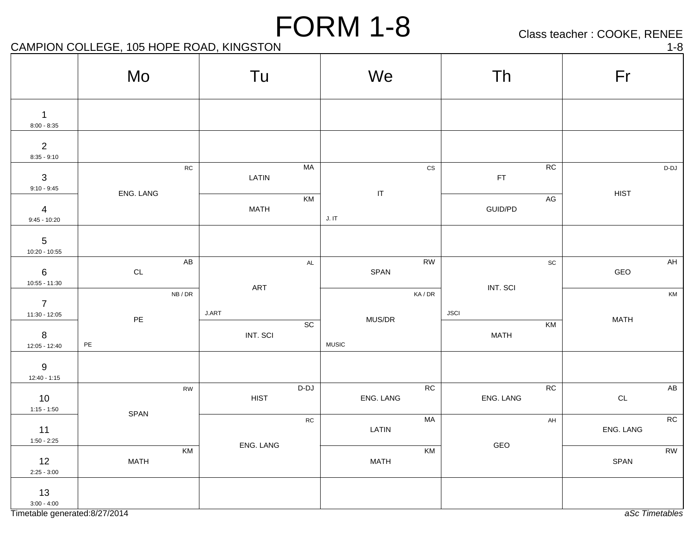Class teacher : COOKE, RENEE

CAMPION COLLEGE, 105 HOPE ROAD, KINGSTON 1-8

|                                                      | Tu<br>Mo            |                                                                          |               | We                                |                      | Th                           | Fr                            |
|------------------------------------------------------|---------------------|--------------------------------------------------------------------------|---------------|-----------------------------------|----------------------|------------------------------|-------------------------------|
| $\mathbf 1$<br>$8:00 - 8:35$                         |                     |                                                                          |               |                                   |                      |                              |                               |
| $\overline{2}$<br>$8:35 - 9:10$                      |                     |                                                                          |               |                                   |                      |                              |                               |
| $\mathbf{3}$<br>$9:10 - 9:45$                        | ENG. LANG           | ${\sf RC}$<br>LATIN                                                      | MA            | $\ensuremath{\mathsf{IT}}\xspace$ | $\mathsf{CS}\xspace$ | ${\sf RC}$<br>FT             | $D-DJ$<br><b>HIST</b>         |
| $\overline{4}$<br>$9:45 - 10:20$                     |                     | <b>MATH</b>                                                              | KM            | J. I T                            |                      | $\mathsf{AG}$<br>GUID/PD     |                               |
| $\overline{5}$<br>10:20 - 10:55                      |                     |                                                                          |               |                                   |                      |                              |                               |
| $6\phantom{.}6$<br>$10:55 - 11:30$                   | $\mathsf{CL}$       | ${\sf AB}$                                                               | $\mathsf{AL}$ | SPAN                              | ${\sf RW}$           | $\operatorname{\textsf{sc}}$ | $\mathsf{A}\mathsf{H}$<br>GEO |
| $\overline{7}$<br>$11:30 - 12:05$                    | NB/DR               | ART<br>$\ensuremath{\mathsf{J}}\xspace.\ensuremath{\mathsf{ART}}\xspace$ |               |                                   | KA/DR                | INT. SCI<br><b>JSCI</b>      | KM                            |
| $8\phantom{1}$<br>12:05 - 12:40                      | PE<br>$\mathsf{PE}$ | INT. SCI                                                                 | SC            | MUS/DR<br><b>MUSIC</b>            |                      | KM<br>MATH                   | <b>MATH</b>                   |
| $9\,$<br>$12:40 - 1:15$                              |                     |                                                                          |               |                                   |                      |                              |                               |
| 10<br>$1:15 - 1:50$                                  |                     | <b>RW</b><br><b>HIST</b>                                                 | $D-DJ$        | ENG. LANG                         | RC                   | ${\sf RC}$<br>ENG. LANG      | AB<br>$\mathsf{CL}$           |
| 11<br>$1:50 - 2:25$                                  | SPAN                |                                                                          | ${\sf RC}$    | LATIN                             | MA                   | $\mathsf{AH}$                | RC<br>ENG. LANG               |
| 12<br>$2:25 - 3:00$                                  | KM<br><b>MATH</b>   | ENG. LANG                                                                |               | <b>MATH</b>                       | KM                   | GEO                          | <b>RW</b><br>SPAN             |
| 13<br>$3:00 - 4:00$<br>Timetable generated:8/27/2014 |                     |                                                                          |               |                                   |                      |                              | aSc Timetables                |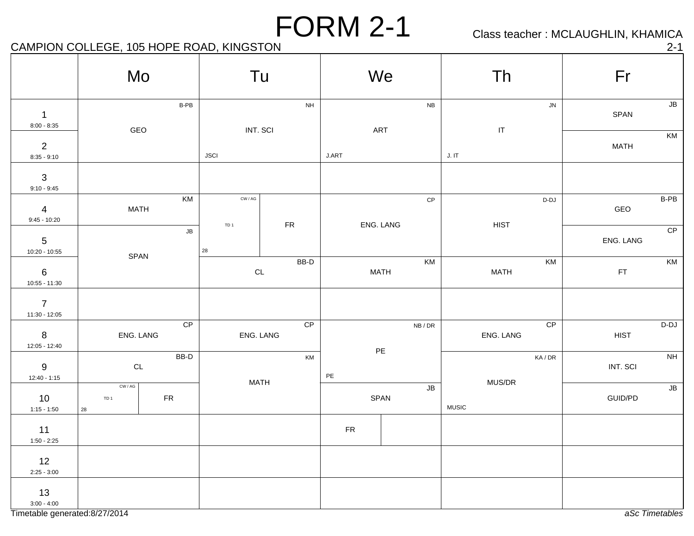Class teacher : MCLAUGHLIN, KHAMICA

## CAMPION COLLEGE, 105 HOPE ROAD, KINGSTON 2-1

|                                  | Mo                                                                       | Tu                                                   |                 |            | We                                        | Th                         |                           | Fr            |               |
|----------------------------------|--------------------------------------------------------------------------|------------------------------------------------------|-----------------|------------|-------------------------------------------|----------------------------|---------------------------|---------------|---------------|
| $\mathbf{1}$<br>$8:00 - 8:35$    | B-PB<br>GEO                                                              | INT. SCI                                             | $\mathsf{NH}\,$ |            | <b>NB</b><br>ART                          | $\ensuremath{\mathsf{IT}}$ | ${\sf JN}$                | SPAN          | ${\sf JB}$    |
| $\overline{2}$<br>$8:35 - 9:10$  |                                                                          | <b>JSCI</b>                                          |                 | J.ART      |                                           | J. IT                      |                           | <b>MATH</b>   | KM            |
| $\mathbf{3}$<br>$9:10 - 9:45$    |                                                                          |                                                      |                 |            |                                           |                            |                           |               |               |
| $\overline{4}$<br>$9:45 - 10:20$ | KM<br><b>MATH</b>                                                        | $\textsf{CW} \, / \, \textsf{AG}$<br>TD <sub>1</sub> | ${\sf FR}$      |            | $\mathsf{CP}$<br>ENG. LANG                | <b>HIST</b>                | $D-DJ$                    | GEO           | B-PB          |
| $5\phantom{.0}$<br>10:20 - 10:55 | JB                                                                       | 28                                                   |                 |            |                                           |                            |                           | ENG. LANG     | CP            |
| $\,6\,$<br>$10:55 - 11:30$       | SPAN                                                                     | CL                                                   | BB-D            |            | KM<br><b>MATH</b>                         | <b>MATH</b>                | KM                        | $\mathsf{FT}$ | KM            |
| $\overline{7}$<br>11:30 - 12:05  |                                                                          |                                                      |                 |            |                                           |                            |                           |               |               |
| 8<br>12:05 - 12:40               | CP<br>ENG. LANG                                                          | ENG. LANG                                            | CP              |            | NB / DR                                   | ENG. LANG                  | CP                        | <b>HIST</b>   | $D-DJ$        |
| 9<br>$12:40 - 1:15$              | BB-D<br>$\mathsf{CL}$                                                    |                                                      | KM              | $PE$       | $\mathsf{PE}$                             |                            | $\mathsf{KA}/\mathsf{DR}$ | INT. SCI      | NH            |
| 10<br>$1:15 - 1:50$              | $\textsf{CW} \, / \, \textsf{AG}$<br>${\sf FR}$<br>TD <sub>1</sub><br>28 | <b>MATH</b>                                          |                 |            | $\overline{\mathsf{J}\mathsf{B}}$<br>SPAN | MUS/DR<br><b>MUSIC</b>     |                           | GUID/PD       | $\mathsf{JB}$ |
| 11<br>$1:50 - 2:25$              |                                                                          |                                                      |                 | ${\sf FR}$ |                                           |                            |                           |               |               |
| 12<br>$2:25 - 3:00$              |                                                                          |                                                      |                 |            |                                           |                            |                           |               |               |
| 13<br>$3:00 - 4:00$              |                                                                          |                                                      |                 |            |                                           |                            |                           |               |               |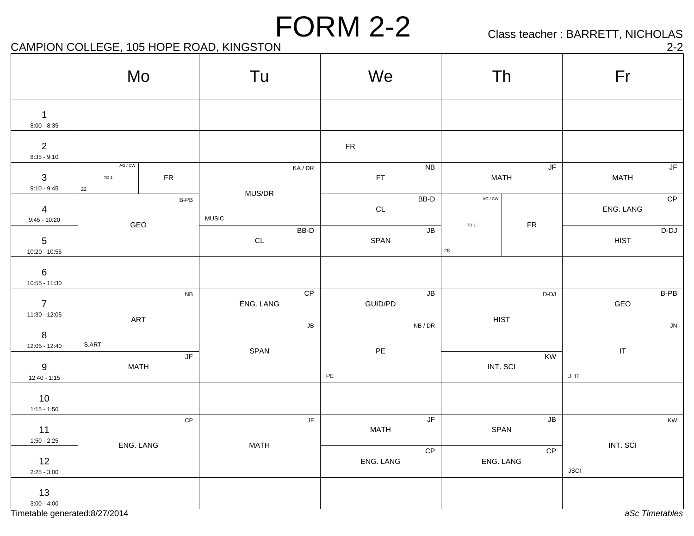Class teacher : BARRETT, NICHOLAS

#### CAMPION COLLEGE, 105 HOPE ROAD, KINGSTON 2-2

| . . |   | ٠ |
|-----|---|---|
|     | Ξ |   |
|     |   |   |

|                                  | Mo                               |               | Tu                     |                           |            | We            |                          |                       | Th                                                       | Fr                      |                                   |
|----------------------------------|----------------------------------|---------------|------------------------|---------------------------|------------|---------------|--------------------------|-----------------------|----------------------------------------------------------|-------------------------|-----------------------------------|
| $\mathbf{1}$<br>$8:00 - 8:35$    |                                  |               |                        |                           |            |               |                          |                       |                                                          |                         |                                   |
| $\overline{2}$<br>$8:35 - 9:10$  |                                  |               |                        |                           | ${\sf FR}$ |               |                          |                       |                                                          |                         |                                   |
| $\mathbf{3}$<br>$9:10 - 9:45$    | AG / CW<br>TD <sub>1</sub><br>22 | ${\sf FR}$    |                        | $\mathsf{KA}/\mathsf{DR}$ |            | FT            | <b>NB</b>                |                       | JF<br><b>MATH</b>                                        | <b>MATH</b>             | $\overline{\mathsf{J}\mathsf{F}}$ |
| $\overline{4}$<br>$9:45 - 10:20$ |                                  | $B-PB$        | MUS/DR<br><b>MUSIC</b> |                           |            | $\mathsf{CL}$ | BB-D                     | $AG / CW$             |                                                          | ENG. LANG               | CP                                |
| $5\phantom{.0}$<br>10:20 - 10:55 | GEO                              |               | $\mathsf{CL}$          | $BB-D$                    |            | SPAN          | $\overline{\mathsf{JB}}$ | TD <sub>1</sub><br>28 | ${\sf FR}$                                               | <b>HIST</b>             | $D-DJ$                            |
| $\,6\,$<br>$10:55 - 11:30$       |                                  |               |                        |                           |            |               |                          |                       |                                                          |                         |                                   |
| $\overline{7}$<br>11:30 - 12:05  |                                  | ${\sf NB}$    | ENG. LANG              | CP                        |            | GUID/PD       | $\overline{\mathsf{JB}}$ |                       | D-DJ                                                     | GEO                     | B-PB                              |
| $8\phantom{1}$<br>12:05 - 12:40  | ART<br>S.ART                     |               |                        | $\mathsf{JB}$             | NB/DR      |               | <b>HIST</b>              |                       |                                                          | ${\sf JN}$              |                                   |
| $9\,$<br>$12:40 - 1:15$          | <b>MATH</b>                      | JF            | SPAN                   |                           | PE         | $\mathsf{PE}$ |                          |                       | KW<br>INT. SCI                                           | $\sf IT$<br>J. I T      |                                   |
| 10<br>$1:15 - 1:50$              |                                  |               |                        |                           |            |               |                          |                       |                                                          |                         |                                   |
| 11<br>$1:50 - 2:25$              |                                  | $\mathsf{CP}$ |                        | JF                        |            | <b>MATH</b>   | $\overline{\mathsf{JF}}$ |                       | $\mathsf{JB}% (\theta)\equiv\mathsf{UB}(\theta)$<br>SPAN |                         | KW                                |
| 12<br>$2:25 - 3:00$              | ENG. LANG                        |               | <b>MATH</b>            |                           |            | ENG. LANG     | CP                       |                       | CP<br>ENG. LANG                                          | INT. SCI<br><b>JSCI</b> |                                   |
| 13<br>$3:00 - 4:00$              |                                  |               |                        |                           |            |               |                          |                       |                                                          |                         |                                   |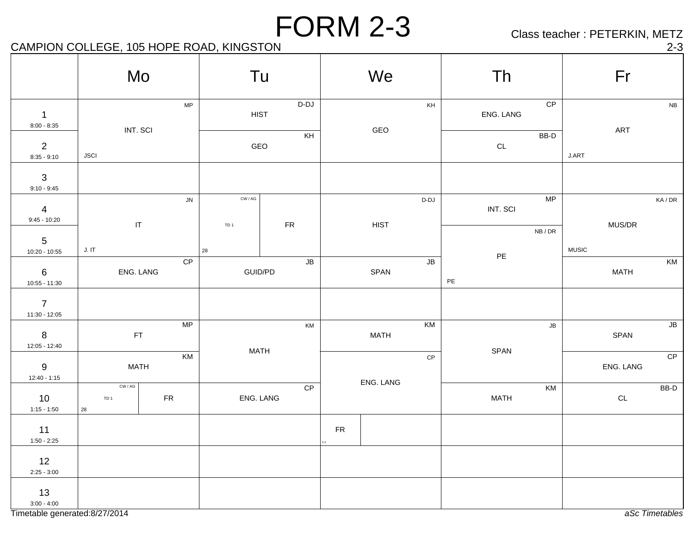Class teacher : PETERKIN, METZ

## CAMPION COLLEGE, 105 HOPE ROAD, KINGSTON 2-3

|                                    | Mo                                       |            |                                              | Tu                    |            | We                |               | Th               |       | Fr            |                     |
|------------------------------------|------------------------------------------|------------|----------------------------------------------|-----------------------|------------|-------------------|---------------|------------------|-------|---------------|---------------------|
| $\overline{1}$<br>$8:00 - 8:35$    | INT. SCI                                 | MP         |                                              | $D-DJ$<br><b>HIST</b> |            | GEO               | KH            | ENG. LANG        | CP    | ART           | NB                  |
| $\overline{2}$<br>$8:35 - 9:10$    | <b>JSCI</b>                              |            |                                              | KH<br>GEO             |            |                   |               | $\mathsf{CL}$    | BB-D  | J.ART         |                     |
| $\mathbf{3}$<br>$9:10 - 9:45$      |                                          |            |                                              |                       |            |                   |               |                  |       |               |                     |
| $\overline{4}$<br>$9:45 - 10:20$   | $\mathsf{I}\mathsf{T}$                   | ${\sf JN}$ | $\mathsf{CW}/\mathsf{AG}$<br>TD <sub>1</sub> | ${\sf FR}$            |            | HIST              | $D-DJ$        | INT. SCI         | MP    | MUS/DR        | KA/DR               |
| $5\phantom{.0}$<br>$10:20 - 10:55$ | J. I T                                   |            | 28                                           |                       |            |                   |               | $\mathsf{PE}$    | NB/DR | <b>MUSIC</b>  |                     |
| $6\phantom{.}6$<br>$10:55 - 11:30$ | ENG. LANG                                | CP         |                                              | ${\sf JB}$<br>GUID/PD |            | SPAN              | ${\sf JB}$    | $\mathsf{PE}$    |       | <b>MATH</b>   | KM                  |
| $\overline{7}$<br>11:30 - 12:05    |                                          |            |                                              |                       |            |                   |               |                  |       |               |                     |
| $8\phantom{1}$<br>12:05 - 12:40    | $\mathsf{FT}$                            | MP         |                                              | KM<br><b>MATH</b>     |            | KM<br><b>MATH</b> |               | ${\sf J}{\sf B}$ |       | SPAN          | $\sqrt{\mathsf{B}}$ |
| $9\,$<br>$12:40 - 1:15$            | <b>MATH</b>                              | KM         |                                              |                       |            |                   | $\mathsf{CP}$ | SPAN             |       | ENG. LANG     | CP                  |
| 10<br>$1:15 - 1:50$                | CW / AG<br>TD <sub>1</sub><br>${\bf 28}$ | ${\sf FR}$ |                                              | CP<br>ENG. LANG       |            | ENG. LANG         |               | <b>MATH</b>      | KM    | $\mathsf{CL}$ | BB-D                |
| 11<br>$1:50 - 2:25$                |                                          |            |                                              |                       | ${\sf FR}$ |                   |               |                  |       |               |                     |
| 12<br>$2:25 - 3:00$                |                                          |            |                                              |                       |            |                   |               |                  |       |               |                     |
| 13<br>$3:00 - 4:00$                |                                          |            |                                              |                       |            |                   |               |                  |       |               |                     |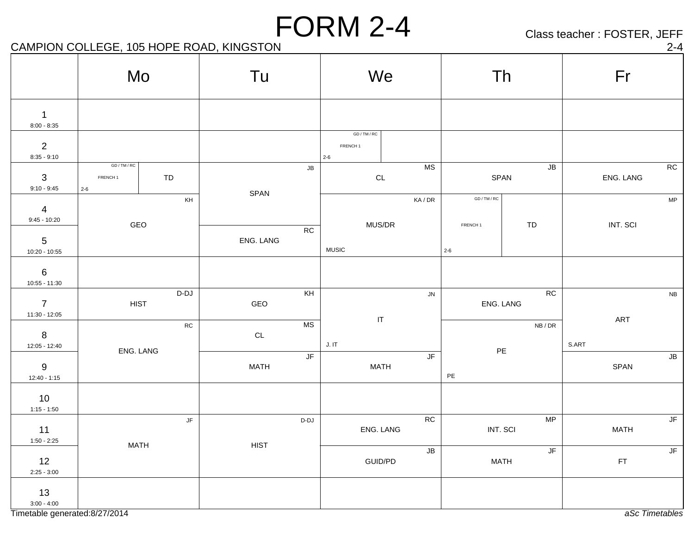Class teacher : FOSTER, JEFF

#### CAMPION COLLEGE, 105 HOPE ROAD, KINGSTON 2-4

| . . |  |
|-----|--|
|     |  |

|                                  | Mo                                  |                        | Tu            |            | We                                             |                                   |                                   |                              | Th                                 | Fr            |                          |
|----------------------------------|-------------------------------------|------------------------|---------------|------------|------------------------------------------------|-----------------------------------|-----------------------------------|------------------------------|------------------------------------|---------------|--------------------------|
| $\mathbf{1}$<br>$8:00 - 8:35$    |                                     |                        |               |            |                                                |                                   |                                   |                              |                                    |               |                          |
| $\overline{2}$<br>$8:35 - 9:10$  |                                     |                        |               |            | GD / TM / RC<br>FRENCH <sub>1</sub><br>$2 - 6$ |                                   |                                   |                              |                                    |               |                          |
| $\mathbf{3}$<br>$9:10 - 9:45$    | GD / TM / RC<br>FRENCH 1<br>$2 - 6$ | TD                     |               | ${\sf JB}$ |                                                | $\mathsf{CL}$                     | <b>MS</b>                         |                              | ${\sf JB}$<br>SPAN                 | ENG. LANG     | RC                       |
| $\overline{4}$<br>$9:45 - 10:20$ |                                     | KH                     | SPAN          |            |                                                |                                   | KA/DR                             | GD / TM / RC                 |                                    |               | ${\sf MP}$               |
| $\overline{5}$<br>10:20 - 10:55  | GEO                                 |                        | ENG. LANG     | ${\sf RC}$ | <b>MUSIC</b>                                   | MUS/DR                            |                                   | FRENCH <sub>1</sub><br>$2-6$ | ${\tt TD}$                         | INT. SCI      |                          |
| 6<br>10:55 - 11:30               |                                     |                        |               |            |                                                |                                   |                                   |                              |                                    |               |                          |
| $\overline{7}$<br>11:30 - 12:05  | <b>HIST</b>                         | D-DJ                   | GEO           | KH         |                                                |                                   | ${\sf JN}$                        |                              | RC<br>ENG. LANG                    |               | ${\sf NB}$               |
| $8\phantom{1}$<br>12:05 - 12:40  |                                     | ${\sf RC}$             | $\mathsf{CL}$ | <b>MS</b>  | J. I T                                         | $\ensuremath{\mathsf{IT}}\xspace$ |                                   |                              | NB/DR                              | ART<br>S.ART  |                          |
| $9\,$<br>$12:40 - 1:15$          | ENG. LANG                           |                        | <b>MATH</b>   | JF         |                                                | <b>MATH</b>                       | $\overline{\mathsf{J}\mathsf{F}}$ | $\mathsf{PE}$                | $PE$                               | SPAN          | $\mathsf{J}\mathsf{B}$   |
| 10<br>$1:15 - 1:50$              |                                     |                        |               |            |                                                |                                   |                                   |                              |                                    |               |                          |
| 11<br>$1:50 - 2:25$              |                                     | $\mathsf{J}\mathsf{F}$ |               | D-DJ       |                                                | ENG. LANG                         | ${\sf RC}$                        | INT. SCI                     | MP                                 | <b>MATH</b>   | $\mathsf{J}\mathsf{F}$   |
| 12<br>$2:25 - 3:00$              | <b>MATH</b>                         |                        | <b>HIST</b>   |            |                                                | GUID/PD                           | ${\sf JB}$                        |                              | $\sqrt{\mathsf{F}}$<br><b>MATH</b> | $\mathsf{FT}$ | $\overline{\mathsf{JF}}$ |
| 13<br>$3:00 - 4:00$              |                                     |                        |               |            |                                                |                                   |                                   |                              |                                    |               |                          |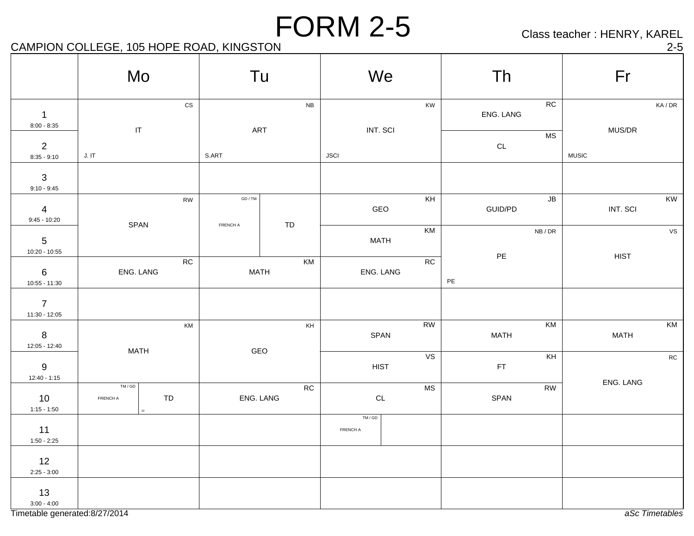Class teacher : HENRY, KAREL

## CAMPION COLLEGE, 105 HOPE ROAD, KINGSTON 2-5

|                                    | Mo                         |                      |                   | Tu                | We                  |                      | Th                             |                         | Fr           |            |
|------------------------------------|----------------------------|----------------------|-------------------|-------------------|---------------------|----------------------|--------------------------------|-------------------------|--------------|------------|
| $\mathbf 1$<br>$8:00 - 8:35$       | $\ensuremath{\mathsf{IT}}$ | $\mathsf{CS}\xspace$ |                   | NB<br>ART         | INT. SCI            | KW                   | ENG. LANG                      | ${\sf RC}$<br><b>MS</b> | MUS/DR       | KA/DR      |
| $\overline{2}$<br>$8:35 - 9:10$    | J. I T                     |                      | S.ART             |                   | <b>JSCI</b>         |                      | $\mathsf{CL}$                  |                         | <b>MUSIC</b> |            |
| $\sqrt{3}$<br>$9:10 - 9:45$        |                            |                      |                   |                   |                     |                      |                                |                         |              |            |
| $\overline{4}$<br>$9:45 - 10:20$   | SPAN                       | <b>RW</b>            | GD/TM<br>FRENCH A | TD                | GEO                 | KH                   | GUID/PD                        | ${\sf JB}$              | INT. SCI     | KW         |
| $5\phantom{.0}$<br>10:20 - 10:55   |                            |                      |                   |                   | <b>MATH</b>         | KM                   |                                | NB/DR                   |              | VS         |
| $6\phantom{.}6$<br>$10:55 - 11:30$ | ENG. LANG                  | ${\sf RC}$           |                   | KM<br><b>MATH</b> | ENG. LANG           | ${\sf RC}$           | $\mathsf{PE}$<br>$\mathsf{PE}$ |                         | <b>HIST</b>  |            |
| $\overline{7}$<br>$11:30 - 12:05$  |                            |                      |                   |                   |                     |                      |                                |                         |              |            |
| $8\phantom{1}$<br>12:05 - 12:40    | <b>MATH</b>                | KM                   |                   | KH<br>GEO         | SPAN                | RW                   | <b>MATH</b>                    | KM                      | <b>MATH</b>  | KM         |
| $\boldsymbol{9}$<br>$12:40 - 1:15$ |                            |                      |                   |                   | <b>HIST</b>         | VS                   | $\mathsf{FT}$                  | KH                      | ENG. LANG    | ${\sf RC}$ |
| 10<br>$1:15 - 1:50$                | TM/GD<br>FRENCH A          | TD                   |                   | RC<br>ENG. LANG   | $\mathsf{CL}$       | $\mathsf{MS}\xspace$ | SPAN                           | <b>RW</b>               |              |            |
| 11<br>$1:50 - 2:25$                |                            |                      |                   |                   | $TM/GD$<br>FRENCH A |                      |                                |                         |              |            |
| 12<br>$2:25 - 3:00$                |                            |                      |                   |                   |                     |                      |                                |                         |              |            |
| 13<br>$3:00 - 4:00$                |                            |                      |                   |                   |                     |                      |                                |                         |              |            |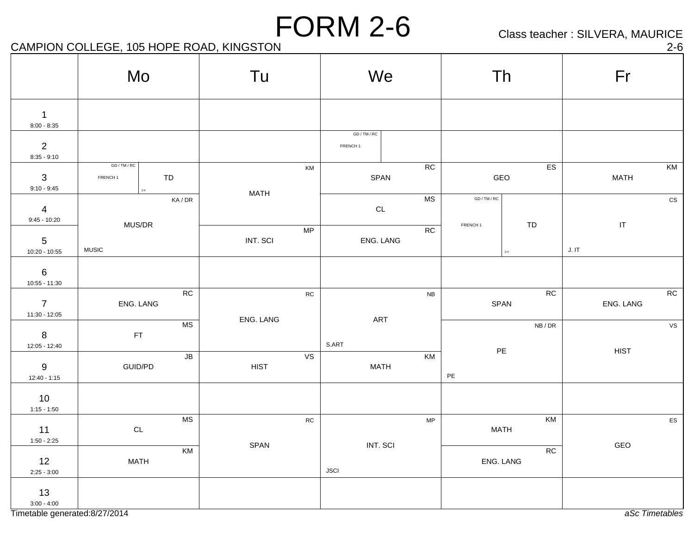Class teacher : SILVERA, MAURICE

## CAMPION COLLEGE, 105 HOPE ROAD, KINGSTON 2-6

|                                   | Mo                                                          | Tu                | We                              | Th                                            | Fr                                      |
|-----------------------------------|-------------------------------------------------------------|-------------------|---------------------------------|-----------------------------------------------|-----------------------------------------|
| $\mathbf 1$<br>$8:00 - 8:35$      |                                                             |                   |                                 |                                               |                                         |
| $\overline{2}$<br>$8:35 - 9:10$   |                                                             |                   | GD/TM/RC<br>FRENCH <sub>1</sub> |                                               |                                         |
| 3<br>$9:10 - 9:45$                | GD / TM / RC<br>TD<br>FRENCH 1<br>$_{\rm 2-4}$              | KM                | RC<br>SPAN                      | $\overline{ES}$<br>GEO                        | $\overline{\mathsf{KM}}$<br><b>MATH</b> |
| $\overline{4}$<br>$9:45 - 10:20$  | KA / DR                                                     | <b>MATH</b>       | MS<br>$\mathsf{CL}$             | $\mathsf{GD}\,/\,\mathsf{TM}\,/\,\mathsf{RC}$ | $\mathtt{CS}$                           |
| $5\phantom{.0}$<br>10:20 - 10:55  | MUS/DR<br><b>MUSIC</b>                                      | MP<br>INT. SCI    | RC<br>ENG. LANG                 | TD<br>FRENCH <sub>1</sub><br>$2 - 4$          | $\ensuremath{\mathsf{T}}$<br>J. I T     |
| $\,6\,$<br>$10:55 - 11:30$        |                                                             |                   |                                 |                                               |                                         |
| $\overline{7}$<br>$11:30 - 12:05$ | RC<br>ENG. LANG                                             | ${\sf RC}$        | ${\sf NB}$                      | RC<br>SPAN                                    | RC<br>ENG. LANG                         |
| $\,8\,$<br>12:05 - 12:40          | MS<br><b>FT</b>                                             | ENG. LANG         | ART<br>S.ART                    | NB / DR                                       | ${\tt VS}$                              |
| $9\,$<br>$12:40 - 1:15$           | $\mathsf{JB}% (\theta)\equiv\mathsf{SD}(\theta)$<br>GUID/PD | VS<br><b>HIST</b> | KM<br><b>MATH</b>               | PE<br>$\mathsf{PE}$                           | <b>HIST</b>                             |
| 10<br>$1:15 - 1:50$               |                                                             |                   |                                 |                                               |                                         |
| 11<br>$1:50 - 2:25$               | $\mathsf{MS}\xspace$<br>$\mathsf{CL}$                       | ${\sf RC}$        | ${\sf MP}$                      | KM<br><b>MATH</b>                             | ${\sf ES}$                              |
| 12<br>$2:25 - 3:00$               | KM<br><b>MATH</b>                                           | SPAN              | INT. SCI<br><b>JSCI</b>         | RC<br>ENG. LANG                               | GEO                                     |
| 13<br>$3:00 - 4:00$               |                                                             |                   |                                 |                                               |                                         |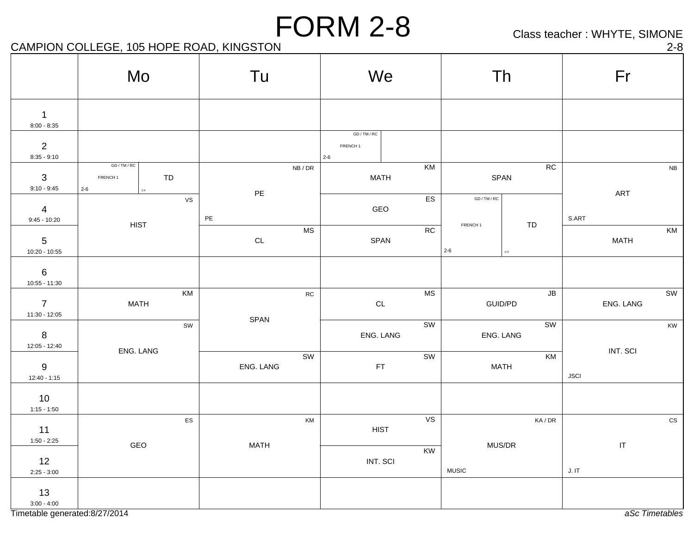Class teacher : WHYTE, SIMONE

## CAMPION COLLEGE, 105 HOPE ROAD, KINGSTON 2-8

|                                  | Mo                                                                              |               | Tu            |           | We                                         |                        |                                | Th            |             | Fr                                |               |
|----------------------------------|---------------------------------------------------------------------------------|---------------|---------------|-----------|--------------------------------------------|------------------------|--------------------------------|---------------|-------------|-----------------------------------|---------------|
| $\mathbf 1$<br>$8:00 - 8:35$     |                                                                                 |               |               |           |                                            |                        |                                |               |             |                                   |               |
| $\overline{2}$<br>$8:35 - 9:10$  |                                                                                 |               |               |           | GD/TM/RC<br>FRENCH <sub>1</sub><br>$2 - 6$ |                        |                                |               |             |                                   |               |
| $\mathbf{3}$<br>$9:10 - 9:45$    | $\mathsf{GD}\,/\,\mathsf{TM}\,/\,\mathsf{RC}$<br>FRENCH <sub>1</sub><br>$2 - 6$ | TD<br>$2 - 4$ | $\mathsf{PE}$ | NB/DR     | <b>MATH</b>                                | KM                     | SPAN                           | RC            |             | ART                               | ${\sf NB}$    |
| $\overline{4}$<br>$9:45 - 10:20$ |                                                                                 | $\mathsf{VS}$ | $\mathsf{PE}$ |           | GEO                                        | ES                     | GD / TM / RC                   |               | S.ART       |                                   |               |
| $\sqrt{5}$<br>10:20 - 10:55      | <b>HIST</b>                                                                     |               | $\mathsf{CL}$ | <b>MS</b> | SPAN                                       | RC                     | FRENCH <sub>1</sub><br>$2 - 6$ | TD<br>$2 - 4$ |             | <b>MATH</b>                       | KM            |
| $\,6\,$<br>10:55 - 11:30         |                                                                                 |               |               |           |                                            |                        |                                |               |             |                                   |               |
| $\overline{7}$<br>11:30 - 12:05  | <b>MATH</b>                                                                     | KM            |               | RC        | $\mathsf{CL}$                              | $\mathsf{MS}\xspace$   | GUID/PD                        | JB            |             | ENG. LANG                         | SW            |
| $8\phantom{1}$<br>12:05 - 12:40  |                                                                                 | SW            | SPAN          |           | ENG. LANG                                  | $\overline{\text{sw}}$ | ENG. LANG                      | <b>SW</b>     |             |                                   | KW            |
| 9<br>$12:40 - 1:15$              | ENG. LANG                                                                       |               | ENG. LANG     | SW        | FT                                         | SW                     | <b>MATH</b>                    | KM            | <b>JSCI</b> | INT. SCI                          |               |
| 10<br>$1:15 - 1:50$              |                                                                                 |               |               |           |                                            |                        |                                |               |             |                                   |               |
| 11<br>$1:50 - 2:25$              |                                                                                 | ES            |               | KM        | <b>HIST</b>                                | VS                     |                                | KA/DR         |             |                                   | $\mathtt{CS}$ |
| 12<br>$2:25 - 3:00$              | GEO                                                                             |               | <b>MATH</b>   |           | INT. SCI                                   | KW                     | MUS/DR<br><b>MUSIC</b>         |               | J. I T      | $\ensuremath{\mathsf{IT}}\xspace$ |               |
| 13<br>$3:00 - 4:00$              |                                                                                 |               |               |           |                                            |                        |                                |               |             |                                   |               |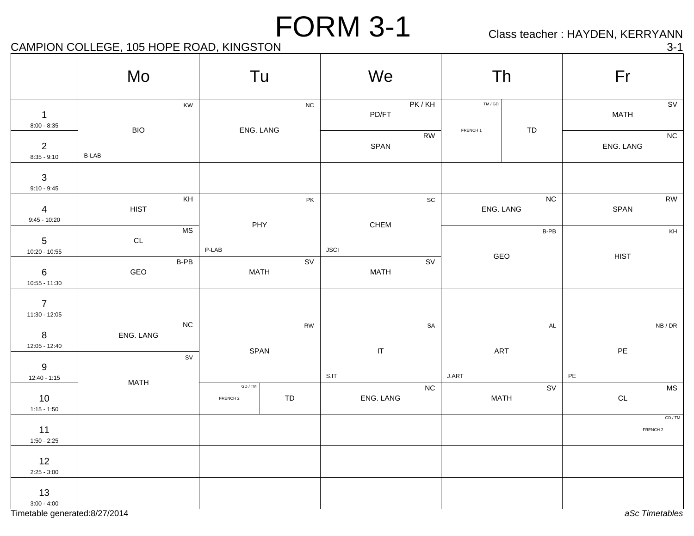Class teacher : HAYDEN, KERRYANN

## CAMPION COLLEGE, 105 HOPE ROAD, KINGSTON 3-1

|                                    | Mo            |               |                                                      | Tu                      | We                                        |                              |                                | Th                      | Fr                             |                                |
|------------------------------------|---------------|---------------|------------------------------------------------------|-------------------------|-------------------------------------------|------------------------------|--------------------------------|-------------------------|--------------------------------|--------------------------------|
| $\mathbf{1}$<br>$8:00 - 8:35$      | <b>BIO</b>    | KW            |                                                      | ${\sf NC}$<br>ENG. LANG | PD/FT                                     | PK/KH                        | TM / GD<br>FRENCH <sub>1</sub> | TD                      | <b>MATH</b>                    | SV                             |
| 2<br>$8:35 - 9:10$                 | $B-LAB$       |               |                                                      |                         | SPAN                                      | <b>RW</b>                    |                                |                         | ENG. LANG                      | NC                             |
| $\sqrt{3}$<br>$9:10 - 9:45$        |               |               |                                                      |                         |                                           |                              |                                |                         |                                |                                |
| $\overline{4}$<br>$9:45 - 10:20$   | <b>HIST</b>   | KH            |                                                      | PK<br>PHY               | CHEM                                      | $\operatorname{\textsf{SC}}$ |                                | ${\sf NC}$<br>ENG. LANG | SPAN                           | RW                             |
| $5\phantom{.0}$<br>$10:20 - 10:55$ | $\mathsf{CL}$ | <b>MS</b>     | P-LAB                                                |                         | <b>JSCI</b>                               |                              |                                | $B-PB$<br>GEO           | <b>HIST</b>                    | KH                             |
| $\,6\,$<br>$10:55 - 11:30$         | GEO           | $B-PB$        |                                                      | SV<br><b>MATH</b>       | <b>MATH</b>                               | $\overline{\text{sv}}$       |                                |                         |                                |                                |
| $\overline{7}$<br>$11:30 - 12:05$  |               |               |                                                      |                         |                                           |                              |                                |                         |                                |                                |
| 8<br>12:05 - 12:40                 | ENG. LANG     | ${\sf NC}$    |                                                      | <b>RW</b>               |                                           | ${\sf SA}$                   |                                | $\mathsf{AL}$           |                                | NB/DR                          |
| $\boldsymbol{9}$<br>$12:40 - 1:15$ |               | $\texttt{SV}$ |                                                      | SPAN                    | $\ensuremath{\mathsf{IT}}\xspace$<br>S.IT |                              | J.ART                          | ART                     | $\mathsf{PE}$<br>$\mathsf{PE}$ |                                |
| 10<br>$1:15 - 1:50$                | <b>MATH</b>   |               | $\mathsf{GD}\,/\,\mathsf{TM}$<br>FRENCH <sub>2</sub> | ${\tt TD}$              | ENG. LANG                                 | NC                           |                                | SV<br><b>MATH</b>       | $\mathsf{CL}$                  | <b>MS</b>                      |
| 11<br>$1:50 - 2:25$                |               |               |                                                      |                         |                                           |                              |                                |                         |                                | GD / TM<br>FRENCH <sub>2</sub> |
| 12<br>$2:25 - 3:00$                |               |               |                                                      |                         |                                           |                              |                                |                         |                                |                                |
| 13<br>$3:00 - 4:00$                |               |               |                                                      |                         |                                           |                              |                                |                         |                                |                                |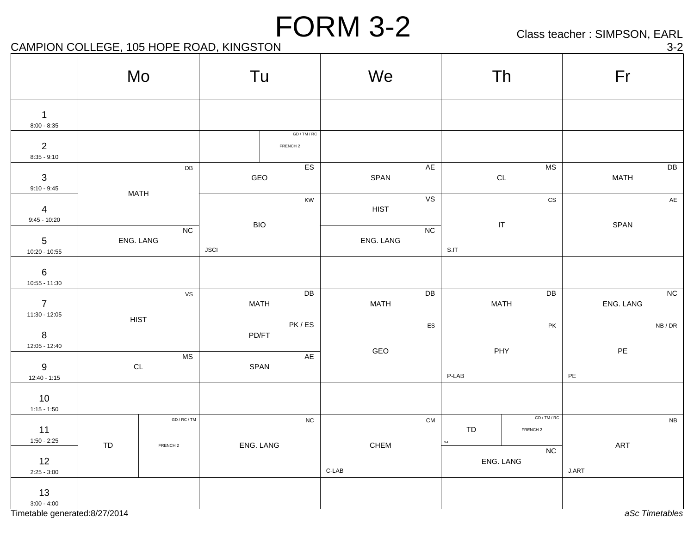Class teacher : SIMPSON, EARL

## CAMPION COLLEGE, 105 HOPE ROAD, KINGSTON 3-2

|                                   | Mo          |                                     | Tu                        |                                     | We          |                        | Th                         |                                   |               | Fr            |                         |
|-----------------------------------|-------------|-------------------------------------|---------------------------|-------------------------------------|-------------|------------------------|----------------------------|-----------------------------------|---------------|---------------|-------------------------|
| $\mathbf{1}$<br>$8:00 - 8:35$     |             |                                     |                           |                                     |             |                        |                            |                                   |               |               |                         |
| $\overline{2}$<br>$8:35 - 9:10$   |             |                                     |                           | GD / TM / RC<br>FRENCH <sub>2</sub> |             |                        |                            |                                   |               |               |                         |
| $\mathbf{3}$<br>$9:10 - 9:45$     |             | $\mathsf{DB}$                       | <b>ES</b><br>GEO          |                                     | SPAN        | AE                     | <b>MS</b><br>$\mathsf{CL}$ |                                   |               | <b>MATH</b>   | $\mathsf{D}\mathsf{B}$  |
| $\overline{4}$<br>$9:45 - 10:20$  | <b>MATH</b> |                                     | KW                        |                                     | <b>HIST</b> | VS                     | $\mathtt{CS}$              |                                   |               |               | $\mathsf{AE}$           |
| $5\phantom{.0}$<br>10:20 - 10:55  |             | NC<br>ENG. LANG                     | <b>BIO</b><br><b>JSCI</b> |                                     | ENG. LANG   | NC                     | S.IT                       | $\ensuremath{\mathsf{IT}}\xspace$ |               | SPAN          |                         |
| $\,6\,$<br>$10:55 - 11:30$        |             |                                     |                           |                                     |             |                        |                            |                                   |               |               |                         |
| $\overline{7}$<br>$11:30 - 12:05$ |             | <b>VS</b><br><b>HIST</b>            | <b>MATH</b>               | DB                                  | <b>MATH</b> | $\mathsf{D}\mathsf{B}$ |                            | ${\sf DB}$<br><b>MATH</b>         |               | ENG. LANG     | NC                      |
| $8\phantom{1}$<br>12:05 - 12:40   |             |                                     | PK/ES<br>PD/FT            |                                     | ES<br>GEO   |                        | PK<br>PHY                  |                                   |               | $\mathsf{PE}$ | ${\sf NB}$ / ${\sf DR}$ |
| 9<br>$12:40 - 1:15$               |             | M <sub>S</sub><br>CL                |                           | AE<br>SPAN                          |             |                        | P-LAB                      |                                   | $\mathsf{PE}$ |               |                         |
| 10<br>$1:15 - 1:50$               |             |                                     |                           |                                     |             |                        |                            |                                   |               |               |                         |
| 11<br>$1:50 - 2:25$               | TD          | GD / RC / TM<br>FRENCH <sub>2</sub> | ENG. LANG                 | ${\sf NC}$                          | CHEM        | CM                     | TD                         | GD/TM/RC<br>FRENCH <sub>2</sub>   |               | ART           | ${\sf NB}$              |
| 12<br>$2:25 - 3:00$               |             |                                     |                           |                                     | $C-LAB$     |                        |                            | NC<br>ENG. LANG                   | J.ART         |               |                         |
| 13<br>$3:00 - 4:00$               |             |                                     |                           |                                     |             |                        |                            |                                   |               |               |                         |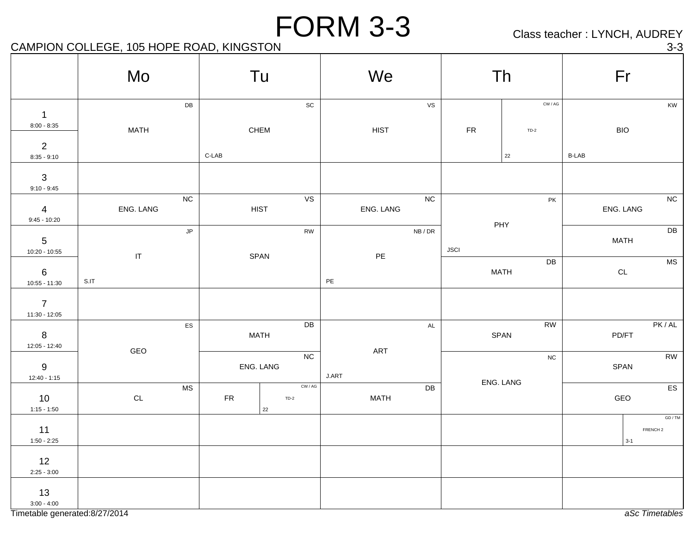Class teacher : LYNCH, AUDREY

## CAMPION COLLEGE, 105 HOPE ROAD, KINGSTON 3-3

|                                   | Mo                                 | Tu                                    | We                    | Th                                                | Fr                                        |
|-----------------------------------|------------------------------------|---------------------------------------|-----------------------|---------------------------------------------------|-------------------------------------------|
| $\overline{1}$<br>$8:00 - 8:35$   | DB<br><b>MATH</b>                  | $\operatorname{\textsf{SC}}$<br>CHEM  | VS<br>HIST            | $\mathsf{CW}/\mathsf{AG}$<br>${\sf FR}$<br>$TD-2$ | KW<br><b>BIO</b>                          |
| $\overline{2}$<br>$8:35 - 9:10$   |                                    | $C-LAB$                               |                       | $22\,$                                            | <b>B-LAB</b>                              |
| $\mathbf{3}$<br>$9:10 - 9:45$     | NC                                 | VS                                    | NC                    |                                                   | $\overline{NC}$                           |
| $\overline{4}$<br>$9:45 - 10:20$  | ENG. LANG                          | <b>HIST</b>                           | ENG. LANG             | PK<br>PHY                                         | ENG. LANG                                 |
| $5\phantom{.0}$<br>10:20 - 10:55  | JP                                 | ${\sf RW}$                            | NB/DR                 | <b>JSCI</b>                                       | DB<br><b>MATH</b>                         |
| $\,6\,$<br>$10:55 - 11:30$        | $\ensuremath{\mathsf{IT}}$<br>S.IT | SPAN                                  | $\mathsf{PE}$<br>$PE$ | DB<br><b>MATH</b>                                 | $\overline{\text{MS}}$<br>$\mathsf{CL}$   |
| $\overline{7}$<br>$11:30 - 12:05$ |                                    |                                       |                       |                                                   |                                           |
| $\bf8$<br>12:05 - 12:40           | ${\sf ES}$                         | DB<br><b>MATH</b>                     | $\mathsf{AL}$         | <b>RW</b><br>SPAN                                 | PK/AL<br>PD/FT                            |
| $9\,$<br>$12:40 - 1:15$           | GEO                                | NC<br>ENG. LANG                       | ART<br><b>J.ART</b>   | ${\sf NC}$                                        | $\overline{RW}$<br>SPAN                   |
| 10<br>$1:15 - 1:50$               | <b>MS</b><br>$\mathsf{CL}$         | CW / AG<br>${\sf FR}$<br>$TD-2$<br>22 | DB<br><b>MATH</b>     | ENG. LANG                                         | $\overline{ES}$<br>GEO                    |
| 11<br>$1:50 - 2:25$               |                                    |                                       |                       |                                                   | GD / TM<br>FRENCH <sub>2</sub><br>$3 - 1$ |
| 12<br>$2:25 - 3:00$               |                                    |                                       |                       |                                                   |                                           |
| 13<br>$3:00 - 4:00$               |                                    |                                       |                       |                                                   |                                           |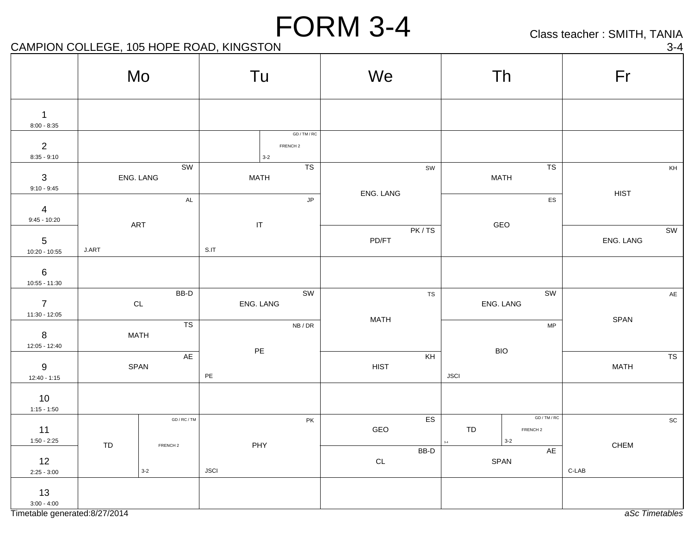Class teacher : SMITH, TANIA

## CAMPION COLLEGE, 105 HOPE ROAD, KINGSTON 3-4

| $\mathbf{1}$<br>$8:00 - 8:35$<br>GD / TM / RC<br>$\overline{2}$<br>FRENCH <sub>2</sub><br>$8:35 - 9:10$<br>$3-2$<br>TS<br>T <sub>S</sub><br>SW<br>SW<br>ENG. LANG<br><b>MATH</b><br><b>MATH</b><br>$\mathbf{3}$<br>$9:10 - 9:45$<br>ENG. LANG<br><b>HIST</b><br>$\mathsf{JP}$<br>${\sf ES}$<br>$\mathsf{AL}$<br>$\overline{4}$<br>$9:45 - 10:20$<br>$\ensuremath{\mathsf{IT}}\xspace$<br>ART<br>GEO<br>PK/TS<br>PD/FT<br>ENG. LANG |                                                                                    |
|------------------------------------------------------------------------------------------------------------------------------------------------------------------------------------------------------------------------------------------------------------------------------------------------------------------------------------------------------------------------------------------------------------------------------------|------------------------------------------------------------------------------------|
|                                                                                                                                                                                                                                                                                                                                                                                                                                    |                                                                                    |
|                                                                                                                                                                                                                                                                                                                                                                                                                                    |                                                                                    |
|                                                                                                                                                                                                                                                                                                                                                                                                                                    | $\mathsf{KH}% \left( \mathcal{N}\right) \equiv\mathsf{K}\left( \mathcal{N}\right)$ |
|                                                                                                                                                                                                                                                                                                                                                                                                                                    |                                                                                    |
| $5\phantom{.0}$<br>$\ensuremath{\mathsf{J}}\xspace\text{-}\ensuremath{\mathsf{ART}}\xspace$<br>S.IT<br>10:20 - 10:55                                                                                                                                                                                                                                                                                                               | SW                                                                                 |
| $6\phantom{.}6$<br>$10:55 - 11:30$                                                                                                                                                                                                                                                                                                                                                                                                 |                                                                                    |
| BB-D<br>SW<br>SW<br>${\tt TS}$<br>$\overline{7}$<br>ENG. LANG<br>$\mathsf{CL}$<br>ENG. LANG<br>11:30 - 12:05                                                                                                                                                                                                                                                                                                                       | $\mathsf{AE}$                                                                      |
| <b>MATH</b><br>SPAN<br>TS<br>${\sf MP}$<br>NB/DR<br>$8\phantom{1}$<br><b>MATH</b><br>12:05 - 12:40                                                                                                                                                                                                                                                                                                                                 |                                                                                    |
| $\mathsf{PE}$<br><b>BIO</b><br>AE<br>KH<br>$9\,$<br><b>HIST</b><br><b>MATH</b><br>SPAN<br>$\mathsf{PE}$<br><b>JSCI</b><br>$12:40 - 1:15$                                                                                                                                                                                                                                                                                           | ${\tt TS}$                                                                         |
| 10<br>$1:15 - 1:50$                                                                                                                                                                                                                                                                                                                                                                                                                |                                                                                    |
| GD/TM/RC<br>${\sf ES}$<br>GD / RC / TM<br>PK<br>11<br>GEO<br>${\tt TD}$<br>FRENCH <sub>2</sub><br>$1:50 - 2:25$<br>$3-2$<br>$_{\rm 3-4}$<br>PHY<br><b>CHEM</b><br>TD<br>FRENCH <sub>2</sub>                                                                                                                                                                                                                                        | $\operatorname{\textsf{sc}}$                                                       |
| BB-D<br>AE<br>12<br>SPAN<br>$\mathsf{CL}$<br><b>JSCI</b><br>$\mbox{C-LAB}$<br>$3 - 2$<br>$2:25 - 3:00$                                                                                                                                                                                                                                                                                                                             |                                                                                    |
| 13<br>$3:00 - 4:00$<br>Timetable generated:8/27/2014                                                                                                                                                                                                                                                                                                                                                                               | aSc Timetables                                                                     |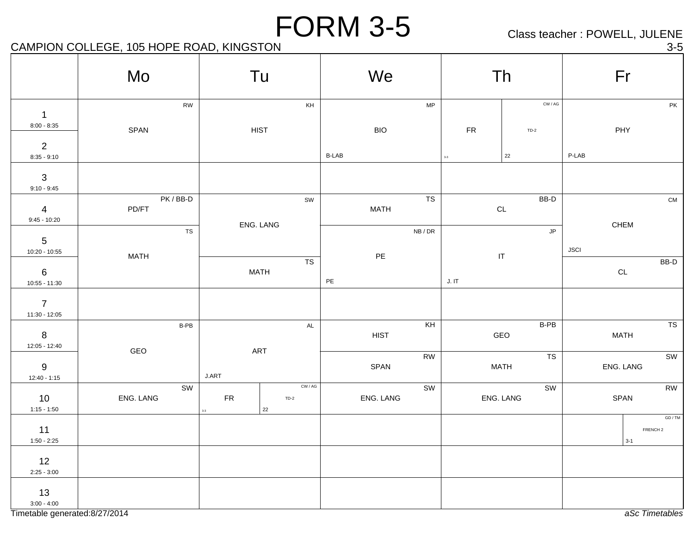Class teacher : POWELL, JULENE

## CAMPION COLLEGE, 105 HOPE ROAD, KINGSTON 3-5

|                                    | Mo                        |            | Tu                      | We            |                         |            | Th                                                 |             | Fr                                        |
|------------------------------------|---------------------------|------------|-------------------------|---------------|-------------------------|------------|----------------------------------------------------|-------------|-------------------------------------------|
| $\overline{1}$<br>$8:00 - 8:35$    | ${\sf RW}$<br>SPAN        |            | KH<br><b>HIST</b>       | <b>BIO</b>    | ${\sf MP}$              | ${\sf FR}$ | CW/AG<br>$TD-2$                                    |             | PK<br>PHY                                 |
| $\overline{2}$<br>$8:35 - 9:10$    |                           |            |                         | <b>B-LAB</b>  |                         | $3-3$      | 22                                                 | $P-LAB$     |                                           |
| $\mathbf{3}$<br>$9:10 - 9:45$      |                           |            |                         |               |                         |            |                                                    |             |                                           |
| $\overline{4}$<br>$9:45 - 10:20$   | PK/BB-D<br>PD/FT          |            | SW<br>ENG. LANG         | <b>MATH</b>   | $\overline{\text{TS}}$  |            | $BB-D$<br>$\mathsf{CL}$                            |             | ${\sf CM}$<br>CHEM                        |
| $5\phantom{.0}$<br>$10:20 - 10:55$ | ${\tt TS}$<br><b>MATH</b> |            |                         | $\mathsf{PE}$ | ${\sf NB}$ / ${\sf DR}$ |            | $\mathsf{JP}$<br>$\ensuremath{\mathsf{IT}}\xspace$ | <b>JSCI</b> |                                           |
| $\,6\,$<br>$10:55 - 11:30$         |                           |            | TS<br><b>MATH</b>       | PE            |                         | J. I T     |                                                    |             | BB-D<br>$\mathsf{CL}$                     |
| $\overline{7}$<br>11:30 - 12:05    |                           |            |                         |               |                         |            |                                                    |             |                                           |
| $\bf8$<br>$12:05 - 12:40$          | B-PB                      |            | $\mathsf{AL}$           | <b>HIST</b>   | KH                      |            | B-PB<br>GEO                                        |             | $\overline{\text{TS}}$<br><b>MATH</b>     |
| $9\,$<br>$12:40 - 1:15$            | GEO                       | J.ART      | ART                     | SPAN          | ${\sf RW}$              |            | TS<br><b>MATH</b>                                  |             | SW<br>ENG. LANG                           |
| 10<br>$1:15 - 1:50$                | SW<br>ENG. LANG           | ${\sf FR}$ | CW / AG<br>$TD-2$<br>22 | ENG. LANG     | SW                      |            | SW<br>ENG. LANG                                    |             | <b>RW</b><br>SPAN                         |
| 11<br>$1:50 - 2:25$                |                           |            |                         |               |                         |            |                                                    |             | GD / TM<br>FRENCH <sub>2</sub><br>$3 - 1$ |
| 12<br>$2:25 - 3:00$                |                           |            |                         |               |                         |            |                                                    |             |                                           |
| 13<br>$3:00 - 4:00$                |                           |            |                         |               |                         |            |                                                    |             |                                           |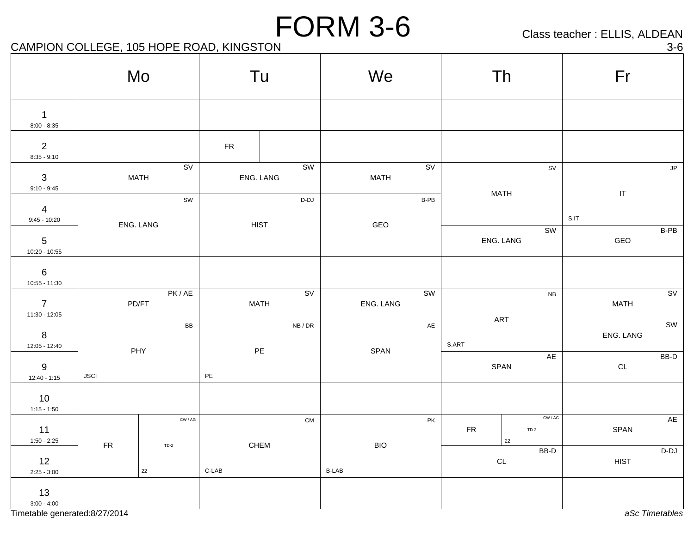Class teacher : ELLIS, ALDEAN

CAMPION COLLEGE, 105 HOPE ROAD, KINGSTON 3-6

|                                    |             | Mo                | Tu            |                                          | We                         |                        | Th                   |                                             | Fr                                        |                        |
|------------------------------------|-------------|-------------------|---------------|------------------------------------------|----------------------------|------------------------|----------------------|---------------------------------------------|-------------------------------------------|------------------------|
| $\overline{1}$<br>$8:00 - 8:35$    |             |                   |               |                                          |                            |                        |                      |                                             |                                           |                        |
| $\overline{2}$<br>$8:35 - 9:10$    |             |                   | ${\sf FR}$    |                                          |                            |                        |                      |                                             |                                           |                        |
| $\mathbf{3}$<br>$9:10 - 9:45$      |             | SV<br><b>MATH</b> |               | SW<br>ENG. LANG                          | <b>MATH</b>                | $\overline{\text{sv}}$ |                      | SV                                          |                                           | $\mathsf{JP}$          |
| $\overline{4}$<br>$9:45 - 10:20$   |             | SW                |               | $\mathsf{D}\text{-}\mathsf{D}\mathsf{J}$ |                            | B-PB                   | <b>MATH</b>          |                                             | $\ensuremath{\mathsf{IT}}\xspace$<br>S.IT |                        |
| $5\phantom{.0}$<br>10:20 - 10:55   |             | ENG. LANG         |               | <b>HIST</b>                              | GEO                        |                        | ENG. LANG            | SW                                          | GEO                                       | $B-PB$                 |
| $6\phantom{.}6$<br>$10:55 - 11:30$ |             |                   |               |                                          |                            |                        |                      |                                             |                                           |                        |
| $\overline{7}$<br>$11:30 - 12:05$  |             | PK/AE<br>PD/FT    |               | SV<br><b>MATH</b>                        | ENG. LANG                  | <b>SW</b>              |                      | ${\sf NB}$                                  | <b>MATH</b>                               | SV                     |
| $8\phantom{1}$<br>12:05 - 12:40    |             | BB                |               | NB/DR                                    |                            | $\mathsf{A}\mathsf{E}$ | ART<br>S.ART         |                                             | ENG. LANG                                 | $\overline{\text{SW}}$ |
| $9\,$<br>$12:40 - 1:15$            | <b>JSCI</b> | PHY               | $\mathsf{PE}$ | $\mathsf{PE}$                            | SPAN                       |                        | SPAN                 | AE                                          | $\mathsf{CL}$                             | $BB-D$                 |
| 10<br>$1:15 - 1:50$                |             |                   |               |                                          |                            |                        |                      |                                             |                                           |                        |
| 11<br>$1:50 - 2:25$                |             | CW / AG           |               | ${\sf CM}$                               |                            | $\mathsf{PK}$          | ${\sf FR}$<br>$22\,$ | $\textsf{CW} \, / \, \textsf{AG}$<br>$TD-2$ | SPAN                                      | AE                     |
| 12<br>$2:25 - 3:00$                | ${\sf FR}$  | $TD-2$<br>22      | $C-LAB$       | CHEM                                     | <b>BIO</b><br><b>B-LAB</b> |                        | $\mathsf{CL}$        | $\overline{BB}$ -D                          | <b>HIST</b>                               | $D-DJ$                 |
| 13<br>$3:00 - 4:00$                |             |                   |               |                                          |                            |                        |                      |                                             |                                           |                        |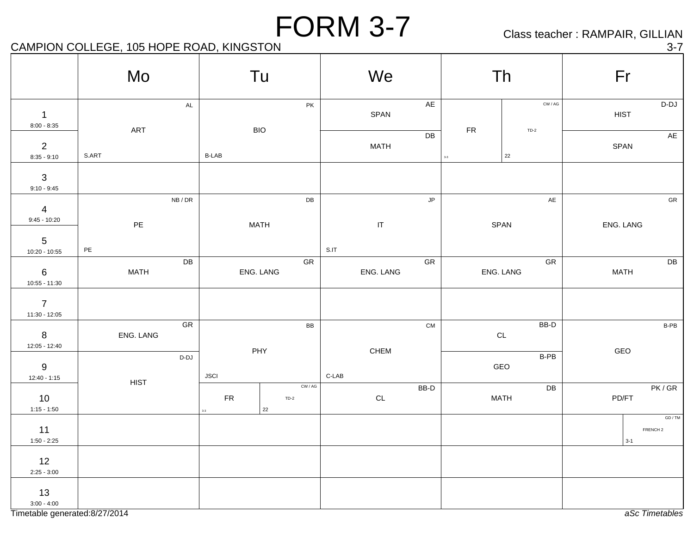Class teacher : RAMPAIR, GILLIAN

## CAMPION COLLEGE, 105 HOPE ROAD, KINGSTON 3-7

|                                                       | Mo            |               |                           | Tu          |                   |       | We                                |                      |                    | Th                                |             | Fr                             |
|-------------------------------------------------------|---------------|---------------|---------------------------|-------------|-------------------|-------|-----------------------------------|----------------------|--------------------|-----------------------------------|-------------|--------------------------------|
| $\mathbf{1}$<br>$8:00 - 8:35$                         |               | $\mathsf{AL}$ |                           |             | PK                |       | SPAN                              | $AE$                 |                    | $\textsf{CW} \, / \, \textsf{AG}$ | <b>HIST</b> | $D-DJ$                         |
| $\sqrt{2}$<br>$8:35 - 9:10$                           | ART<br>S.ART  |               | <b>B-LAB</b>              | <b>BIO</b>  |                   |       | <b>MATH</b>                       | DB                   | FR<br>$_{\rm 3-3}$ | $TD-2$<br>22                      |             | AE<br>SPAN                     |
| $\ensuremath{\mathsf{3}}$<br>$9:10 - 9:45$            |               |               |                           |             |                   |       |                                   |                      |                    |                                   |             |                                |
| $\overline{4}$<br>$9:45 - 10:20$                      | $\mathsf{PE}$ | NB/DR         |                           | <b>MATH</b> | $\mathsf{DB}$     |       | $\ensuremath{\mathsf{IT}}\xspace$ | $\mathsf{JP}$        |                    | $\mathsf{A}\mathsf{E}$<br>SPAN    |             | ${\sf GR}$<br>ENG. LANG        |
| $\overline{5}$<br>$10:20 - 10:55$                     | $\mathsf{PE}$ | ${\sf DB}$    |                           |             | ${\sf GR}$        | S.IT  |                                   | ${\sf GR}$           |                    | ${\sf GR}$                        |             | $\mathsf{D}\mathsf{B}$         |
| $\,6\,$<br>$10:55 - 11:30$                            | <b>MATH</b>   |               |                           | ENG. LANG   |                   |       | ENG. LANG                         |                      |                    | ENG. LANG                         | <b>MATH</b> |                                |
| $\overline{7}$<br>$11:30 - 12:05$                     |               | ${\sf GR}$    |                           |             | BB                |       |                                   | ${\sf CM}$           |                    | $BB-D$                            |             | B-PB                           |
| $\boldsymbol{8}$<br>12:05 - 12:40<br>$\boldsymbol{9}$ | ENG. LANG     | $D-DJ$        |                           | PHY         |                   |       | CHEM                              |                      |                    | $\mathsf{CL}$<br>$B-PB$<br>GEO    | GEO         |                                |
| $12:40 - 1:15$<br>10                                  | <b>HIST</b>   |               | <b>JSCI</b><br>${\sf FR}$ |             | CW / AG<br>$TD-2$ | C-LAB | $\mathsf{CL}$                     | $_{\rm BB\text{-}D}$ |                    | ${\sf DB}$<br><b>MATH</b>         |             | PK/GR<br>PD/FT                 |
| $1:15 - 1:50$<br>11                                   |               |               |                           | $22\,$      |                   |       |                                   |                      |                    |                                   |             | GD / TM<br>FRENCH <sub>2</sub> |
| $1:50 - 2:25$<br>12<br>$2:25 - 3:00$                  |               |               |                           |             |                   |       |                                   |                      |                    |                                   |             | $3-1$                          |
| 13<br>$3:00 - 4:00$                                   |               |               |                           |             |                   |       |                                   |                      |                    |                                   |             |                                |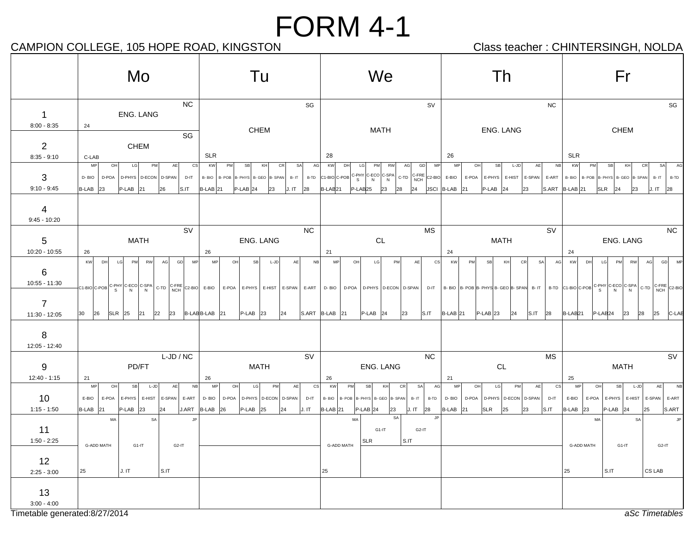## CAMPION COLLEGE, 105 HOPE ROAD, KINGSTON CAMPION Class teacher : CHINTERSINGH, NOLDA

|                                                                        | Mo                                                                                                                                  | Tu                                                                                                                                                                                                                                                                                                                                                                                             | We                                                                                                                                                                                                            | Th                                                                                                                                       | Fr                                                                                                                                                                                                                              |
|------------------------------------------------------------------------|-------------------------------------------------------------------------------------------------------------------------------------|------------------------------------------------------------------------------------------------------------------------------------------------------------------------------------------------------------------------------------------------------------------------------------------------------------------------------------------------------------------------------------------------|---------------------------------------------------------------------------------------------------------------------------------------------------------------------------------------------------------------|------------------------------------------------------------------------------------------------------------------------------------------|---------------------------------------------------------------------------------------------------------------------------------------------------------------------------------------------------------------------------------|
| $\mathbf{1}$                                                           | <b>NC</b><br>ENG. LANG                                                                                                              | SG                                                                                                                                                                                                                                                                                                                                                                                             | SV                                                                                                                                                                                                            | <b>NC</b>                                                                                                                                | SG                                                                                                                                                                                                                              |
| $8:00 - 8:35$                                                          | 24<br>SG                                                                                                                            | <b>CHEM</b>                                                                                                                                                                                                                                                                                                                                                                                    | <b>MATH</b>                                                                                                                                                                                                   | ENG. LANG                                                                                                                                | CHEM                                                                                                                                                                                                                            |
| $\overline{2}$<br>$8:35 - 9:10$                                        | <b>CHEM</b><br>C-LAB                                                                                                                | <b>SLR</b>                                                                                                                                                                                                                                                                                                                                                                                     | 28                                                                                                                                                                                                            | 26                                                                                                                                       | <b>SLR</b>                                                                                                                                                                                                                      |
| 3<br>$9:10 - 9:45$                                                     | MP<br><b>CS</b><br>OH<br>LG<br>PM<br>AE<br>D-BIO<br>D-POA D-PHYS D-ECON D-SPAN<br>$D-IT$                                            | KW<br>PM<br>SB<br>KH<br>SA<br>AG<br><b>CR</b><br>B-BIO<br>B- POB B- PHYS B- GEO B- SPAN<br>B-TD<br>$B - IT$<br>$P-LAB$ 24<br>J. IT 28                                                                                                                                                                                                                                                          | GD<br>MP<br>KW<br>DH<br>LG<br>AG<br>PM<br>RW<br>$ C1-BIO C-POB$ $C-PHY$ $C-ECO$ $C-SPA$ $C-TD$<br>$\begin{array}{ c c c c c }\n\hline\n\text{C-FRE} & \text{C2-BIO} & \text{E-BIO}\n\end{array}$<br>$P-LAB25$ | OH<br>MP<br><b>SB</b><br>L-JD<br>AE<br>NB<br>E-POA E-PHYS E-HIST E-SPAN<br>E-ART                                                         | KW<br>SB<br>KH<br>SA<br>AG<br><b>PM</b><br>CR<br>B-BIO   B-POB   B-PHYS   B-GEO   B-SPAN<br>$B - IT$<br>B-TD                                                                                                                    |
| 4<br>$9:45 - 10:20$                                                    | $B-LAB$ 23<br>$P-LAB$ 21<br>26<br>S.IT                                                                                              | <b>B-LAB</b> 21<br>23                                                                                                                                                                                                                                                                                                                                                                          | B-LAB <sub>21</sub><br>23<br>28<br>24                                                                                                                                                                         | JSCI B-LAB 21<br>$ P-LAB $ 24<br>23                                                                                                      | $S.ART$ $ B-LAB 21$<br><b>SLR</b><br> 24<br>23<br>J. IT 28                                                                                                                                                                      |
| 5                                                                      | SV<br><b>MATH</b>                                                                                                                   | <b>NC</b><br>ENG. LANG                                                                                                                                                                                                                                                                                                                                                                         | <b>MS</b><br>CL                                                                                                                                                                                               | <b>SV</b><br><b>MATH</b>                                                                                                                 | NC<br>ENG. LANG                                                                                                                                                                                                                 |
| 10:20 - 10:55<br>6<br>10:55 - 11:30<br>$\overline{7}$<br>11:30 - 12:05 | 26<br>KW<br>PM RW<br><b>MP</b><br>DH<br>LG<br>AG<br>GD<br>26<br>$SLR$ 25<br>21<br>22<br>23<br>30                                    | 26<br>MP<br>OH<br>SB<br>$L-JD$<br>AE<br>NB<br>$\left  \text{C1-BIO} \right  \text{C-POB} \left  \text{C-PHY} \right  \text{C-ECO} \left  \text{C-SPA} \right  \text{C-TD} \left  \text{C-THE} \right  \text{C2-BIO} \left  \text{ E-BIO} \right  \text{ E-POA} \left  \text{ E-PHYS} \right  \text{ E-HIST} \left  \text{ E-SPAN} \right  \text{ E-ART}$<br>B-LABB-LAB 21<br>$P-LAB$ 23<br> 24 | 21<br>MP<br>OH<br>LG<br>PM<br>AE<br>CS<br>D-BIO D-POA D-PHYS D-ECON D-SPAN<br>$ S.ART B-LAB 21$<br>$P-LAB$ 24<br>23<br>S.IT                                                                                   | 24<br>KW<br><b>PM</b><br>SB<br>KH<br>CR<br><b>SA</b><br>AG<br>$P-LAB$ 23<br>24<br>$\overline{\text{S}}$ .IT 28<br>$B-LAB$ 21             | 24<br>MP<br>GD<br>KW<br>DH<br>LG<br><b>PM</b><br>RW<br>AG<br>D-IT  B-BIO  B-POB B-PHYS B-GEO B-SPAN B-IT   B-TD C1-BIO C-POB C-PHY C-ECO C-SPA C-TD C-FRE C2-BIO<br>B-LAB <sub>21</sub><br>$P-LAB24$<br>23<br>28<br>25<br>C-LAB |
| 8<br>12:05 - 12:40                                                     |                                                                                                                                     |                                                                                                                                                                                                                                                                                                                                                                                                |                                                                                                                                                                                                               |                                                                                                                                          |                                                                                                                                                                                                                                 |
| 9                                                                      | L-JD / NC<br>PD/FT                                                                                                                  | SV<br><b>MATH</b>                                                                                                                                                                                                                                                                                                                                                                              | <b>NC</b><br>ENG. LANG                                                                                                                                                                                        | MS<br>CL                                                                                                                                 | SV<br><b>MATH</b>                                                                                                                                                                                                               |
| 12:40 - 1:15                                                           | 21                                                                                                                                  | 26                                                                                                                                                                                                                                                                                                                                                                                             | 26                                                                                                                                                                                                            | 21                                                                                                                                       | 25                                                                                                                                                                                                                              |
| 10<br>$1:15 - 1:50$                                                    | <b>MP</b><br><b>SB</b><br>L-JD<br>AE<br>NB<br>OH<br>E-BIO<br>E-POA<br>E-PHYS E-HIST E-SPAN<br>E-ART<br>B-LAB 21<br>$P-LAB$ 23<br>24 | MP<br>OH<br>LG<br>AE<br>cs<br>PM<br>D-BIO<br>D-POA<br>D-PHYS   D-ECON<br>D-SPAN<br>D-IT<br>J.ART $\overline{B-LAB}$ 26<br>$P-LAB$ 25<br>J. IT<br>24                                                                                                                                                                                                                                            | KW<br>KH<br><b>SA</b><br>AG<br>PM<br>SB<br>CR<br>B- POB  B- PHYS   B- GEO  B- SPAN<br>B-TD<br>B-BIO<br>$B - IT$<br>$B-LAB$ 21<br>$P-LAB$ 24<br>J. IT 28<br>23                                                 | MP<br>OH<br>LG<br>PM<br><b>AE</b><br>cs<br>D-IT<br>D-BIO<br>D-POA<br>D-PHYS   D-ECON   D-SPAN  <br>$B-LAB$ 21<br>SLR<br>S.IT<br>25<br>23 | MP<br>OH<br>SB<br>$L-JD$<br>AE<br><b>NB</b><br>E-SPAN E-ART<br>E-BIO<br>E-HIST<br>E-POA<br>E-PHYS<br>$B-LAB$ 23<br>$P-LAB$ 24<br>S.ART<br>25                                                                                    |
| 11<br>$1:50 - 2:25$                                                    | MA<br>SA<br>.JP<br><b>G-ADD MATH</b><br>G1-IT<br>G <sub>2</sub> -IT                                                                 |                                                                                                                                                                                                                                                                                                                                                                                                | SA<br>JP.<br>MA<br>G1-IT<br>G <sub>2</sub> -IT<br>S.IT<br><b>SLR</b><br>G-ADD MATH                                                                                                                            |                                                                                                                                          | MA<br>SA<br>G-ADD MATH<br>G1-IT<br>G <sub>2</sub> -IT                                                                                                                                                                           |
| 12<br>$2:25 - 3:00$                                                    | 25<br>J.IT<br>$S.\mathsf{IT}$                                                                                                       |                                                                                                                                                                                                                                                                                                                                                                                                | 25                                                                                                                                                                                                            |                                                                                                                                          | S.IT<br>CS LAB<br>25                                                                                                                                                                                                            |
| 13<br>$3:00 - 4:00$                                                    |                                                                                                                                     |                                                                                                                                                                                                                                                                                                                                                                                                |                                                                                                                                                                                                               |                                                                                                                                          |                                                                                                                                                                                                                                 |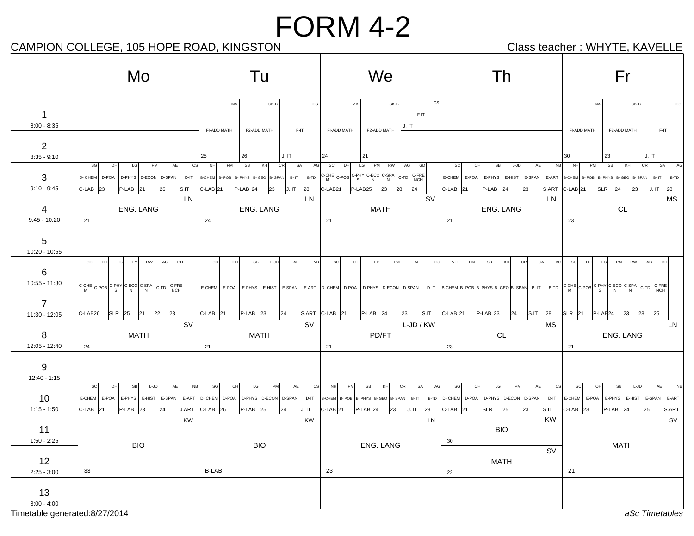## CAMPION COLLEGE, 105 HOPE ROAD, KINGSTON CAMPION Class teacher : WHYTE, KAVELLE

|                                                       | Mo                                                                                                                                                                                                                                                                           | Tu                                                                                                                                                    | We                                                                                                                                               | Th                                                                                                                                                                                                                                                                                                                                                                                                              | Fr                                                                                                                                        |
|-------------------------------------------------------|------------------------------------------------------------------------------------------------------------------------------------------------------------------------------------------------------------------------------------------------------------------------------|-------------------------------------------------------------------------------------------------------------------------------------------------------|--------------------------------------------------------------------------------------------------------------------------------------------------|-----------------------------------------------------------------------------------------------------------------------------------------------------------------------------------------------------------------------------------------------------------------------------------------------------------------------------------------------------------------------------------------------------------------|-------------------------------------------------------------------------------------------------------------------------------------------|
| $\mathbf 1$<br>$8:00 - 8:35$                          |                                                                                                                                                                                                                                                                              | SK-B<br>$\mathsf{CS}\xspace$<br>MA<br>FI-ADD MATH<br>F2-ADD MATH<br>F-IT                                                                              | CS<br>SK-B<br>MA<br>$F-IT$<br>J. IT<br>FI-ADD MATH<br>F2-ADD MATH                                                                                |                                                                                                                                                                                                                                                                                                                                                                                                                 | SK-B<br>MA<br>CS<br>FI-ADD MATH<br>F2-ADD MATH<br>F-IT                                                                                    |
| $\overline{2}$<br>$8:35 - 9:10$                       | AE<br>$\csc$<br>SG<br>OH<br><b>LG</b><br>PM                                                                                                                                                                                                                                  | J. IT<br>26<br>25<br>CR<br>SA<br>PM<br><b>SB</b><br>KH<br>AG<br>NH                                                                                    | 24<br>21<br>LG<br>GD<br>sc<br>DH<br>PM<br><b>RW</b><br>AG                                                                                        | NB<br><sub>SC</sub><br>OH<br>SB<br>L-JD<br>AE                                                                                                                                                                                                                                                                                                                                                                   | J. IT<br>23<br>30<br>CR<br>PM<br><b>SB</b><br>KH<br>SA<br>NH<br>AC                                                                        |
| 3<br>$9:10 - 9:45$                                    | D- CHEM D-POA D-PHYS D-ECON D-SPAN<br>$D-IT$<br>$P-LAB$ 21<br>$C-LAB$ 23<br>26<br> S.IT                                                                                                                                                                                      | B-CHEM B- POB B- PHYS B- GEO B- SPAN B- IT<br>B-TD<br>$C$ -LAB $ 21$<br>$P-LAB$ 24<br>23<br>J. IT<br>28                                               | C-LAB <sub>21</sub><br>$P-LAB25$<br>23<br>28<br>24                                                                                               | E-CHEM   E-POA   E-PHYS   E-HIST   E-SPAN   E-ART   B-CHEM   B- POB   B- PHYS   B- GEO   B- SPAN  <br>$C-LAB$ 21<br>$P-LAB$ 24<br>23<br>S.ART                                                                                                                                                                                                                                                                   | $B - IT$<br>B-TD<br>$C-LAB$ 21<br>$SLR$ 24<br>J. IT<br>28<br>23                                                                           |
| 4                                                     | LN<br>ENG. LANG                                                                                                                                                                                                                                                              | LN<br>ENG. LANG                                                                                                                                       | <b>SV</b><br><b>MATH</b>                                                                                                                         | LN<br>ENG. LANG                                                                                                                                                                                                                                                                                                                                                                                                 | <b>MS</b><br>CL                                                                                                                           |
| $9:45 - 10:20$<br>5<br>10:20 - 10:55                  | 21                                                                                                                                                                                                                                                                           | 24                                                                                                                                                    | 21                                                                                                                                               | 21                                                                                                                                                                                                                                                                                                                                                                                                              | 23                                                                                                                                        |
| 6<br>10:55 - 11:30<br>7                               | scl<br>LG<br><b>PM</b><br>AG<br>GD<br>DH<br><b>RW</b><br>$\left  \begin{matrix} C-POB \\ M \end{matrix} \right $ C-POB $\left  \begin{matrix} C-PHY & C-ECO & C-SPA \\ S & N & N \end{matrix} \right $ $\left  \begin{matrix} C-TD & C-FREE \\ NCH & N \end{matrix} \right $ | <sub>SC</sub><br>OH<br>NB<br>SB<br>$L-JD$<br>AE<br>E-CHEM E-POA<br>E-PHYS E-HIST                                                                      | SG<br>PM<br>OH<br>LG<br>AE<br>CS<br>E-SPAN   E-ART   D- CHEM   D-POA   D-PHYS   D-ECON   D-SPAN                                                  | AG<br>PM<br>SB<br>KH<br><b>CR</b><br>SA<br><b>NH</b><br>D-IT B-CHEM B- POB B- PHYS B- GEO B- SPAN B- IT   B-TD $\Big  \text{C-CHE} \Big  \text{C-PDF} \Big  \text{C-PDF} \Big  \text{C-CPHY} \Big  \text{C-EC} \Big  \text{C-SPA} \Big  \text{C-CPIY} \Big  \text{C-CPIY} \Big  \text{C-CPIY} \Big  \text{C-CPIY} \Big  \text{C-CPIY} \Big  \text{C-CPIY} \Big  \text{C-CPIY} \Big  \text{C-CPIY} \Big  \text{$ | scl<br>DH<br>RW<br>AG<br>LG<br><b>PM</b><br>GD<br>C-FRE<br>NCH                                                                            |
| 11:30 - 12:05                                         | C-LAB <sub>26</sub><br><b>SLR</b> 25<br>21<br>22<br>23<br><b>SV</b>                                                                                                                                                                                                          | $C-LAB$ 21<br>$P-LAB$ 23<br> 24<br><b>SV</b>                                                                                                          | $SART   C-LAB   21$<br>$P-LAB$ 24<br> S.IT <br>23<br>$L$ -JD / KW                                                                                | $C$ -LAB 21<br>$P-LAB$ 23<br>S.IT<br> 24 <br>28<br><b>MS</b>                                                                                                                                                                                                                                                                                                                                                    | SLR 21<br>$P-LAB24$<br>23<br>28<br>25<br>LN                                                                                               |
| 8<br>12:05 - 12:40                                    | <b>MATH</b><br>24                                                                                                                                                                                                                                                            | <b>MATH</b><br>21                                                                                                                                     | PD/FT<br>21                                                                                                                                      | CL<br>23                                                                                                                                                                                                                                                                                                                                                                                                        | ENG. LANG<br>21                                                                                                                           |
| 9<br>12:40 - 1:15                                     |                                                                                                                                                                                                                                                                              |                                                                                                                                                       |                                                                                                                                                  |                                                                                                                                                                                                                                                                                                                                                                                                                 |                                                                                                                                           |
| 10<br>$1:15 - 1:50$                                   | <b>NB</b><br><b>SC</b><br>OHI<br>$\ensuremath{\mathsf{SB}}$<br>L-JD<br>AE<br>E-CHEM E-POA E-PHYS E-HIST E-SPAN<br>$P-LAB$ 23<br>J.ART<br>$C-LAB$ 21<br>24                                                                                                                    | SG<br>OH<br>cs<br>LG<br>PM<br>AE<br>E-ART   D- CHEM   D-POA   D-PHYS   D-ECON   D-SPAN  <br>D-IT<br>$C-LAB$ 26<br>$P-LAB$ 25<br>J. IT<br>$ 24\rangle$ | NH<br>PM<br>SB<br>KH<br>CR<br>SA<br>AG<br>B-CHEM B- POB B- PHYS B- GEO B- SPAN<br>$B - IT$<br>$ C$ -LAB $ 21$<br>$P-LAB$ 24<br>J. IT<br>28<br>23 | LG<br>cs<br>SG<br>OH<br>PM<br>AE<br>B-TD D-CHEM D-POA D-PHYS D-ECON D-SPAN<br>D-IT<br>$C-LAB$ 21<br><b>SLR</b><br>25<br>S.IT<br>23                                                                                                                                                                                                                                                                              | SC <br>OH<br>AE<br>SB<br>L-JD<br><b>NB</b><br>E-CHEM E-POA E-PHYS<br>E-HIST E-SPAN E-ART<br>$ C$ -LAB $ 23 $<br>$P-LAB$ 24<br>25<br>S.ART |
| 11                                                    | <b>KW</b>                                                                                                                                                                                                                                                                    | <b>KW</b>                                                                                                                                             | LN                                                                                                                                               | KW<br><b>BIO</b>                                                                                                                                                                                                                                                                                                                                                                                                | SV                                                                                                                                        |
| $1:50 - 2:25$                                         | <b>BIO</b>                                                                                                                                                                                                                                                                   | <b>BIO</b>                                                                                                                                            | ENG. LANG                                                                                                                                        | 30<br>SV                                                                                                                                                                                                                                                                                                                                                                                                        | <b>MATH</b>                                                                                                                               |
| 12<br>$2:25 - 3:00$                                   | 33                                                                                                                                                                                                                                                                           | <b>B-LAB</b>                                                                                                                                          | 23                                                                                                                                               | <b>MATH</b><br>22                                                                                                                                                                                                                                                                                                                                                                                               | 21                                                                                                                                        |
| 13<br>$3:00 - 4:00$<br>Timetable generated: 8/27/2014 |                                                                                                                                                                                                                                                                              |                                                                                                                                                       |                                                                                                                                                  |                                                                                                                                                                                                                                                                                                                                                                                                                 | aSc Timetables                                                                                                                            |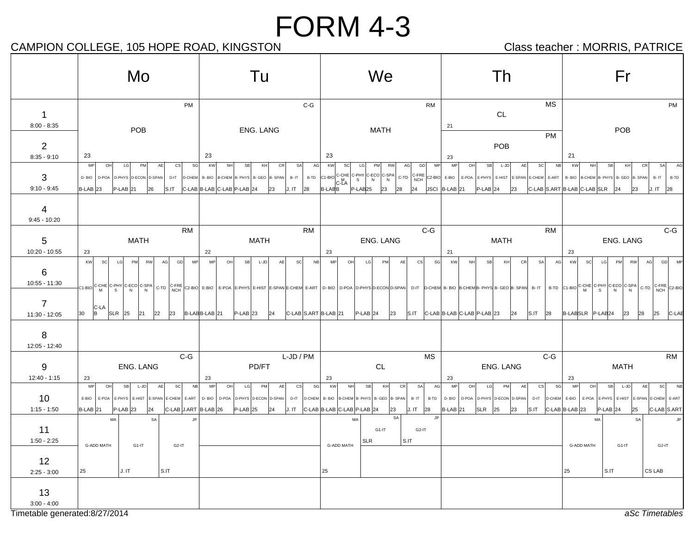## CAMPION COLLEGE, 105 HOPE ROAD, KINGSTON CAMPION Class teacher : MORRIS, PATRICE

|                                                         | Mo                                                                                                                                                                              | Tu                                                                                                                                                                                                                                                                       | We                                                                                                                                                                                         | Th                                                                                                                                                                  | Fr                                                                                                                                                                                                                                                       |
|---------------------------------------------------------|---------------------------------------------------------------------------------------------------------------------------------------------------------------------------------|--------------------------------------------------------------------------------------------------------------------------------------------------------------------------------------------------------------------------------------------------------------------------|--------------------------------------------------------------------------------------------------------------------------------------------------------------------------------------------|---------------------------------------------------------------------------------------------------------------------------------------------------------------------|----------------------------------------------------------------------------------------------------------------------------------------------------------------------------------------------------------------------------------------------------------|
| $\overline{1}$<br>$8:00 - 8:35$                         | PM                                                                                                                                                                              | $C-G$                                                                                                                                                                                                                                                                    | <b>RM</b>                                                                                                                                                                                  | <b>MS</b><br>CL<br>21                                                                                                                                               | PM                                                                                                                                                                                                                                                       |
| $\overline{2}$                                          | POB                                                                                                                                                                             | ENG. LANG                                                                                                                                                                                                                                                                | MATH                                                                                                                                                                                       | <b>PM</b><br>POB                                                                                                                                                    | POB                                                                                                                                                                                                                                                      |
| $8:35 - 9:10$                                           | 23                                                                                                                                                                              | 23                                                                                                                                                                                                                                                                       | 23                                                                                                                                                                                         | 23                                                                                                                                                                  | 21                                                                                                                                                                                                                                                       |
| 3<br>$9:10 - 9:45$                                      | <b>MP</b><br>OH<br>PM<br>SG<br>LG<br>AE<br>cs<br>D-BIO<br>D-POA D-PHYS D-ECON D-SPAN<br>$D-IT$<br>D-CHEM<br>B-LAB <sub>23</sub><br>$P-LAB$ 21<br>S.IT<br>26                     | <b>KW</b><br>SA<br>AG<br>NH<br>SB<br>KH<br>CR<br>B- BIO   B-CHEM   B- PHYS   B- GEO   B- SPAN<br>B-TD<br>$B - IT$<br>C-LAB B-LAB C-LAB P-LAB 24<br>23<br>J. IT<br>28                                                                                                     | KW<br>scl<br>LG<br>MP<br>PM<br>RW<br>AG<br>GD<br>c-LA<br>S<br>B-LABB<br>$P-LAB25$<br>24<br>23<br>28                                                                                        | <b>MP</b><br>OH<br><b>SB</b><br>L-JD<br>AE<br>NB<br>SC<br>E-ART<br>JSCI B-LAB 21<br>$P-LAB$ 24<br>23                                                                | KW<br>SA<br>NH<br>SB<br>KH<br>CR<br>B- BIO B-CHEM B- PHYS B- GEO B- SPAN<br>$B - IT$<br>B-TD<br>$ C-LAB $ S.ART B-LAB $ C-LAB $ SLR $ 24$<br>23<br>$J. I T$ 28                                                                                           |
| 4<br>$9:45 - 10:20$                                     |                                                                                                                                                                                 |                                                                                                                                                                                                                                                                          |                                                                                                                                                                                            |                                                                                                                                                                     |                                                                                                                                                                                                                                                          |
|                                                         | <b>RM</b>                                                                                                                                                                       | <b>RM</b>                                                                                                                                                                                                                                                                | $C-G$                                                                                                                                                                                      | <b>RM</b>                                                                                                                                                           | $C-G$                                                                                                                                                                                                                                                    |
| 5<br>$10:20 - 10:55$                                    | <b>MATH</b>                                                                                                                                                                     | <b>MATH</b>                                                                                                                                                                                                                                                              | ENG. LANG                                                                                                                                                                                  | <b>MATH</b><br>21                                                                                                                                                   | ENG. LANG                                                                                                                                                                                                                                                |
| 6<br>$10:55 - 11:30$<br>$\overline{7}$<br>11:30 - 12:05 | 23<br><b>KW</b><br>GD<br>scl<br>LG<br>PM<br><b>MP</b><br><b>RW</b><br>AG<br>$C-LA$<br>$SLR$ 25<br>30<br>B<br>22<br>23<br>21                                                     | 22<br><b>MP</b><br>OH<br>SB<br>NB<br>L-JD<br>SC<br>AF<br>C1-Bio C-CHE C-PHY C-ECO C-SPA C-TD C-FRE C2-Bio E-Bio E-POA E-PHYS E-HIST E-SPAN E-CHEM E-ART D- Bio D-POA D-PHYS D-ECON D-SPAN<br>$ C-LAB $ S.ART $ B-LAB $ 21<br>B-LABB-LAB 21<br>$P-LAB$ 23<br>$ 24\rangle$ | 23<br>MP<br>OH<br>LG<br>PM<br>SG<br>csl<br>AF<br>D-IT<br>$P-LAB$ 24<br>23<br>S.IT                                                                                                          | CR<br>AG<br>KW<br><b>SR</b><br>KH<br><b>SA</b><br>$ C$ -LAB $ B$ -LAB $ C$ -LAB $ P$ -LAB $ 23$<br>$S.\mathsf{IT}$ 28<br>$ 24\rangle$                               | 23<br>LG<br>GD<br>MF<br>KW<br>PM<br>RW<br>AG<br>SC.<br>$\left  \text{D-ChEM} \right $ B-BIO B-CHEMB-PHYS B-GEO B-SPAN B-IT $\left  \text{B-TD} \right $ C-1-BIO C-CHE C-PHY C-ECO C-SPA C-TD C-FRE C2-BIO<br>B-LABSLR P-LAB24<br>23<br>28<br>25<br>C-LAE |
| 8<br>12:05 - 12:40                                      |                                                                                                                                                                                 |                                                                                                                                                                                                                                                                          |                                                                                                                                                                                            |                                                                                                                                                                     |                                                                                                                                                                                                                                                          |
|                                                         | $C-G$                                                                                                                                                                           | L-JD / PM                                                                                                                                                                                                                                                                | MS                                                                                                                                                                                         | $C-G$                                                                                                                                                               | <b>RM</b>                                                                                                                                                                                                                                                |
| 9<br>$12:40 - 1:15$                                     | <b>ENG. LANG</b><br>23                                                                                                                                                          | PD/FT<br>23                                                                                                                                                                                                                                                              | <b>CL</b><br>23                                                                                                                                                                            | <b>ENG. LANG</b><br>23                                                                                                                                              | <b>MATH</b><br>23                                                                                                                                                                                                                                        |
| 10<br>$1:15 - 1:50$                                     | <b>MP</b><br>OH<br><b>SB</b><br>$L-JD$<br>AE<br> SC <br><b>NB</b><br>E-BIO<br>E-POA E-PHYS E-HIST E-SPAN E-CHEM E-ART<br>C-LAB J.ART B-LAB 26<br>$B-LAB$ 21<br>$P-LAB$ 23<br>24 | <b>MP</b><br>OH<br>LG<br>PM<br>AE<br><b>CS</b><br>sg <br>D-BIO<br>D-POA<br>D-PHYS D-ECON D-SPAN<br>$P-LAB$ 25<br>$ 24\rangle$                                                                                                                                            | KW<br>NH<br><b>SB</b><br>KH<br>CR<br>SA<br>AG<br>D-IT   D-CHEM   B- BIO   B-CHEM   B- PHYS   B- GEO   B- SPAN<br>$B - IT$<br>B-TD<br>J. IT $ C-LAB B-LAB C-LAB P-LAB 24$<br>J. IT 28<br>23 | <b>MP</b><br>OH<br>LG<br>PM<br>AE<br>cs<br>SG<br>$D - BIO$<br>D-POA<br>D-PHYS D-ECON D-SPAN<br>$D-IT$<br>$SLR$ 25<br>$ S.IT $ $ C-LAB B-LAB 23$<br>$B-LAB$ 21<br>23 | scl<br>MP<br>OH<br>SB<br>L-JD<br>AE<br>E-HIST E-SPAN E-CHEM E-ART<br>D-CHEM E-BIO<br>E-POA<br>E-PHYS<br>C-LAB S.ART<br>$P-LAB$ 24<br>25                                                                                                                  |
|                                                         | MA<br>SA<br><b>JP</b>                                                                                                                                                           |                                                                                                                                                                                                                                                                          | SA<br>MA                                                                                                                                                                                   |                                                                                                                                                                     | MA<br>SA                                                                                                                                                                                                                                                 |
| 11<br>$1:50 - 2:25$                                     | <b>G-ADD MATH</b><br>G1-IT<br>$G2-IT$                                                                                                                                           |                                                                                                                                                                                                                                                                          | $G1-IT$<br>G <sub>2</sub> -IT<br>$S.\mathsf{IT}$<br><b>SLR</b><br>G-ADD MATH                                                                                                               |                                                                                                                                                                     | <b>G-ADD MATH</b><br>G1-IT<br>G <sub>2</sub> -IT                                                                                                                                                                                                         |
| 12                                                      |                                                                                                                                                                                 |                                                                                                                                                                                                                                                                          |                                                                                                                                                                                            |                                                                                                                                                                     |                                                                                                                                                                                                                                                          |
| $2:25 - 3:00$                                           | $\mathsf{s}$ .IT<br>25<br>J. IT                                                                                                                                                 |                                                                                                                                                                                                                                                                          | 25                                                                                                                                                                                         |                                                                                                                                                                     | CS LAB<br>25<br>S.IT                                                                                                                                                                                                                                     |
| 13<br>$3:00 - 4:00$                                     |                                                                                                                                                                                 |                                                                                                                                                                                                                                                                          |                                                                                                                                                                                            |                                                                                                                                                                     |                                                                                                                                                                                                                                                          |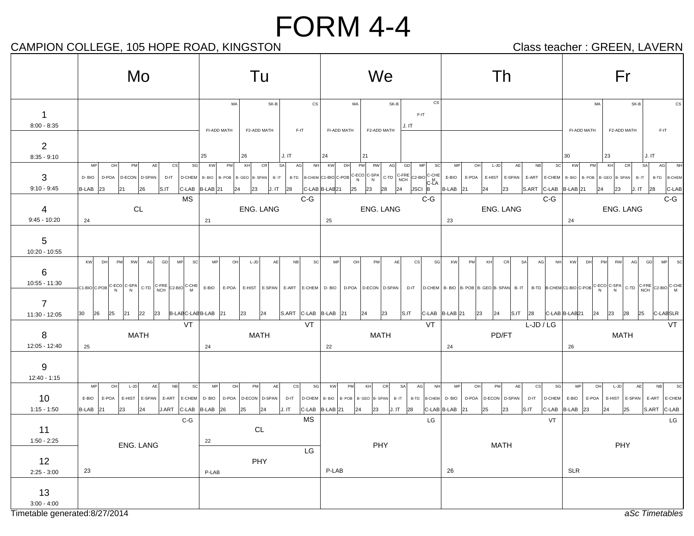## CAMPION COLLEGE, 105 HOPE ROAD, KINGSTON CAMPION Class teacher : GREEN, LAVERN

|                                                       | Mo                                                                                                                                                                                         | Tu                                                                                                                            | We                                                                                                                                                                                                                                 | Th                                                                                                                                           | Fr                                                                                                                                                                               |
|-------------------------------------------------------|--------------------------------------------------------------------------------------------------------------------------------------------------------------------------------------------|-------------------------------------------------------------------------------------------------------------------------------|------------------------------------------------------------------------------------------------------------------------------------------------------------------------------------------------------------------------------------|----------------------------------------------------------------------------------------------------------------------------------------------|----------------------------------------------------------------------------------------------------------------------------------------------------------------------------------|
| 1<br>$8:00 - 8:35$                                    |                                                                                                                                                                                            | cs<br>SK-B<br>MA<br>FI-ADD MATH<br>F2-ADD MATH<br>F-IT                                                                        | $_{\rm CS}$<br>MA<br>SK-B<br>F-IT<br>J. IT<br>FI-ADD MATH<br>F2-ADD MATH                                                                                                                                                           |                                                                                                                                              | SK-B<br>MA<br><b>CS</b><br>F2-ADD MATH<br>F-IT<br>FI-ADD MATH                                                                                                                    |
| $\overline{2}$<br>$8:35 - 9:10$                       | MP<br>cs<br>SG<br><b>PM</b><br>AE<br>OH                                                                                                                                                    | J.IT<br>25<br>26<br>KW<br>PM<br>KH<br>CR<br>SA<br>AG<br>NH                                                                    | 24<br>21<br>KW<br>DH<br>PM<br>RW<br>AG<br>GD<br><b>MP</b><br><b>SC</b>                                                                                                                                                             | sc<br>MP<br>OH<br>$L-JD$<br>AE<br>NB                                                                                                         | J.IT<br>30<br>23<br>PM<br>CR<br>SA<br>AG<br>KW<br>KH<br><b>N<sub>F</sub></b>                                                                                                     |
| 3<br>$9:10 - 9:45$                                    | D-BIO<br>D-POA   D-ECON   D-SPAN  <br>$D-IT$<br>$B-LAB$ 23<br> S.IT <br>21<br>26                                                                                                           | $ D\text{-CHEM} $ B-BIO $ B\text{-POB} $ B-GEO $ B\text{-SPAN} $ B-IT $ $<br>C-LAB B-LAB 21<br>J. IT 28<br>$ 24\rangle$<br>23 | B-TD B-CHEM C1-BIO C-POB C-ECO C-SPA C-TD C-FRE C2-BIO C-CHE<br>$ {\underline{\text{src}}} \overline{\underset{B}{\text{c-M}}} $<br>C-LAB B-LAB21<br>$\begin{array}{ c c c c c } \hline 25 & 23 \\ \hline \end{array}$<br>28<br>24 | E-BIO<br>E-POA E-HIST E-SPAN E-ART<br>E-CHEM B-BIO<br>S.ART C-LAB B-LAB 21<br>$B-LAB$ 21<br>23<br>24                                         | B- POB   B- GEO   B- SPAN<br>$B - IT$<br>B-TD B-CHEM<br>23<br>J. IT<br>28<br>C-LAB<br>24                                                                                         |
| 4<br>$9:45 - 10:20$                                   | <b>MS</b><br>CL<br>24                                                                                                                                                                      | $C-G$<br>ENG. LANG<br>21                                                                                                      | $C-G$<br>ENG. LANG<br>25                                                                                                                                                                                                           | $C-G$<br>ENG. LANG<br>23                                                                                                                     | $C-G$<br>ENG. LANG<br>24                                                                                                                                                         |
| 5<br>10:20 - 10:55                                    |                                                                                                                                                                                            |                                                                                                                               |                                                                                                                                                                                                                                    |                                                                                                                                              |                                                                                                                                                                                  |
| 6<br>$10:55 - 11:30$                                  | <b>MP</b><br><b>SC</b><br>KW<br>PM<br>RW<br>DH<br>AG<br>GD<br>C1-BIO C-POB <sup>C-ECO</sup> C-SPA C-TD C-FRE C2-BIO C-CHE E-BIO E-POA E-HIST E-SPAN E-ART E-CHEM D-BIO D-POA D-ECON D-SPAN | SC <br>MP<br>OH<br>L-JD<br>AE<br>NB                                                                                           | MP<br>OH<br>PM<br>AE<br><sub>cs</sub><br>SG                                                                                                                                                                                        | CR<br><b>SA</b><br><b>KW</b><br>PM<br>KH<br>AG<br>NH                                                                                         | PM<br><b>KW</b><br>DH<br>AG<br>GD<br>MP.<br><b>RW</b><br><b>SC</b><br>D-IT D-CHEM B- BIO B- POB B- GEO B- SPAN B-IT B-TD B-CHEM C1-BIO C-POB C-ECO C-SPA C-TD C-FRE C2-BIO C-CHE |
| 7<br>11:30 - 12:05                                    | 25<br>22<br>23<br>B-LABC-LABB-LAB 21<br>30<br>26<br>$ 21\rangle$                                                                                                                           | S.ART C-LAB B-LAB 21<br>23<br>$ 24\rangle$                                                                                    | 23<br>S.IT<br>24                                                                                                                                                                                                                   | C-LAB B-LAB 21<br>$ 24\rangle$<br>$ S.IT $ 28<br>23                                                                                          | C-LAB B-LAB21<br>23<br>28<br>25<br>$ 24\rangle$<br>C-LABSLR                                                                                                                      |
| 8<br>12:05 - 12:40                                    | VT<br><b>MATH</b><br>25                                                                                                                                                                    | VT<br><b>MATH</b><br>24                                                                                                       | VT<br><b>MATH</b><br>22                                                                                                                                                                                                            | L-JD / LG<br>PD/FT<br>24                                                                                                                     | <b>VT</b><br><b>MATH</b><br>26                                                                                                                                                   |
| 9<br>$12:40 - 1:15$                                   |                                                                                                                                                                                            |                                                                                                                               |                                                                                                                                                                                                                                    |                                                                                                                                              |                                                                                                                                                                                  |
| 10<br>$1:15 - 1:50$                                   | <b>MP</b><br>SC<br>OH<br>L-JD<br>AE<br>N <sub>B</sub><br>E-HIST   E-SPAN   E-ART<br>E-BIO<br>E-POA<br>J.ART C-LAB B-LAB 26<br>$B-LAB$ 21<br>24<br>23                                       | OH<br>PM<br> SG <br>MP<br>AE<br>cs<br>E-CHEM D-BIO<br>D-CHEM<br>D-POA D-ECON D-SPAN<br>D-IT<br>25<br>J. IT<br>$ 24\rangle$    | KW<br>PM<br>KH<br><b>CR</b><br><b>SA</b><br>AG<br><b>NH</b><br>B- BIO   B- POB   B- GEO   B- SPAN  <br>$B - IT$<br>B-TD<br>$ C-LAB $ $ B-LAB $ 21<br>23<br>J. IT 28<br>$ 24\rangle$                                                | PM<br>sg<br>MP<br>OH<br>AE<br><b>CS</b><br>B-CHEM D-BIO<br>D-POA D-ECON D-SPAN<br>D-IT<br>D-CHEM<br>C-LAB B-LAB<br>25<br> S.IT <br> 21<br>23 | MP<br>OH<br>$L-JD$<br>N <sub>B</sub><br>SC<br>AE<br>E-ART E-CHEM<br>E-BIO<br>E-POA<br>E-HIST   E-SPAN<br>$CLAB$ B-LAB 23<br>S.ART C-LAB<br>24<br>25                              |
| 11<br>$1:50 - 2:25$                                   | $C-G$<br>ENG. LANG                                                                                                                                                                         | MS<br>CL<br>22                                                                                                                | LG<br>PHY                                                                                                                                                                                                                          | VT<br><b>MATH</b>                                                                                                                            | LG<br>PHY                                                                                                                                                                        |
| 12<br>$2:25 - 3:00$                                   | 23                                                                                                                                                                                         | LG<br>PHY<br>P-LAB                                                                                                            | P-LAB                                                                                                                                                                                                                              | 26                                                                                                                                           | SLR                                                                                                                                                                              |
| 13<br>$3:00 - 4:00$<br>Timetable generated: 8/27/2014 |                                                                                                                                                                                            |                                                                                                                               |                                                                                                                                                                                                                                    |                                                                                                                                              | aSc Timetables                                                                                                                                                                   |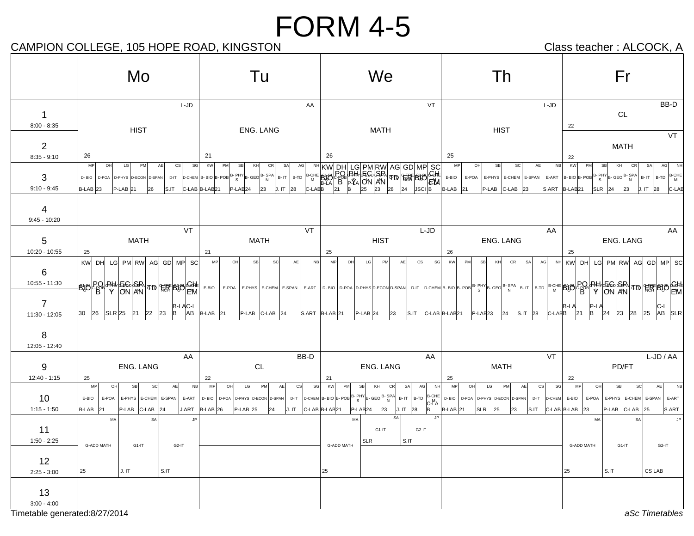## CAMPION COLLEGE, 105 HOPE ROAD, KINGSTON CAMPION Class teacher : ALCOCK, A

|                               | Mo                                                                                                                                                                                                                                                                                                                                                                                                                                                                                                                                  | Tu                                                                                                                                                                                                                                                                                          | We                                                                                                                                                                                                                                                                                                                                                                       | Th                                                                                                                                                    | Fr                                                                                                                                                                                   |
|-------------------------------|-------------------------------------------------------------------------------------------------------------------------------------------------------------------------------------------------------------------------------------------------------------------------------------------------------------------------------------------------------------------------------------------------------------------------------------------------------------------------------------------------------------------------------------|---------------------------------------------------------------------------------------------------------------------------------------------------------------------------------------------------------------------------------------------------------------------------------------------|--------------------------------------------------------------------------------------------------------------------------------------------------------------------------------------------------------------------------------------------------------------------------------------------------------------------------------------------------------------------------|-------------------------------------------------------------------------------------------------------------------------------------------------------|--------------------------------------------------------------------------------------------------------------------------------------------------------------------------------------|
| 1<br>$8:00 - 8:35$            | L-JD                                                                                                                                                                                                                                                                                                                                                                                                                                                                                                                                | AA                                                                                                                                                                                                                                                                                          | VT                                                                                                                                                                                                                                                                                                                                                                       | $L-JD$                                                                                                                                                | BB-D<br>$\mathsf{CL}$<br>22                                                                                                                                                          |
| $\overline{2}$                | <b>HIST</b>                                                                                                                                                                                                                                                                                                                                                                                                                                                                                                                         | ENG. LANG                                                                                                                                                                                                                                                                                   | <b>MATH</b>                                                                                                                                                                                                                                                                                                                                                              | <b>HIST</b>                                                                                                                                           | VT<br><b>MATH</b>                                                                                                                                                                    |
| $8:35 - 9:10$                 | 26                                                                                                                                                                                                                                                                                                                                                                                                                                                                                                                                  | 21                                                                                                                                                                                                                                                                                          | 26                                                                                                                                                                                                                                                                                                                                                                       | 25                                                                                                                                                    | 22                                                                                                                                                                                   |
| 3<br>$9:10 - 9:45$            | MP<br>OH<br>PM<br>AE<br>cs<br>SG<br>LG<br>D-BIO<br>D-POA D-PHYS D-ECON D-SPAN<br>D-IT<br>$P-LAB$ 21<br>$B-LAB$ 23<br>26<br>S.IT                                                                                                                                                                                                                                                                                                                                                                                                     | KW<br>PM<br>CR<br><b>SB</b><br>KH<br><b>SA</b><br>$\left  \text{D-CHEM} \right $ B- BIO $\left  \text{B-POB} \right $ $\text{B-PHY}\left  \text{B-GEO} \right $ $\text{B-SPA}\left  \text{B-SPA} \right $<br>$B - IT$ $B - TD$<br>P-LAB <sub>24</sub><br>C-LAB B-LAB21<br>J. IT<br>23<br>28 | $\begin{array}{ c c c c c c c c } \hline & \textrm{NH} & \textrm{KW} & \textrm{DH} & \textrm{LG} & \textrm{PM} & \textrm{PMO} & \textrm{SC} \\ \hline \textrm{B}-\textrm{B}-\textrm{B}-\textrm{B}-\textrm{B}-\textrm{B}-\textrm{B}-\textrm{B}-\textrm{B}-\textrm{B}-\textrm{B}-\textrm{B}-\textrm{B}-\textrm{B}-\textrm{B}-\textrm{B}-\textrm{B}-\textrm{B}-\textrm{B}-$ | N <sub>B</sub><br>OH<br><b>SB</b><br>SC<br>AE<br>MP<br>E-BIO<br>E-POA E-PHYS E-CHEM E-SPAN<br><b>B-LAB</b><br>P-LAB<br>$ C-LAB $ 23<br> 21            | <b>KW</b><br>PM<br>SB<br>CR<br>SA<br>AG<br>NH<br>KH<br>B-CHE<br>E-ART $B-BOB-BOBB-BHYB-GEOB-B-BYN$<br>$B - IT$<br>B-TD<br>$SLR$ 24<br>$S.ART$ $ B-LAB 21$<br>J. IT 28<br>23<br>C-LAB |
| 4<br>$9:45 - 10:20$           |                                                                                                                                                                                                                                                                                                                                                                                                                                                                                                                                     |                                                                                                                                                                                                                                                                                             |                                                                                                                                                                                                                                                                                                                                                                          |                                                                                                                                                       |                                                                                                                                                                                      |
| 5<br>10:20 - 10:55            | VT<br><b>MATH</b><br>25                                                                                                                                                                                                                                                                                                                                                                                                                                                                                                             | VT<br><b>MATH</b><br>21                                                                                                                                                                                                                                                                     | L-JD<br><b>HIST</b><br>25                                                                                                                                                                                                                                                                                                                                                | AA<br>ENG. LANG<br>26                                                                                                                                 | AA<br>ENG. LANG<br>25                                                                                                                                                                |
| 6<br>10:55 - 11:30            | KW DH<br>LG PM RW AG GD MP SC<br>$-\left \frac{1}{100}\right \left \frac{1}{100}\right \left \frac{1}{100}\right \left \frac{1}{100}\right \left \frac{1}{100}\right \left \frac{1}{100}\right \left \frac{1}{100}\right \left \frac{1}{100}\right \left \frac{1}{100}\right \left \frac{1}{100}\right \left \frac{1}{100}\right \left \frac{1}{100}\right \left \frac{1}{100}\right \left \frac{1}{100}\right \left \frac{1}{100}\right \left \frac{1}{100}\right \left \frac{1}{100}\right \left \frac{1}{100}\right \left \frac$ | MP<br>NB<br>$\cap$<br>SB<br>SC<br>AE<br>E-BIO<br>E-POA   E-PHYS   E-CHEM   E-SPAN   E-ART   D- BIO   D-POA   D-PHYS   D-ECON   D-SPAN                                                                                                                                                       | SG<br>MP<br>LG<br>PM<br>OH<br>CS<br>AF                                                                                                                                                                                                                                                                                                                                   | KW<br>PM<br>SB<br><b>CR</b><br>KH<br><b>SA</b><br>AG<br>NH                                                                                            | KW  DH  LG  PM  RW  AG  GD  MP  SC <br>D-CHEM B-BOOB-POB B-PHY B-GEO B-SPA B-IT B-TD B-CHE BLOCER PO CHE TO N AN TO THE BLOCER                                                       |
| 7<br>11:30 - 12:05            | <b>B-LAC-L</b><br>AB<br>lB.<br>30<br><b>SLR</b> 25<br>$ 21\rangle$<br>$ 22\rangle$<br>23<br><b>26</b>                                                                                                                                                                                                                                                                                                                                                                                                                               | $B-LAB$ 21<br>$P-LAB$ C-LAB 24                                                                                                                                                                                                                                                              | $ S.ART B-LAB 21$<br>$P-LAB$ 24<br>S.IT<br>23                                                                                                                                                                                                                                                                                                                            | C-LABB<br>C-LAB B-LAB21<br>$P-LAB23$<br>S.IT<br>28<br>24                                                                                              | IP-LA<br>C-L<br><b>B-LA</b><br>AB SLR<br>lB.<br>24<br>23<br>28<br>25                                                                                                                 |
| 8<br>12:05 - 12:40            |                                                                                                                                                                                                                                                                                                                                                                                                                                                                                                                                     |                                                                                                                                                                                                                                                                                             |                                                                                                                                                                                                                                                                                                                                                                          |                                                                                                                                                       |                                                                                                                                                                                      |
| 9                             | AA<br><b>ENG. LANG</b>                                                                                                                                                                                                                                                                                                                                                                                                                                                                                                              | BB-D<br>CL                                                                                                                                                                                                                                                                                  | AA<br>ENG. LANG                                                                                                                                                                                                                                                                                                                                                          | VT<br><b>MATH</b>                                                                                                                                     | L-JD / AA<br>PD/FT                                                                                                                                                                   |
| $12:40 - 1:15$                | 25                                                                                                                                                                                                                                                                                                                                                                                                                                                                                                                                  | 22                                                                                                                                                                                                                                                                                          | 21                                                                                                                                                                                                                                                                                                                                                                       | 25                                                                                                                                                    | 22                                                                                                                                                                                   |
| 10<br>$1:15 - 1:50$           | MP<br><b>SB</b><br><sub>SC</sub><br>AE<br><b>NB</b><br>OH<br>E-PHYS E-CHEM E-SPAN<br>E-ART<br>E-BIO<br>E-POA<br><b>B-LAB</b><br>P-LAB C-LAB<br>J.ART<br> 21<br> 24                                                                                                                                                                                                                                                                                                                                                                  | <b>MP</b><br>SG<br>OH<br><b>LG</b><br>PM<br><sub>CS</sub><br><b>AE</b><br>D-BIO D-POA<br>D-PHYS D-ECON D-SPAN<br>D-IT<br>$P-LAB$ 25<br>J. IT<br>$B-LAB$ 26<br> 24                                                                                                                           | <b>KW</b><br>PM<br><b>SB</b><br>CR<br>AG<br><b>NH</b><br>KH<br>SA<br>$\left  \text{D-CHEM} \right  \text{B- BIO} \left  \text{B-POB} \right  \text{B-PHY} \left  \text{B- GEO} \right  \text{B-SPA}$<br>$B-IT$ $B-TD$ $B-CHE$<br>$C-LA$<br>B<br>J. IT<br>28<br>C-LAB B-LAB21<br>P-LAB <sub>24</sub><br>23                                                                | MP<br> SG <br>OH<br>LG<br>PM<br>AE<br>$\csc$<br>$D - BIO$<br>D-POA D-PHYS D-ECON D-SPAN<br>D-IT<br><b>B-LAB</b> 21<br><b>SLR</b><br>S.IT<br>25<br> 23 | MP<br>OH<br>SB<br><b>SC</b><br>AE<br><b>NB</b><br>D-CHEM E-BIO<br>E-POA<br>E-PHYS   E-CHEM   E-SPAN  <br>E-ART<br>C-LAB B-LAB<br>P-LAB C-LAB<br>S.ART<br>23<br>25                    |
|                               | <b>JP</b><br>SA<br>MA                                                                                                                                                                                                                                                                                                                                                                                                                                                                                                               |                                                                                                                                                                                                                                                                                             | SA<br><b>JP</b><br>MA                                                                                                                                                                                                                                                                                                                                                    |                                                                                                                                                       | <b>SA</b><br>MA                                                                                                                                                                      |
| 11<br>$1:50 - 2:25$           | G-ADD MATH<br>G2-IT<br>G1-IT                                                                                                                                                                                                                                                                                                                                                                                                                                                                                                        |                                                                                                                                                                                                                                                                                             | G1-IT<br>G <sub>2</sub> -IT<br><b>SLR</b><br>$\vert$ S.IT<br>G-ADD MATH                                                                                                                                                                                                                                                                                                  |                                                                                                                                                       | G-ADD MATH<br>$G1-IT$<br>G <sub>2</sub> -IT                                                                                                                                          |
| 12<br>$2:25 - 3:00$           | S.IT<br>J. IT<br>25                                                                                                                                                                                                                                                                                                                                                                                                                                                                                                                 |                                                                                                                                                                                                                                                                                             | 25                                                                                                                                                                                                                                                                                                                                                                       |                                                                                                                                                       | CS LAB<br>S.IT<br>25                                                                                                                                                                 |
| 13                            |                                                                                                                                                                                                                                                                                                                                                                                                                                                                                                                                     |                                                                                                                                                                                                                                                                                             |                                                                                                                                                                                                                                                                                                                                                                          |                                                                                                                                                       |                                                                                                                                                                                      |
| $3:00 - 4:00$                 |                                                                                                                                                                                                                                                                                                                                                                                                                                                                                                                                     |                                                                                                                                                                                                                                                                                             |                                                                                                                                                                                                                                                                                                                                                                          |                                                                                                                                                       |                                                                                                                                                                                      |
| Timetable generated:8/27/2014 |                                                                                                                                                                                                                                                                                                                                                                                                                                                                                                                                     |                                                                                                                                                                                                                                                                                             |                                                                                                                                                                                                                                                                                                                                                                          |                                                                                                                                                       | aSc Timetables                                                                                                                                                                       |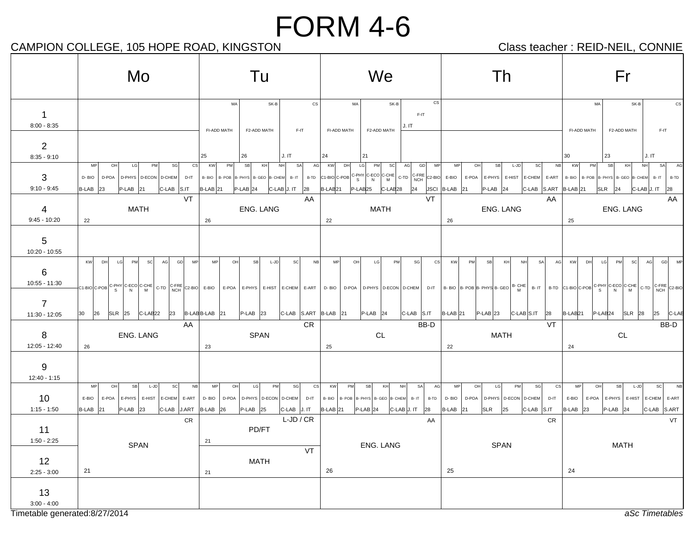## CAMPION COLLEGE, 105 HOPE ROAD, KINGSTON CAMPION Class teacher : REID-NEIL, CONNIE

|                                                         | Mo                                                                                                                                                              | Tu                                                                                                                                                            | We                                                                                                                                         | Th                                                                                                                                                                               | Fr                                                                                                                                                                                                                                                                                                                                                     |  |
|---------------------------------------------------------|-----------------------------------------------------------------------------------------------------------------------------------------------------------------|---------------------------------------------------------------------------------------------------------------------------------------------------------------|--------------------------------------------------------------------------------------------------------------------------------------------|----------------------------------------------------------------------------------------------------------------------------------------------------------------------------------|--------------------------------------------------------------------------------------------------------------------------------------------------------------------------------------------------------------------------------------------------------------------------------------------------------------------------------------------------------|--|
| $\mathbf{1}$<br>$8:00 - 8:35$                           |                                                                                                                                                                 | $\mathtt{CS}$<br>MA<br>SK-B<br>FI-ADD MATH<br>$F-IT$<br>F2-ADD MATH                                                                                           | CS<br>SK-B<br>MA<br>$F-IT$<br>J.IT<br>F2-ADD MATH<br>FI-ADD MATH                                                                           |                                                                                                                                                                                  | MA<br>SK-B<br>CS<br>FI-ADD MATH<br>F2-ADD MATH<br>F-IT                                                                                                                                                                                                                                                                                                 |  |
| $\overline{2}$<br>$8:35 - 9:10$                         |                                                                                                                                                                 | 26<br>J. IT<br>25                                                                                                                                             | 21<br>24                                                                                                                                   |                                                                                                                                                                                  | 23<br>J.IT<br>30                                                                                                                                                                                                                                                                                                                                       |  |
| 3<br>$9:10 - 9:45$                                      | cs<br><b>MP</b><br>OH<br>LG<br>SG<br>PM<br>D-BIO<br>D-POA<br>D-PHYS D-ECON D-CHEM<br>$D-IT$<br>B-LAB 23<br>P-LAB <sub>21</sub><br>C-LAB<br>S.IT                 | <b>SB</b><br>KH<br>SA<br>AG<br>KW<br>PM<br>NH<br>B-BIO<br>B- POB B- PHYS B- GEO B- CHEM<br>$B - IT$<br>$B-LAB$ 21<br>P-LAB <sub>24</sub><br>C-LAB J. IT<br>28 | sc <br>DH<br>LG<br>PM<br>AG<br>GD<br>MP<br>KW<br>B-LAB <sub>21</sub><br>$P-LAB25$<br>C-LAB <sub>28</sub><br>24                             | MP<br>sc<br>O <sub>H</sub><br>SB<br>L-JD<br>NB<br>E-POA E-PHYS E-HIST E-CHEM<br>E-ART<br>JSCI B-LAB<br>$P-LAB$ 24<br>C-LAB S.ART<br> 21                                          | <b>SB</b><br>KH<br>SA<br>KW<br>PM<br>NH<br>B-BIO B-POB B-PHYS B-GEO B-CHEM B-IT<br>B-TD<br>$SLR$ 24<br>$B-LAB$ 21<br>C-LAB J. IT<br>28                                                                                                                                                                                                                 |  |
| 4<br>$9:45 - 10:20$                                     | VT<br><b>MATH</b><br>22                                                                                                                                         | AA<br>ENG. LANG<br>26                                                                                                                                         | VT<br><b>MATH</b><br>22                                                                                                                    | AA<br>ENG. LANG<br>26                                                                                                                                                            | AA<br>ENG. LANG<br>25                                                                                                                                                                                                                                                                                                                                  |  |
| $\overline{5}$<br>10:20 - 10:55                         |                                                                                                                                                                 |                                                                                                                                                               |                                                                                                                                            |                                                                                                                                                                                  |                                                                                                                                                                                                                                                                                                                                                        |  |
| 6<br>$10:55 - 11:30$<br>$\overline{7}$<br>11:30 - 12:05 | KW<br>DH<br>LG<br>PM<br>GD<br>MP<br><b>SC</b><br>AG<br>$23$ B-LABB-LAB $21$<br>30<br>26<br>$ SLR 25$ $ C-LAB22$                                                 | MP<br>OH<br>SB<br>L-JD<br>scl<br>NB<br>$ C-LAB $ S.ART $ B-LAB $ 21<br>$P-LAB$ 23                                                                             | <b>MP</b><br>OH<br>PM<br>LG<br>SG<br><sub>cs</sub><br>C-LAB S.IT<br>$P-LAB$ 24                                                             | <b>KW</b><br>PM<br><b>SB</b><br>KH<br><b>NH</b><br><b>SA</b><br>AG<br>$B$ -LAB 21<br>$P-LAB$ 23<br>$ C$ -LAB $ S$ .IT<br>28                                                      | GD<br><b>KW</b><br>DH<br>LG<br>PM<br>scl<br>AG<br>MF<br>C1-BIO C-POB C-PHY C-ECO C-CHE C-TD C-FRE C2-BIO E-BIO E-POA E-PHYS E-HIST E-CHEM E-ART   D-BIO   D-POA   D-PHYS   D-ECON D-CHEM   D-IT   B-BIO  B-PHYS B-GEO  B-CHE   B-TD  C-BIO C-POB C-PHY C-ECO C-CHE   C-TD   C-FRE C2-B<br>B-LAB <sub>21</sub><br>$P-LAB24$<br>$SLR$ 28<br>$ 25 $ C-LAI |  |
| 8                                                       | AA<br>ENG. LANG                                                                                                                                                 | CR.<br><b>SPAN</b>                                                                                                                                            | BB-D<br>CL                                                                                                                                 | VT<br><b>MATH</b>                                                                                                                                                                | BB-D<br>CL                                                                                                                                                                                                                                                                                                                                             |  |
| 12:05 - 12:40                                           | 26                                                                                                                                                              | 23                                                                                                                                                            | 25                                                                                                                                         | 22                                                                                                                                                                               | 24                                                                                                                                                                                                                                                                                                                                                     |  |
| 9<br>$12:40 - 1:15$                                     |                                                                                                                                                                 |                                                                                                                                                               |                                                                                                                                            |                                                                                                                                                                                  |                                                                                                                                                                                                                                                                                                                                                        |  |
| 10<br>$1:15 - 1:50$                                     | NB<br><b>MP</b><br><b>SB</b><br> SC <br>OH<br>L-JD<br>E-BIO<br>E-POA<br>E-PHYS<br>E-HIST E-CHEM<br>E-ART<br>B-LAB <sub>21</sub><br>$P-LAB$ 23<br>C-LAB<br>J.ART | MP<br>OH<br>LG<br>PM<br>SG<br>$\csc$<br>D-BIO<br>D-POA D-PHYS D-ECON D-CHEM<br>D-IT<br>$B-LAB$ 26<br>$C-LAB$ J. IT<br>$P-LAB$ 25                              | KW<br>NH<br>SA<br>AG<br>PM<br>SB<br>KH<br>B-TD<br>B-BIO B-POB<br>B-PHYS B-GEO B-CHEM B-IT<br>$B-LAB$ 21<br>$P-LAB$ 24<br>C-LAB J. IT<br>28 | cs<br><b>MP</b><br>O <sub>H</sub><br>PM<br>$\mathbb S \mathbb G$<br>LG<br>D-BIO<br>D-POA<br>D-PHYS   D-ECON   D-CHEM<br>$D-IT$<br><b>B-LAB</b><br>SLR<br>25<br>C-LAB S.IT<br> 21 | MP<br>OH<br><b>SB</b><br><sub>SC</sub><br>L-JD<br>E-BIO<br>E-POA<br>E-PHYS<br>E-HIST<br>E-CHEM<br>E-ART<br><b>B-LAB</b><br>23<br>$P-LAB$ 24<br>C-LAB S.ART                                                                                                                                                                                             |  |
| 11<br>$1:50 - 2:25$<br>12                               | CR<br><b>SPAN</b>                                                                                                                                               | $L-JD / CR$<br>PD/FT<br>21<br>VT<br><b>MATH</b>                                                                                                               | AA<br>ENG. LANG                                                                                                                            | CR<br><b>SPAN</b>                                                                                                                                                                | VT<br><b>MATH</b>                                                                                                                                                                                                                                                                                                                                      |  |
| $2:25 - 3:00$                                           | 21                                                                                                                                                              | 21                                                                                                                                                            | 26                                                                                                                                         | 25                                                                                                                                                                               | 24                                                                                                                                                                                                                                                                                                                                                     |  |
| 13<br>$3:00 - 4:00$                                     |                                                                                                                                                                 |                                                                                                                                                               |                                                                                                                                            |                                                                                                                                                                                  |                                                                                                                                                                                                                                                                                                                                                        |  |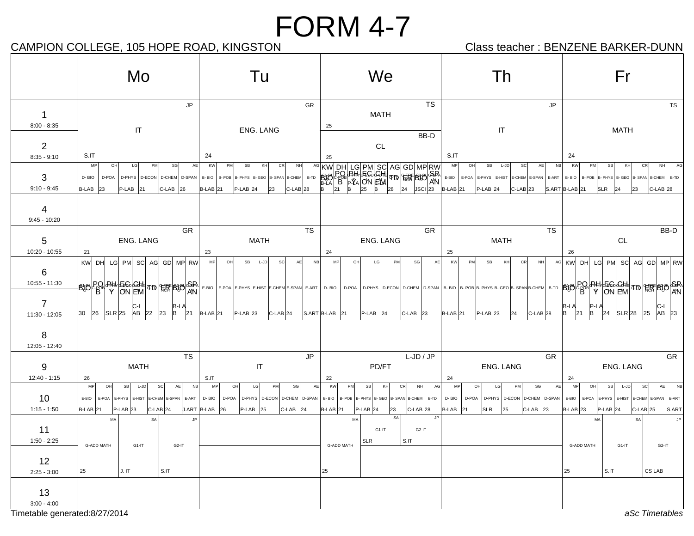## CAMPION COLLEGE, 105 HOPE ROAD, KINGSTON CAMPION Class teacher : BENZENE BARKER-DUNN

|                                                      | Mo<br>Tu                                                                                                                                                                                                             |                                                                                                                                                 | We                                                                                                                                                                           | Th                                                                                                                                      | Fr                                                                                                                                                                                                  |
|------------------------------------------------------|----------------------------------------------------------------------------------------------------------------------------------------------------------------------------------------------------------------------|-------------------------------------------------------------------------------------------------------------------------------------------------|------------------------------------------------------------------------------------------------------------------------------------------------------------------------------|-----------------------------------------------------------------------------------------------------------------------------------------|-----------------------------------------------------------------------------------------------------------------------------------------------------------------------------------------------------|
| 1<br>$8:00 - 8:35$                                   | <b>JP</b><br>GR<br>IT<br>ENG. LANG                                                                                                                                                                                   |                                                                                                                                                 | <b>TS</b><br><b>MATH</b><br>25                                                                                                                                               | JP<br>$\mathsf{I}\mathsf{T}$                                                                                                            | <b>TS</b><br><b>MATH</b>                                                                                                                                                                            |
| $\overline{2}$<br>$8:35 - 9:10$                      | S.IT<br>24<br>MP<br>OH<br>LG<br>PM<br>SG<br>AE<br>KW<br>PM<br><b>SB</b><br>KH<br>CR<br><b>NH</b>                                                                                                                     |                                                                                                                                                 | BB-D<br>CL<br>25                                                                                                                                                             | S.IT<br>AE<br>MP<br>OH<br>SB<br>L-JD<br>SC<br>NB                                                                                        | 24<br>KW<br>PM<br>SB<br>KH<br>CR<br><b>NH</b>                                                                                                                                                       |
| 3<br>$9:10 - 9:45$                                   | D-BIO<br>D-POA<br>D-PHYS   D-ECON   D-CHEM  <br>D-SPAN<br>B-BIO<br>B-POB<br>B-PHYS B-GEO B-SPAN B-CHEM B-TD<br>P-LAB<br><b>B-LAB</b><br>$C-LAB$ 26<br>$P-LAB$ 24<br>$C-LAB$ 28<br>23<br><b>B-LAB</b> 21<br>23<br> 21 |                                                                                                                                                 | E-BIO<br>E-POA E-PHYS E-HIST<br>E-CHEM E-SPAN<br>E-ART<br><b>B-LAB</b> 21<br>$P-LAB$ 24<br>$ C-LAB 23$                                                                       |                                                                                                                                         | B-BIO<br>B-POB<br>B- PHYS B- GEO B- SPAN B-CHEM<br>B-TD<br>S.ART B-LAB 21<br><b>SLR</b><br>C-LAB <sub>28</sub><br> 24<br>23                                                                         |
| 4<br>$9:45 - 10:20$                                  | GR                                                                                                                                                                                                                   | <b>TS</b>                                                                                                                                       | GR                                                                                                                                                                           | <b>TS</b>                                                                                                                               | BB-D                                                                                                                                                                                                |
| 5<br>10:20 - 10:55                                   | ENG. LANG<br><b>MATH</b><br>21<br>23                                                                                                                                                                                 |                                                                                                                                                 | <b>ENG. LANG</b><br>24                                                                                                                                                       | <b>MATH</b><br>25                                                                                                                       | <b>CL</b><br>26                                                                                                                                                                                     |
| 6<br>10:55 - 11:30<br>7                              | KW DH<br>PM SC AG GD MP RW<br>LG<br>BBC BHLEGGH  TD FR BBC AN E-BIO<br> C-L<br>B-LA                                                                                                                                  | MP<br>OH<br><b>SB</b><br>L-JD<br>SC<br>AE<br>N <sub>B</sub><br>E-POA E-PHYS E-HIST E-CHEM E-SPAN E-ART                                          | PM<br>AE<br>MP<br>OH<br>LG<br>SG<br>D-POA<br>D-BIO                                                                                                                           | KW<br>PM<br>SB<br>KH<br>CR<br><b>NHI</b>                                                                                                | AG KW<br>LG PM<br>SC AG GD MP RW<br>DH<br>D-PHYS D-ECON D-CHEM D-SPAN B- BIO B-POB B- PHYS B- GEO B- SPAN B-CHEM B-TD BBB C-BH C-OCHE TD THE BBB SPAN<br>P-LA<br> B-LA<br>IC-L                      |
| 11:30 - 12:05<br>8<br>12:05 - 12:40                  | AB<br><b>B</b><br><b>SLR</b> 25<br>$ 22\rangle$<br>23<br>30<br>26<br>21                                                                                                                                              | $B-LAB$ 21<br>$P-LAB$ 23<br>$ C$ -LAB $ 24$                                                                                                     | $P-LAB$ 24<br>C-LAB<br>$S.ART$ B-LAB 21<br>$ 23\rangle$                                                                                                                      | $B-LAB$ 21<br>$P-LAB$ 23<br>$C$ -LAB $ 28$<br>24                                                                                        | AB 23<br>IB.<br><b>B</b><br><b>SLR</b> 28<br>25<br>121<br>24                                                                                                                                        |
| 9<br>12:40 - 1:15                                    | <b>TS</b><br><b>MATH</b><br>26                                                                                                                                                                                       | JP<br>$\mathsf{I}\mathsf{T}$<br>S.IT                                                                                                            | $L$ -JD / JP<br>PD/FT<br>22                                                                                                                                                  | GR<br>ENG. LANG<br>24                                                                                                                   | GR<br>ENG. LANG<br>24                                                                                                                                                                               |
| 10<br>$1:15 - 1:50$                                  | MP<br>OH<br>SB<br>L-JD<br><sub>SC</sub><br>AE<br>N <sub>B</sub><br>E-BIO<br>E-POA E-PHYS E-HIST E-CHEM E-SPAN<br>E-ART<br>B-LAB <sub>21</sub><br>$P-LAB$ 23<br>$C$ -LAB $ 24$                                        | AE<br>MP<br>OH<br>LG<br>PM<br>sgl<br>D-PHYS   D-ECON   D-CHEM   D-SPAN  <br>D-BIO<br>D-POA<br>J.ART B-LAB<br>P-LAB<br>$ C-LAB $ 24<br> 26<br>25 | KW<br>AG<br>PM<br>SB<br>KH<br>CR<br><b>NH</b><br>B- BIO   B- POB   B- PHYS   B- GEO   B- SPAN   B-CHEM<br>B-TD<br>$P-LAB$ 24<br>23<br>C-LAB <sub>28</sub><br><b>B-LAB</b> 21 | SG<br>AE<br>MP<br>LG<br>PM<br>OH<br>D-POA D-PHYS D-ECON D-CHEM D-SPAN<br>D-BIO<br>$C-LAB$ 23<br><b>B-LAB</b><br><b>SLR</b><br>25<br> 21 | <b>MP</b><br><b>AE</b><br>OH<br><b>SB</b><br>L-JD<br>sc<br><b>NB</b><br>E-BIO<br>E-POA<br>E-PHYS   E-HIST   E-CHEM   E-SPAN   E-ART<br>S.ART<br>B-LAB <sub>23</sub><br>$P-LAB$ 24<br>$C$ -LAB $ 25$ |
| 11<br>$1:50 - 2:25$                                  | MA<br>JP<br>SA<br><b>G-ADD MATH</b><br>G1-IT<br>$G2-IT$                                                                                                                                                              |                                                                                                                                                 | SA<br><b>JP</b><br>MA<br>G1-IT<br>G <sub>2</sub> -IT<br>S.IT<br><b>SLR</b><br>G-ADD MATH                                                                                     |                                                                                                                                         | JP.<br>MA<br>SA<br>G-ADD MATH<br>G1-IT<br>G <sub>2</sub> -IT                                                                                                                                        |
| 12<br>$2:25 - 3:00$                                  | J. IT<br>$S.\mathsf{IT}$<br>25                                                                                                                                                                                       |                                                                                                                                                 | 25                                                                                                                                                                           |                                                                                                                                         | S.IT<br>CS LAB<br>$ 25\rangle$                                                                                                                                                                      |
| 13<br>$3:00 - 4:00$<br>Timetable generated:8/27/2014 |                                                                                                                                                                                                                      |                                                                                                                                                 |                                                                                                                                                                              |                                                                                                                                         | aSc Timetables                                                                                                                                                                                      |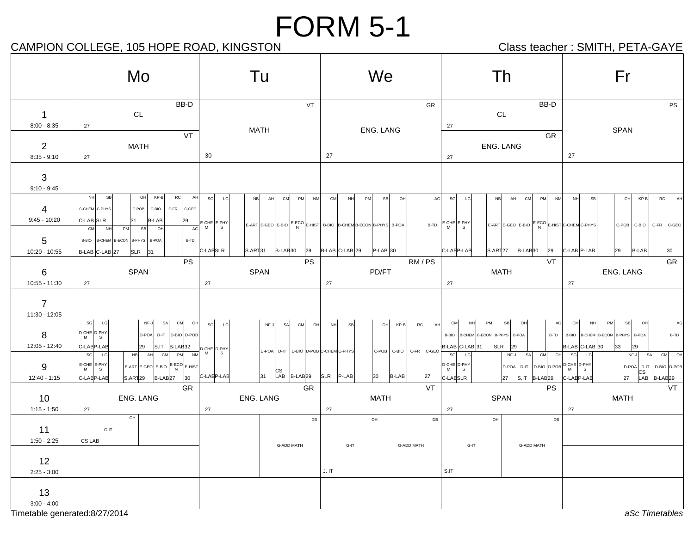#### CAMPION COLLEGE, 105 HOPE ROAD, KINGSTON CAMPION Class teacher : SMITH, PETA-GAYE

|                                   | Mo                                                                                                                                                             | Tu                                                                                                                                                        | We                                                                                                                                 | Th                                                                                                                                                                    | Fr                                                                                                                                                        |
|-----------------------------------|----------------------------------------------------------------------------------------------------------------------------------------------------------------|-----------------------------------------------------------------------------------------------------------------------------------------------------------|------------------------------------------------------------------------------------------------------------------------------------|-----------------------------------------------------------------------------------------------------------------------------------------------------------------------|-----------------------------------------------------------------------------------------------------------------------------------------------------------|
| $\mathbf{1}$<br>$8:00 - 8:35$     | BB-D<br>CL<br>27                                                                                                                                               | VT<br><b>MATH</b>                                                                                                                                         | ENG. LANG                                                                                                                          | BB-D<br>GR<br>CL<br>27                                                                                                                                                | PS<br><b>SPAN</b>                                                                                                                                         |
| $\overline{2}$<br>$8:35 - 9:10$   | VT<br>MATH<br>27                                                                                                                                               | 30                                                                                                                                                        | 27                                                                                                                                 | GR<br>ENG. LANG<br>27                                                                                                                                                 | 27                                                                                                                                                        |
| $\mathbf{3}$<br>$9:10 - 9:45$     | NH<br>SB<br>OH<br>$KP-B$<br><b>RC</b><br>AH                                                                                                                    |                                                                                                                                                           |                                                                                                                                    |                                                                                                                                                                       |                                                                                                                                                           |
| 4<br>$9:45 - 10:20$               | C-CHEM C-PHYS<br>$C-POB$<br>C-BIO<br>C-FR<br>C-GEO<br>C-LAB SLR<br>31<br><b>B-LAB</b><br>29<br>AG<br><b>CM</b><br><b>NH</b><br>PM<br><b>SB</b><br>OH           | sg<br>LG<br>NB<br>AH<br>CM<br>PM<br>NM<br>$\frac{1}{3}$ E-CHE E-PHY                                                                                       | CM<br>PM<br>SB<br>OH<br>NH<br>$E = ART$ $E - GEO$ $E - BO$ $E - BO$ $E - HST$ $B - BIO$ $B - CHEM$ $B - ECON$ $B - PHYS$ $B - POA$ | AG<br>SG<br>LG<br><b>NB</b><br>AH<br>CM<br>PM<br>NM<br>$B-TD$ $E-CHE$ $E-PHY$<br>$E-ART$ E-GEO E-BIO $E-FCO$ E-HIST C-CHEM C-PHYS                                     | <b>NH</b><br>SB<br>OH<br>$KP-B$<br><b>RC</b><br>AH<br>C-POB C-BIO<br>C-FR C-GEO                                                                           |
| 5<br>10:20 - 10:55                | B-BIO   B-CHEM   B-ECON   B-PHYS  <br>B-POA<br>B-TD<br>B-LAB C-LAB 27<br>SLR<br>31<br><b>PS</b>                                                                | C-LABSLR<br>$ S.ART 31$ $ B-LAB 30$<br>29<br><b>PS</b>                                                                                                    | B-LAB C-LAB 29<br>$P-LAB$ 30                                                                                                       | C-LABP-LAB<br>$S.ART127$ $B-LAB30$<br>29<br>RM/PS<br>VT                                                                                                               | $ C-LAB P-LAB $<br>29<br>B-LAB<br>30<br>GR                                                                                                                |
| 6<br>$10:55 - 11:30$              | SPAN<br>27                                                                                                                                                     | SPAN<br>27                                                                                                                                                | PD/FT<br>27                                                                                                                        | MATH<br>27                                                                                                                                                            | ENG. LANG<br>27                                                                                                                                           |
| $\overline{7}$<br>$11:30 - 12:05$ |                                                                                                                                                                |                                                                                                                                                           |                                                                                                                                    |                                                                                                                                                                       |                                                                                                                                                           |
| 8<br>12:05 - 12:40                | SG LG<br>NF-J<br>SA<br>CM OH<br>D-CHE D-PHY<br>D-POA D-IT D-BIO D-POB<br>M<br><b>S</b><br>C-LABP-LAB<br>29<br>$S.IT$ $B-LAB32$                                 | SG LG<br>NF-J<br>C <sub>M</sub><br>OH<br><b>SA</b><br>$\frac{1.4832}{PM}$ D-CHE D-PHY<br>$\frac{1.4832}{M}$ M<br>D-POA D-IT   D-BIO   D-POB C-CHEM C-PHYS | <b>NH</b><br><b>SB</b><br>OH<br>KP-B<br>C-POB C-BIO                                                                                | <b>CM</b><br><b>NH</b><br>PM<br>SB<br>OH<br>AG<br>RC<br>AH<br>B-BIO  B-CHEM  B-ECON   B-PHYS  <br>B-POA<br>$ SLR $ 29<br>B-LAB C-LAB 31<br>C-FR C-GEO                 | CM<br>NH<br>PM<br><b>SB</b><br>OH<br>AG<br>B-TD   B-BIO   B-CHEM   B-ECON   B-PHYS   B-POA<br>B-TD<br>B-LAB C-LAB 30<br>33<br>29                          |
| 9<br>$12:40 - 1:15$               | AH CM<br>SG<br>LG<br>NB<br>$E-CHE$ $E-PHY$<br>$M$ S<br>$E-ART$ $E-GEO$ $E-BIO$ $E-ECO$ $E-HIST$<br>$ S.ART 29$ $ B-LAB 27$ $ 30$ $ C-LAB P-LAB $<br>C-LABP-LAB | $\begin{vmatrix} \cos \\ 31 \end{vmatrix}$ LAB B-LAB 29                                                                                                   | SLR P-LAB<br>B-LAB<br>30                                                                                                           | SG<br>SA CM<br>NF-J<br>O <sub>H</sub><br>LG<br>D-CHE D-PHY<br>D-POA D-IT D-BIO D-POB D-CHE D-PHY<br>M<br><b>S</b><br>27<br>C-LABSLR<br>27<br>S.IT B-LAB <sub>29</sub> | SA CM OH<br>sg <br>$NF-J$<br>LG<br>$ D-POA $ D-IT $ D-BIO $ D-POB<br>$\begin{vmatrix} \text{CS} \\ \text{LAB} \end{vmatrix}$ B-LAB 29<br>27<br>C-LABP-LAB |
| 10 <sup>°</sup><br>$1:15 - 1:50$  | <b>GR</b><br>ENG. LANG<br>27                                                                                                                                   | <b>GR</b><br><b>ENG. LANG</b><br>27                                                                                                                       | <b>MATH</b><br>27                                                                                                                  | VT<br><b>PS</b><br>SPAN<br>27                                                                                                                                         | <b>VT</b><br><b>MATH</b><br>27                                                                                                                            |
| 11<br>$1:50 - 2:25$               | OH<br>G-IT<br>CS LAB                                                                                                                                           | DB<br><b>G-ADD MATH</b>                                                                                                                                   | OH<br>G-IT<br><b>G-ADD MATH</b>                                                                                                    | DB<br>DB<br>OH<br>G-IT<br><b>G-ADD MATH</b>                                                                                                                           |                                                                                                                                                           |
| 12<br>$2:25 - 3:00$               |                                                                                                                                                                |                                                                                                                                                           | J. IT                                                                                                                              | S.IT                                                                                                                                                                  |                                                                                                                                                           |
| 13<br>$3:00 - 4:00$               |                                                                                                                                                                |                                                                                                                                                           |                                                                                                                                    |                                                                                                                                                                       |                                                                                                                                                           |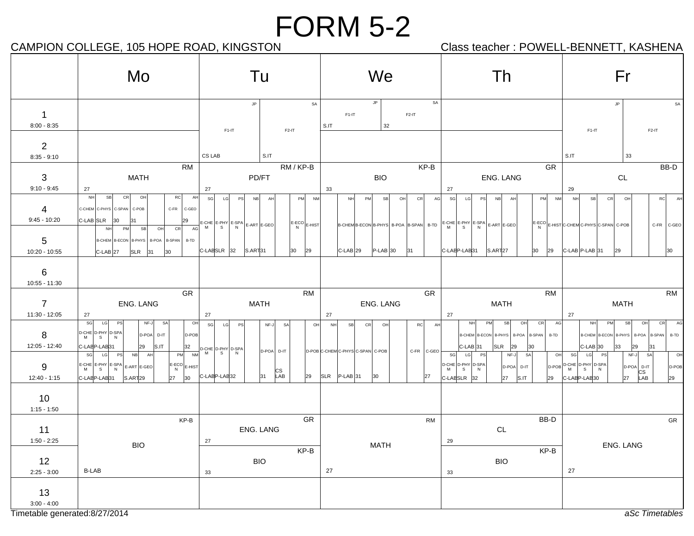CAMPION COLLEGE, 105 HOPE ROAD, KINGSTON Class teacher : POWELL-BENNETT, KASHENA

|                                                     | Mo                                                                                                                                                                                                                                                                                           | Tu                                                                                                                                                                                                                                                                                                                  | We                                                                                                                                | Th                                                                                                                                                                                                                                                                            | Fr                                                                                                                                                                                                                                                                                                       |
|-----------------------------------------------------|----------------------------------------------------------------------------------------------------------------------------------------------------------------------------------------------------------------------------------------------------------------------------------------------|---------------------------------------------------------------------------------------------------------------------------------------------------------------------------------------------------------------------------------------------------------------------------------------------------------------------|-----------------------------------------------------------------------------------------------------------------------------------|-------------------------------------------------------------------------------------------------------------------------------------------------------------------------------------------------------------------------------------------------------------------------------|----------------------------------------------------------------------------------------------------------------------------------------------------------------------------------------------------------------------------------------------------------------------------------------------------------|
| $\mathbf{1}$<br>$8:00 - 8:35$                       |                                                                                                                                                                                                                                                                                              | $\mathsf{JP}$<br>SA<br>$F1-IT$<br>$F2-IT$                                                                                                                                                                                                                                                                           | SA<br>JP<br>$F1-IT$<br>$F2-IT$<br>32<br>S.IT                                                                                      |                                                                                                                                                                                                                                                                               | JP<br>SA<br>$F1-IT$<br>F <sub>2-IT</sub>                                                                                                                                                                                                                                                                 |
| 2<br>$8:35 - 9:10$                                  |                                                                                                                                                                                                                                                                                              | CS LAB<br>S.IT                                                                                                                                                                                                                                                                                                      |                                                                                                                                   |                                                                                                                                                                                                                                                                               | S.IT<br>33                                                                                                                                                                                                                                                                                               |
| $\overline{\mathbf{3}}$<br>$9:10 - 9:45$            | RM<br><b>MATH</b><br>27                                                                                                                                                                                                                                                                      | RM/KP-B<br>PD/FT<br>27                                                                                                                                                                                                                                                                                              | KP-B<br><b>BIO</b><br>33                                                                                                          | GR.<br><b>ENG. LANG</b><br>27                                                                                                                                                                                                                                                 | BB-D<br>$\mathsf{CL}$<br>29                                                                                                                                                                                                                                                                              |
| $\overline{4}$<br>$9:45 - 10:20$<br>$5\overline{)}$ | NH<br><b>SB</b><br>CR<br>OH<br>AH<br><sub>RC</sub><br>C-FR C-GEO<br>C-CHEM C-PHYS C-SPAN C-POB<br>C-LABSLR 30<br>29<br>31<br>NH<br>PM<br>SB<br>AG<br>OH<br>CR<br>B-CHEM B-ECON B-PHYS   B-POA   B-SPAN   B-TD                                                                                | SG<br><b>NM</b><br>LG<br><b>PS</b><br>NB<br>AH<br>PM<br>$\begin{vmatrix} E\text{-CHE} \\ M \end{vmatrix}$ $\begin{vmatrix} E\text{-}PPA \\ S \end{vmatrix}$ $\begin{vmatrix} E\text{-}ART \\ N \end{vmatrix}$ $E\text{-}GET$ $\begin{vmatrix} E\text{-}GEO \end{vmatrix}$<br>$ \text{E-ECO} _{\text{E-HIST}} $<br>N | PM<br><b>SB</b><br>O <sub>F</sub><br>CR<br>AG<br><b>NH</b><br>B-CHEMB-ECON B-PHYS B-POA B-SPAN                                    | SG<br>LG<br><b>PS</b><br><b>NB</b><br>PM<br><b>NM</b><br>AH<br>$B-TD$ $E-CHE$ $E-PHY$ $E-SPA$ $E-ART$ $E-GEO$                                                                                                                                                                 | <b>NH</b><br><b>SB</b><br>CR<br>OH<br>RC<br>AH<br>$\left \text{E-ECO}\right _{\text{E-HIST}}$ C-CHEM C-PHYS C-SPAN C-POB<br>C-FR C-GEO                                                                                                                                                                   |
| 10:20 - 10:55<br>$6\phantom{1}6$<br>10:55 - 11:30   | <b>SLR</b><br>$ C-LAB 27$<br>31<br>30                                                                                                                                                                                                                                                        | C-LAESLR 32<br>S.ART31<br>30<br>29                                                                                                                                                                                                                                                                                  | $P-LAB$ 30<br>$ C$ -LAB $ 29$<br>31                                                                                               | C-LABP-LAB31<br>S.ART <sub>27</sub><br>30<br>29                                                                                                                                                                                                                               | $ C$ -LAB $ P$ -LAB $ 31$<br>29<br>30                                                                                                                                                                                                                                                                    |
| $\overline{7}$<br>11:30 - 12:05                     | <b>GR</b><br>ENG. LANG<br>27                                                                                                                                                                                                                                                                 | <b>RM</b><br>MATH<br>27                                                                                                                                                                                                                                                                                             | GR<br>ENG. LANG<br>27                                                                                                             | <b>RM</b><br><b>MATH</b><br>27                                                                                                                                                                                                                                                | <b>RM</b><br><b>MATH</b><br>27                                                                                                                                                                                                                                                                           |
| 8<br>12:05 - 12:40<br>9<br>$12:40 - 1:15$           | SG<br>LG<br>PS<br>NF-J<br>SA<br>OH<br>D-CHE D-PHY D-SPA<br>D-POA<br>D-POB<br>$D-IT$<br>N<br>S<br>S.IT<br>C-LABP-LAB31<br>32<br>29<br>SG<br>PM<br>LG<br>PS<br>NB<br>AH<br>$E-CHE$ $E-PHY$ $E-SPA$ $E-ART$ $E-GEO$<br>$ \text{E-ECO} $ <sub>E-HIST</sub><br>N<br>27 30<br>C-LABP-LAB31 S.ART29 | SG<br>LG<br><b>PS</b><br>NF-J<br>SA<br>OH<br>$\frac{32}{NM}$ D-CHE D-PHY D-SPA<br>D-POA D-IT<br> CS<br>LAB<br>31<br>C-LABP-LAB32<br>29                                                                                                                                                                              | NH<br>SB<br>CR<br>OH<br>RC<br>AH<br>$C-GEO$<br>D-POB C-CHEM C-PHYS C-SPAN C-POB<br>C-FR<br>$ 30\rangle$<br>$ SLR $ P-LAB 31<br>27 | <b>NH</b><br><b>SB</b><br>OH<br>CR<br>AG<br><b>PM</b><br>B-CHEM B-ECON B-PHYS<br>B-POA B-SPAN<br>B-TD<br>$ C-LAB $ 31<br>SLR<br>29<br>$ 30\rangle$<br>sg<br>LG<br>PS<br>SA<br>NF-J<br>OH<br>D-CHE D-PHY D-SPA<br>D-POA D-IT<br>M<br>S<br>N<br>C-LABSLR 32<br>27<br>S.IT<br>29 | AG<br>PM<br>SB<br>OH<br>CR<br>B-CHEM B-ECON B-PHYS<br>B-POA B-SPAN<br>B-TD<br>$C$ -LAB 30<br>33<br>29<br>31<br>sg<br>LG<br>NF-J<br>OH<br><b>SA</b><br>PS<br>$\left  D-POB \right  D-CHE \left  D-PHY \right  D-SPA \left  D-SPA \right $<br>D-POA D-IT<br>D-POB<br>CS<br>LAB<br>C-LABP-LAB30<br>27<br>29 |
| 10<br>$1:15 - 1:50$                                 |                                                                                                                                                                                                                                                                                              |                                                                                                                                                                                                                                                                                                                     |                                                                                                                                   |                                                                                                                                                                                                                                                                               |                                                                                                                                                                                                                                                                                                          |
| 11<br>$1:50 - 2:25$<br>12<br>$2:25 - 3:00$          | KP-B<br><b>BIO</b><br><b>B-LAB</b>                                                                                                                                                                                                                                                           | GR<br>ENG. LANG<br>27<br>KP-B<br><b>BIO</b><br>33                                                                                                                                                                                                                                                                   | <b>RM</b><br><b>MATH</b><br>27                                                                                                    | BB-D<br>CL<br>29<br>KP-B<br><b>BIO</b><br>33                                                                                                                                                                                                                                  | GR<br>ENG. LANG<br>27                                                                                                                                                                                                                                                                                    |
| 13<br>$3:00 - 4:00$                                 |                                                                                                                                                                                                                                                                                              |                                                                                                                                                                                                                                                                                                                     |                                                                                                                                   |                                                                                                                                                                                                                                                                               |                                                                                                                                                                                                                                                                                                          |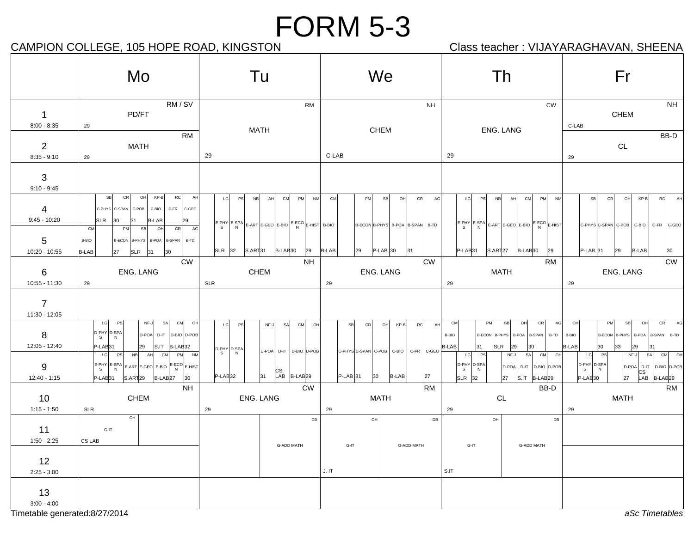## CAMPION COLLEGE, 105 HOPE ROAD, KINGSTON Class teacher : VIJAYARAGHAVAN, SHEENA

|                                      | Mo                                                                                                                                                                                                                                                                                                                 | Tu                                                                                                                                                                                                                                                                   | We                                                                                    | Th                                                                                                                                                                                                                  | Fr                                                                                                                                                                                     |
|--------------------------------------|--------------------------------------------------------------------------------------------------------------------------------------------------------------------------------------------------------------------------------------------------------------------------------------------------------------------|----------------------------------------------------------------------------------------------------------------------------------------------------------------------------------------------------------------------------------------------------------------------|---------------------------------------------------------------------------------------|---------------------------------------------------------------------------------------------------------------------------------------------------------------------------------------------------------------------|----------------------------------------------------------------------------------------------------------------------------------------------------------------------------------------|
| $\mathbf 1$<br>$8:00 - 8:35$         | RM/SV<br>PD/FT<br>29                                                                                                                                                                                                                                                                                               | <b>RM</b><br>MATH                                                                                                                                                                                                                                                    | <b>NH</b><br>CHEM                                                                     | <b>CW</b><br>ENG. LANG                                                                                                                                                                                              | <b>NH</b><br>CHEM<br>C-LAB                                                                                                                                                             |
| $\overline{2}$<br>$8:35 - 9:10$      | <b>RM</b><br><b>MATH</b><br>29                                                                                                                                                                                                                                                                                     | 29                                                                                                                                                                                                                                                                   | C-LAB                                                                                 | 29                                                                                                                                                                                                                  | BB-D<br>$\mathsf{CL}$<br>29                                                                                                                                                            |
| 3<br>$9:10 - 9:45$                   |                                                                                                                                                                                                                                                                                                                    |                                                                                                                                                                                                                                                                      |                                                                                       |                                                                                                                                                                                                                     |                                                                                                                                                                                        |
| $\overline{4}$<br>$9:45 - 10:20$     | SB<br>CR<br>OH<br>KP-B<br>RC<br>AH<br>C-PHYS C-SPAN<br>$C-POB$<br>C-BIO<br>C-FR<br>C-GEO<br>SLR<br>30<br><b>B-LAB</b><br>131<br>29<br>CM<br>PM<br>SB<br>O <sub>H</sub><br>CR<br>AG                                                                                                                                 | LG<br><b>NB</b><br>AH<br>CM<br>PM<br><b>NM</b><br><b>PS</b><br>$\left \frac{\text{E-PHY}}{\text{S}}\right $ E-SPA $\left \frac{\text{E-APX}}{\text{N}}\right $ E-GEO $\left \frac{\text{E-EO}}{\text{N}}\right $ E-HIST $\left \frac{\text{B-BIO}}{\text{N}}\right $ | <b>CM</b><br>CR<br>PM<br>SB<br>OH<br>AG<br>B-ECON B-PHYS B-POA B-SPAN B-TD            | PS<br><b>NB</b><br>C <sub>M</sub><br>PM<br><b>NM</b><br>LG<br>AH<br>$\left  \frac{E-PHY}{S} \right  \xrightarrow[N]{E-SPA} \left  \xrightarrow[E-RTO] \xrightarrow[E-BIO] \xrightarrow[E-BIO] \xrightarrow[E-HIST]$ | CR<br>OH<br>$KP-B$<br>RC<br>AH<br>SB<br>C-PHYS C-SPAN C-POB C-BIO<br>C-FR C-GEO                                                                                                        |
| 5<br>10:20 - 10:55                   | B-BIO<br>B-ECON B-PHYS B-POA B-SPAN<br>B-TD<br>B-LAB<br>$SLR$ 31<br>$ 30\rangle$<br>27                                                                                                                                                                                                                             | $ S.ART 31$ $ B-LAB 30$<br>$SLR$ 32<br>29                                                                                                                                                                                                                            | <b>B-LAB</b><br>$P-LAB$ 30<br>29<br>31                                                | P-LAB31<br>S.ART <sub>27</sub><br>B-LAB <sub>30</sub><br>29                                                                                                                                                         | $P-LAB$ 31<br>29<br>B-LAB<br>30                                                                                                                                                        |
| 6<br>10:55 - 11:30                   | $\mathsf{CW}$<br>ENG. LANG<br>29                                                                                                                                                                                                                                                                                   | <b>NH</b><br>CHEM<br><b>SLR</b>                                                                                                                                                                                                                                      | <b>CW</b><br>ENG. LANG<br>29                                                          | <b>RM</b><br><b>MATH</b><br>29                                                                                                                                                                                      | ${\sf\small CW}$<br>ENG. LANG<br>29                                                                                                                                                    |
| $\overline{7}$<br>11:30 - 12:05      |                                                                                                                                                                                                                                                                                                                    |                                                                                                                                                                                                                                                                      |                                                                                       |                                                                                                                                                                                                                     |                                                                                                                                                                                        |
| 8<br>12:05 - 12:40                   | LG<br>PS<br>SA<br>CM<br>NF-J<br>OH<br>$D-PHY$ $D-SPA$<br>S $N$<br>D-POA<br>D-IT D-BIO D-POB<br>S<br>P-LAB <sub>31</sub><br>29<br>S.IT B-LAB32                                                                                                                                                                      | LG<br>PS<br>NF-J<br>SA<br>CM<br>OH<br>D-PHY D-SPA<br>D-POA D-IT D-BIO D-POB                                                                                                                                                                                          | SB<br>CR<br>OH<br>$KP-B$<br><b>RC</b><br>AH<br>C-PHYSC-SPAN C-POB C-BIO<br>C-FR C-GEO | SB<br>OH<br>CR<br>AG<br>CM<br>PM<br>B-TD<br>B-BIO<br>B-ECON B-PHYS<br>B-POA<br><b>B-SPAN</b><br>B-LAB<br>31<br><b>SLR</b><br>29<br>30                                                                               | CM<br>CR<br>AG<br>PM<br>SB<br>OH<br>B-TD<br>B-BIO<br><b>B-ECON</b><br><b>B-PHYS</b><br>B-POA<br><b>B-SPAN</b><br>B-LAB<br>$ 30\rangle$<br>33<br>29<br>31                               |
| 9<br>12:40 - 1:15                    | NB<br>CM<br>PM<br>LG<br>PS<br>AH<br><b>NM</b><br>$\left  \frac{\text{E-PHY}}{\text{S}} \right  \frac{\text{E-SPA}}{\text{N}} \right  \text{E-ART} \left  \text{E-GEO} \right  \text{E-BIO} \left  \frac{\text{E-ECO}}{\text{N}} \right  \text{E-HIST}$<br>P-LAB <sub>31</sub><br>B-LAB27 30<br>S.ART <sub>29</sub> | $\mathsf{s}$<br>N<br>$\begin{vmatrix} \text{CS} \\ \text{LAB} \end{vmatrix}$ B-LAB 29<br>$P-LAB$ 32<br>31                                                                                                                                                            | $P-LAB$ 31<br>27<br>30<br><b>B-LAB</b>                                                | PS<br>SA<br>LG<br>NF-J<br>CM<br>OH<br>D-PHY D-SPA<br>D-POA<br>D-IT   D-BIO   D-POB<br>$\mathsf{s}$<br>$\overline{N}$<br>S.IT B-LAB <sub>29</sub><br>$SLR$ 32<br>27                                                  | SA<br>LG<br>PS<br>NF-J<br>CM<br>OH<br>D-PHY D-SPA<br>D-POA<br>D-IT D-BIO D-POB<br>$\mathbb S$<br>N<br>$\begin{vmatrix} \text{CS} \\ \text{LAB} \end{vmatrix}$ B-LAB29<br>27<br>P-LAB30 |
| 10<br>$1:15 - 1:50$                  | <b>NH</b><br><b>CHEM</b><br>SLR                                                                                                                                                                                                                                                                                    | <b>CW</b><br>ENG. LANG<br>29                                                                                                                                                                                                                                         | <b>RM</b><br><b>MATH</b><br>29                                                        | BB-D<br>CL<br>29                                                                                                                                                                                                    | <b>RM</b><br><b>MATH</b><br>29                                                                                                                                                         |
| 11<br>$1:50 - 2:25$<br>12            | OH<br>$G-IT$<br>CS LAB                                                                                                                                                                                                                                                                                             | DB<br><b>G-ADD MATH</b>                                                                                                                                                                                                                                              | DB<br>OH<br><b>G-ADD MATH</b><br>$G-IT$                                               | $\mathsf{OH}$<br>DB<br>$G-IT$<br>G-ADD MATH                                                                                                                                                                         |                                                                                                                                                                                        |
| $2:25 - 3:00$<br>13<br>$3:00 - 4:00$ |                                                                                                                                                                                                                                                                                                                    |                                                                                                                                                                                                                                                                      | J. IT                                                                                 | S.IT                                                                                                                                                                                                                |                                                                                                                                                                                        |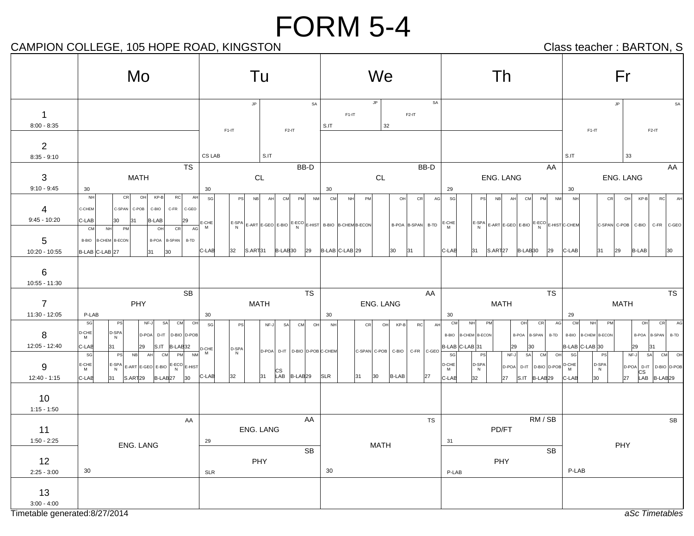## CAMPION COLLEGE, 105 HOPE ROAD, KINGSTON CAMPION Class teacher : BARTON, S

|                                                                     | Mo                                                                                                                                                                                                                                                                                                           | Tu                                                                                                                                                                                                                                                                      | We                                                                                                                                           | Th                                                                                                                                                                                                                                                                             | Fr                                                                                                                                                                                                                                                                               |
|---------------------------------------------------------------------|--------------------------------------------------------------------------------------------------------------------------------------------------------------------------------------------------------------------------------------------------------------------------------------------------------------|-------------------------------------------------------------------------------------------------------------------------------------------------------------------------------------------------------------------------------------------------------------------------|----------------------------------------------------------------------------------------------------------------------------------------------|--------------------------------------------------------------------------------------------------------------------------------------------------------------------------------------------------------------------------------------------------------------------------------|----------------------------------------------------------------------------------------------------------------------------------------------------------------------------------------------------------------------------------------------------------------------------------|
| $\overline{1}$<br>$8:00 - 8:35$                                     |                                                                                                                                                                                                                                                                                                              | SA<br>$\mathsf{JP}$<br>$F1-IT$<br>$F2-IT$                                                                                                                                                                                                                               | SA<br>JP<br>$F1-IT$<br>$F2-IT$<br>S.IT<br>32                                                                                                 |                                                                                                                                                                                                                                                                                | $\mathsf{JP}$<br>SA<br>$F1-IT$<br>$F2-IT$                                                                                                                                                                                                                                        |
| $\overline{2}$<br>$8:35 - 9:10$                                     |                                                                                                                                                                                                                                                                                                              | CS LAB<br>S.IT                                                                                                                                                                                                                                                          |                                                                                                                                              |                                                                                                                                                                                                                                                                                | S.IT<br>33                                                                                                                                                                                                                                                                       |
| $\mathbf{3}$<br>$9:10 - 9:45$                                       | <b>TS</b><br><b>MATH</b><br>30                                                                                                                                                                                                                                                                               | BB-D<br>CL<br>30                                                                                                                                                                                                                                                        | BB-D<br>CL<br>30                                                                                                                             | AA<br><b>ENG. LANG</b><br>29                                                                                                                                                                                                                                                   | AA<br>ENG. LANG<br>30                                                                                                                                                                                                                                                            |
| $\overline{4}$<br>$9:45 - 10:20$<br>5 <sup>5</sup><br>10:20 - 10:55 | $KP-B$<br>NH<br>CR<br>OH<br>AH<br><b>RC</b><br>C-CHEM<br>C-SPAN C-POB<br>C-BIO<br>C-FR C-GEO<br>$C-LAB$<br><b>B-LAB</b><br> 31<br>30<br>29<br>O <sub>H</sub><br><sub>CM</sub><br>CR<br><b>NH</b><br>PM<br>B-BIO   B-CHEM   B-ECON<br>B-POA B-SPAN<br>B-TD<br>B-LAB C-LAB 27<br>30<br>31                      | SG<br>AH<br><b>NM</b><br><b>PS</b><br>N <sub>B</sub><br>CM<br>PM<br>$\frac{1}{\text{AG}}$ E-CHE<br>$\left  \frac{\text{E-SPA}}{N} \right $ E-ART $\left  \frac{\text{E-ECO}}{\text{E-BO}} \right $ E-HIST B-BIO B-CHEM B-ECON<br>N<br>C-LAB<br>32<br>S.ART31 B-LAB30 29 | <b>CM</b><br>AG<br>PM<br>OH<br><b>CR</b><br>NH<br>B-POA B-SPAN B-TD E-CHE<br>$B-LAB C-LAB 29$<br>30<br> 31                                   | SG<br>AH<br>CM<br>PM<br><b>NM</b><br><b>PS</b><br><b>NB</b><br>$\left  \frac{\text{E-SPA}}{N} \right $ E-ART E-GEO E-BIO $\left  \frac{\text{E-ECO}}{N} \right $ E-HIST C-CHEM<br>C-LAB<br>$ S.ART 27$ $ B-LAB 30$<br>29<br>31                                                 | <b>NH</b><br>CR<br>KP-B<br>RC<br>OH<br>AH<br>C-SPAN C-POB C-BIO C-FR C-GEO<br>$C-LAB$<br>29<br>B-LAB<br>31<br>30                                                                                                                                                                 |
| 6<br>$10:55 - 11:30$                                                |                                                                                                                                                                                                                                                                                                              |                                                                                                                                                                                                                                                                         |                                                                                                                                              |                                                                                                                                                                                                                                                                                |                                                                                                                                                                                                                                                                                  |
| $\overline{7}$<br>11:30 - 12:05                                     | <b>SB</b><br>PHY<br>P-LAB                                                                                                                                                                                                                                                                                    | <b>TS</b><br><b>MATH</b><br>30                                                                                                                                                                                                                                          | AA<br>ENG. LANG<br>30                                                                                                                        | <b>TS</b><br><b>MATH</b><br>30                                                                                                                                                                                                                                                 | <b>TS</b><br><b>MATH</b><br>29                                                                                                                                                                                                                                                   |
| 8<br>12:05 - 12:40<br>9<br>$12:40 - 1:15$                           | SG<br>NF-J<br>SA<br>CM<br>OH<br>PS<br>$D$ -CHE<br>D-SPA<br>D-POA D-IT D-BIO D-POB<br>C-LAB<br>29<br>31<br>$S.IT$ $B-LAB32$<br>$\frac{1}{\text{CM}}$ B-LAB32 D-CHE<br>SG<br>AH<br>PS<br><b>NB</b><br>E-CHE<br>M<br>$E-SPA$<br>$E-ART$ $E-GEO$ $E-BIO$ $E-ECO$ $E-HIST$<br>C-LAB<br>31 S.ART 29 B-LAB 27<br>30 | sg<br>CM<br>OHI<br>NF-J<br>SA<br><b>PS</b><br>D-SPA<br>D-POA D-IT D-BIO D-POB C-CHEM<br>N<br>$\begin{array}{c} \n\text{CS} \\ \n\text{LAB} \n\end{array}$ B-LAB29<br>31<br>C-LAB<br>32                                                                                  | AH<br>$KP-B$<br>RC<br><b>NH</b><br>CR<br>OH<br>C-SPAN C-POB C-BIO C-FR<br>C-GEO<br>30 <sup>o</sup><br><b>B-LAB</b><br><b>SLR</b><br>31<br>27 | CM<br>OH<br>CR<br>AG<br><b>NH</b><br>PM<br>B-BIO  B-CHEM   B-ECON<br>B-POA B-SPAN B-TD<br>B-LAB C-LAB 31<br>29<br>30<br>SG<br>$NF-J$<br>SA CM<br><b>PS</b><br>он<br>D-SPA<br>N<br>$D$ -CHE<br>$D-IT$ D-BIO D-POB $D-CHE$<br>D-POA<br>C-LAB<br>27<br>$ S.IT $ $ B-LAB 29$<br>32 | CM<br>PM<br>OH<br>CR<br>AG<br>NH<br>B-BIO B-CHEM B-ECON<br>B-POA B-SPAN B-TD<br>B-LAB C-LAB 30<br>29<br>31<br>CM OH<br>NF-J<br>SA<br>sg<br>PS<br>D-SPA<br>D-POA D-IT D-BIO D-POB<br>N<br>$\begin{vmatrix} \text{CS} \\ \text{LAB} \end{vmatrix}$ B-LAB 29<br> 27 <br>C-LAB<br>30 |
| 10<br>$1:15 - 1:50$                                                 |                                                                                                                                                                                                                                                                                                              |                                                                                                                                                                                                                                                                         |                                                                                                                                              |                                                                                                                                                                                                                                                                                |                                                                                                                                                                                                                                                                                  |
| 11<br>$1:50 - 2:25$<br>12                                           | AA<br><b>ENG. LANG</b>                                                                                                                                                                                                                                                                                       | AA<br>ENG. LANG<br>29<br><b>SB</b><br>PHY                                                                                                                                                                                                                               | <b>TS</b><br><b>MATH</b>                                                                                                                     | RM / SB<br>PD/FT<br>31<br>SB<br>PHY                                                                                                                                                                                                                                            | SB<br>PHY                                                                                                                                                                                                                                                                        |
| $2:25 - 3:00$<br>13<br>$3:00 - 4:00$                                | 30                                                                                                                                                                                                                                                                                                           | <b>SLR</b>                                                                                                                                                                                                                                                              | 30                                                                                                                                           | P-LAB                                                                                                                                                                                                                                                                          | P-LAB                                                                                                                                                                                                                                                                            |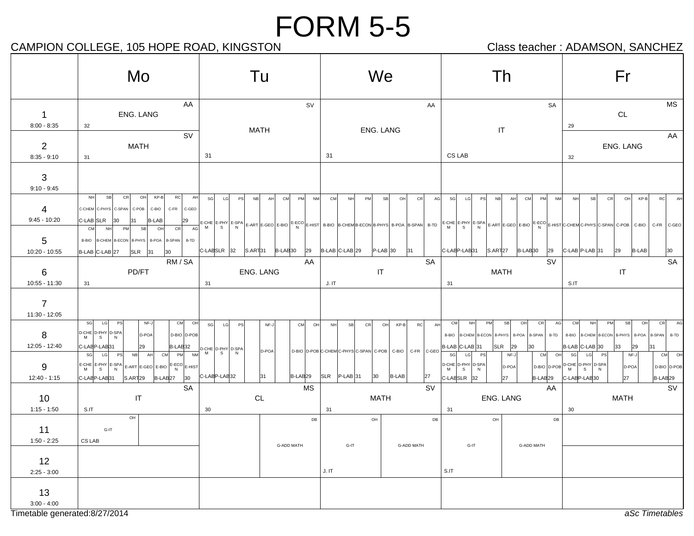## CAMPION COLLEGE, 105 HOPE ROAD, KINGSTON CAMPION Class teacher : ADAMSON, SANCHEZ

|                                   | Mo                                                                                                                                                                                                                                          | Tu                                                  |                                       |                                                                              | We                                      |                                                                                              | Th                                                                                                    | Fr                                                                                                                                                                                                            |                                                            |
|-----------------------------------|---------------------------------------------------------------------------------------------------------------------------------------------------------------------------------------------------------------------------------------------|-----------------------------------------------------|---------------------------------------|------------------------------------------------------------------------------|-----------------------------------------|----------------------------------------------------------------------------------------------|-------------------------------------------------------------------------------------------------------|---------------------------------------------------------------------------------------------------------------------------------------------------------------------------------------------------------------|------------------------------------------------------------|
| $\overline{1}$<br>$8:00 - 8:35$   | AA<br>ENG. LANG<br>32                                                                                                                                                                                                                       | <b>MATH</b>                                         | SV                                    |                                                                              | AA<br>ENG. LANG                         | $\ensuremath{\mathsf{IT}}\xspace$                                                            | SA                                                                                                    | CL<br>29                                                                                                                                                                                                      | <b>MS</b>                                                  |
| $\overline{2}$<br>$8:35 - 9:10$   | <b>SV</b><br>MATH<br>31                                                                                                                                                                                                                     | 31                                                  |                                       | 31                                                                           |                                         | CS LAB                                                                                       |                                                                                                       | ENG. LANG<br>32                                                                                                                                                                                               | AA                                                         |
| $\mathbf{3}$<br>$9:10 - 9:45$     |                                                                                                                                                                                                                                             |                                                     |                                       |                                                                              |                                         |                                                                                              |                                                                                                       |                                                                                                                                                                                                               |                                                            |
| 4<br>$9:45 - 10:20$               | NH<br>SB<br>CR<br>OH<br>KP-B<br>RC<br>AH<br>C-CHEM C-PHYS C-SPAN<br>C-POB<br>C-FR<br>C-GEO<br>C-BIO<br>C-LAB SLR<br>30<br>31<br><b>B-LAB</b><br>29<br>AG<br>CM<br>O <sub>H</sub><br>CR<br><b>NH</b><br>PM<br>SB                             | SG<br>LG<br><b>PS</b><br><b>NB</b>                  | CM<br>AH<br>PM<br>NM                  | CM<br>NH<br>PM                                                               | SB<br>O <sub>H</sub><br>CR<br>AG        | SG<br>LG<br>PS<br><b>NB</b>                                                                  | AH<br><b>CM</b><br>PM<br><b>NM</b>                                                                    | <b>NH</b><br>SB<br>CR<br>OH<br>E-CHE E-PHY E-SPA E-ART E-GEO E-BIO E-ECO E-HIST B-BIO B-CHEMB-ECON B-PHYS B-POA B-SPAN B-TD E-CHE E-PHY E-SPA E-ART E-GEO E-BIO E-ECO E-HIST C-CHEM C-PHYS C-SPAN C-POB C-BIO | <b>RC</b><br>KP-B<br>AH<br>C-FR C-GEO                      |
| 5<br>10:20 - 10:55                | B-BIO   B-CHEM   B-ECON   B-PHYS   B-POA   B-SPAN   B-TD<br>$ SLR$ 31<br>B-LAB C-LAB 27<br>$ 30\rangle$<br>RM / SA                                                                                                                          | $ C$ -LAESLR 32 $ S.ART31$ $ B$ -LAE30 $ 29$        | AA                                    | $B-LAB$ C-LAB 29                                                             | $P$ -LAB 30<br>31<br>SA                 | C-LABP-LAB31                                                                                 | $ S.ART 27$ $ B-LAB 30$<br>29<br><b>SV</b>                                                            | $ C$ -LAB $ P$ -LAB $ 31$<br>29<br>B-LAB                                                                                                                                                                      | <b>SA</b>                                                  |
| 6<br>10:55 - 11:30                | PD/FT<br>31                                                                                                                                                                                                                                 | ENG. LANG<br>31                                     |                                       | J. IT                                                                        | IT                                      | MATH<br>31                                                                                   |                                                                                                       | IT<br>S.IT                                                                                                                                                                                                    |                                                            |
| $\overline{7}$<br>$11:30 - 12:05$ |                                                                                                                                                                                                                                             |                                                     |                                       |                                                                              |                                         |                                                                                              |                                                                                                       |                                                                                                                                                                                                               |                                                            |
| 8<br>12:05 - 12:40                | SG<br>LG<br>CM<br>PS<br>NF-J<br>OH<br>$D$ -CHE $D$ -PHY $D$ -SPA<br>D-POA<br>D-BIO D-POB<br>s<br>C-LABP-LAB31<br>29<br>B-LAB <sub>32</sub><br>CM PM<br>SG<br>NB<br>AH<br>PS<br>LG                                                           | LG<br>sg<br>PS<br>$\frac{32}{NM}$ D-CHE D-PHY D-SPA | CM<br>NF-J<br>O <sub>H</sub><br>D-POA | <b>NH</b><br><b>SB</b><br>CR<br>D-BIO D-POB C-CHEM C-PHYS C-SPAN C-POB C-BIO | RC<br>AH<br>OH<br>KP-B<br>C-FR<br>C-GEO | CM<br><b>NH</b><br>PM<br>B-BIO  B-CHEM   B-ECON   B-PHYS<br>B-LAB C-LAB 31<br>SG<br>LG<br>PS | OH<br>CR<br>AG<br>SB<br>B-SPAN<br>B-POA<br>$ SLR $ 29<br>$ 30\rangle$<br>NF-J<br>CM<br>O <sub>H</sub> | CM<br>NH<br>PM<br>SB<br>B-TD   B-BIO   B-CHEM   B-ECON   B-PHYS   B-POA<br>B-LAB C-LAB 30<br>33<br>29<br>SG<br>LG<br>PS<br>NF-J                                                                               | CR<br>AG<br>OH<br><b>B-SPAN</b><br>B-TD<br>131<br>OH<br>CM |
| 9<br>12:40 - 1:15                 | $\left  \frac{1}{\mathsf{R}} \right  \leq \mathsf{SPI} \leq \mathsf{SPI} \leq \mathsf{RPI} \leq \mathsf{RRT} \leq \mathsf{SIF} \leq \mathsf{SIF} \leq \mathsf{SIF} \leq \mathsf{RIST}$<br>S.ART29<br>B-LAB <sub>27</sub> 30<br>C-LABP-LAB31 | C-LAEP-LAE32                                        | 31 <br>B-LAB <sub>29</sub>            | $ SLR $ P-LAB 31<br>$ 30\rangle$                                             | <b>B-LAB</b><br>27                      | D-CHE D-PHY D-SPA<br>M<br>S<br>N<br>C-LABSLR 32                                              | D-POA<br>27<br>B-LAB <sub>29</sub>                                                                    | D-BIO D-POB D-CHE D-PHY D-SPA<br>D-POA<br>C-LABP-LAB30<br>27                                                                                                                                                  | D-BIO D-POB<br>B-LAB <sub>29</sub>                         |
| 10<br>$1:15 - 1:50$               | <b>SA</b><br>IT<br>S.IT                                                                                                                                                                                                                     | $\mathsf{CL}$<br>30                                 | <b>MS</b>                             | 31                                                                           | <b>SV</b><br>MATH                       | ENG. LANG<br>31                                                                              | AA                                                                                                    | <b>MATH</b><br>30                                                                                                                                                                                             | SV                                                         |
| 11<br>$1:50 - 2:25$               | OH<br>$G-IT$<br>CS LAB                                                                                                                                                                                                                      |                                                     | DB<br>G-ADD MATH                      | OH<br>G-IT                                                                   | DB<br><b>G-ADD MATH</b>                 | OH<br>G-IT                                                                                   | DB<br>G-ADD MATH                                                                                      |                                                                                                                                                                                                               |                                                            |
| 12<br>$2:25 - 3:00$               |                                                                                                                                                                                                                                             |                                                     |                                       | J. I T                                                                       |                                         | S.IT                                                                                         |                                                                                                       |                                                                                                                                                                                                               |                                                            |
| 13<br>$3:00 - 4:00$               |                                                                                                                                                                                                                                             |                                                     |                                       |                                                                              |                                         |                                                                                              |                                                                                                       |                                                                                                                                                                                                               |                                                            |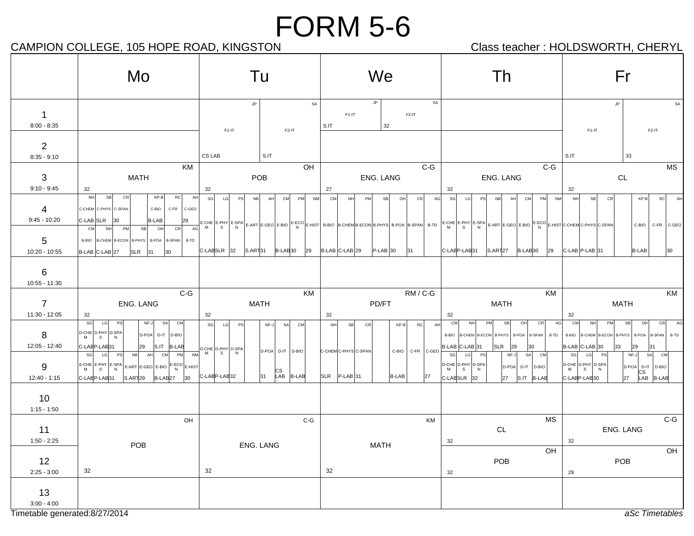## CAMPION COLLEGE, 105 HOPE ROAD, KINGSTON CAMPION Class teacher : HOLDSWORTH, CHERYL

|                                 | Mo                                                                                                                                                                                                                                                                                                                                                                                                                                                                                                                                                  | Tu                                                                                 | We                                                                                                                                                                  | Τh                                                                                                                                                    | Fr                                                                                                                                                                                                                                                                                 |  |  |  |
|---------------------------------|-----------------------------------------------------------------------------------------------------------------------------------------------------------------------------------------------------------------------------------------------------------------------------------------------------------------------------------------------------------------------------------------------------------------------------------------------------------------------------------------------------------------------------------------------------|------------------------------------------------------------------------------------|---------------------------------------------------------------------------------------------------------------------------------------------------------------------|-------------------------------------------------------------------------------------------------------------------------------------------------------|------------------------------------------------------------------------------------------------------------------------------------------------------------------------------------------------------------------------------------------------------------------------------------|--|--|--|
| $\mathbf 1$<br>$8:00 - 8:35$    |                                                                                                                                                                                                                                                                                                                                                                                                                                                                                                                                                     | $\mathsf{JP}$<br>$F1-IT$<br>$F2-IT$                                                | SA<br>$\mathsf{JP}$<br>SA<br>$F1-IT$<br>$F2-IT$<br>32<br>S.IT                                                                                                       |                                                                                                                                                       | <b>JP</b><br>SA<br>$F1-IT$<br>$F2-IT$                                                                                                                                                                                                                                              |  |  |  |
| $\overline{2}$<br>$8:35 - 9:10$ |                                                                                                                                                                                                                                                                                                                                                                                                                                                                                                                                                     | CS LAB<br>S.IT                                                                     |                                                                                                                                                                     |                                                                                                                                                       | S.IT<br>33                                                                                                                                                                                                                                                                         |  |  |  |
| 3<br>$9:10 - 9:45$              | KM<br><b>MATH</b><br>32                                                                                                                                                                                                                                                                                                                                                                                                                                                                                                                             | OH<br>POB<br>32                                                                    | $C-G$<br>ENG. LANG<br>27                                                                                                                                            | $C-G$<br>ENG. LANG<br>32                                                                                                                              | <b>MS</b><br>CL<br>32                                                                                                                                                                                                                                                              |  |  |  |
| 4                               | NH<br>SB<br>CR<br>$KP-B$<br>RC<br>AH<br>C-CHEM C-PHYS C-SPAN<br>C-BIO<br>C-FR<br>C-GEO                                                                                                                                                                                                                                                                                                                                                                                                                                                              | sg<br>LG<br>PM<br><b>PS</b><br>NB<br>AH<br>CM                                      | NM<br><b>CM</b><br>SB<br>CR<br>NH<br>PM<br>O <sub>H</sub>                                                                                                           | SG<br>AG<br><b>NB</b><br>PM<br>LG<br>PS<br>AH<br>CM<br><b>NM</b>                                                                                      | <b>NH</b><br>SB<br>CR<br>$KP-B$<br>RC<br>AH                                                                                                                                                                                                                                        |  |  |  |
| $9:45 - 10:20$<br>5             | C-LAB SLR<br><b>B-LAB</b><br>$ 30\rangle$<br>29<br><b>CM</b><br>PM<br><b>SB</b><br>OH<br>CR<br>AG<br><b>NH</b><br>B-BIO   B-CHEM   B-ECON   B-PHYS   B-POA   B-SPAN   B-TD                                                                                                                                                                                                                                                                                                                                                                          |                                                                                    | E-CHE E-PHY E-SPA E-ART E-GEO E-BIO E-ECO E-HIST B-BIO B-CHEM B-ECON B-PHYS B-POA B-SPAN B-TD E-CHE E-PHY E-SPA E-ART E-GEO E-BIO E-ECO E-HIST C-CHEM C-PHYS C-SPAN |                                                                                                                                                       | C-BIO<br>C-FR C-GEO                                                                                                                                                                                                                                                                |  |  |  |
| 10:20 - 10:55<br>6              | B-LAB C-LAB 27<br><b>SLR</b><br>30<br>31                                                                                                                                                                                                                                                                                                                                                                                                                                                                                                            | C-LABSLR 32<br>S.ART31<br>B-LAB <sub>30</sub><br>29                                | $B-LAB$ C-LAB 29<br>$P-LAB$ 30<br> 31                                                                                                                               | C-LABP-LAB31<br>S.ART <sub>27</sub><br>B-LAB <sub>30</sub><br>29                                                                                      | <b>B-LAB</b><br>$ C-LAB P-LAB 31$<br>30                                                                                                                                                                                                                                            |  |  |  |
| 10:55 - 11:30                   |                                                                                                                                                                                                                                                                                                                                                                                                                                                                                                                                                     |                                                                                    |                                                                                                                                                                     |                                                                                                                                                       |                                                                                                                                                                                                                                                                                    |  |  |  |
| $\overline{7}$                  | $C-G$<br>ENG. LANG                                                                                                                                                                                                                                                                                                                                                                                                                                                                                                                                  | KM<br><b>MATH</b>                                                                  | RM/C-G<br>PD/FT                                                                                                                                                     | KM<br><b>MATH</b>                                                                                                                                     | KM<br><b>MATH</b>                                                                                                                                                                                                                                                                  |  |  |  |
| 11:30 - 12:05                   | 32                                                                                                                                                                                                                                                                                                                                                                                                                                                                                                                                                  | 32                                                                                 | 32                                                                                                                                                                  | 32                                                                                                                                                    | 32                                                                                                                                                                                                                                                                                 |  |  |  |
| 8<br>12:05 - 12:40              | SG<br>LG<br>PS<br>SA<br>CM<br>NF-J<br>D-CHE D-PHY D-SPA<br>D-POA D-IT D-BIO<br>$\mathsf{s}$<br>N<br>C-LABP-LAB31<br>29<br>S.IT B-LAB                                                                                                                                                                                                                                                                                                                                                                                                                | SG<br>LG<br>NF-J<br><b>CM</b><br>PS<br>SA<br>D-CHE D-PHY D-SPA<br>D-POA D-IT D-BIO | SB<br>CR<br>$KP-B$<br><b>RC</b><br><b>NH</b><br>C-FR C-GEO<br>C-CHEMC-PHYS C-SPAN<br>C-BIO                                                                          | CM<br><b>NH</b><br>PM<br>SB<br>OH<br>CR<br>AG<br>AH<br>B-BIO   B-CHEM   B-ECON   B-PHYS   B-POA   B-SPAN   B-TD<br>B-LAB C-LAB 31<br> SLR<br>29<br>30 | CM<br>SB<br>OH<br>CR<br><b>NH</b><br>PM<br>AG<br>B-BIO<br>B-CHEM B-ECON B-PHYS<br>B-POA B-SPAN<br>B-TD<br>B-LAB C-LAB 30<br>33<br>29<br>31                                                                                                                                         |  |  |  |
| 9<br>12:40 - 1:15               | SG<br>PS<br><b>NB</b><br>AH<br>CM<br>PM<br><b>NM</b><br>LG<br>$\left[\begin{matrix}E-\mathsf{CHE}\\ \mathsf{M}\end{matrix}\right]\begin{matrix}E-\mathsf{SPA}\\ \mathsf{S}\end{matrix}\right]$ $\left[\begin{matrix}E-\mathsf{SPA}\\ \mathsf{N}\end{matrix}\right]$ $\left[\begin{matrix}E-\mathsf{GEO}\\ \mathsf{E- BIO}\end{matrix}\right]\begin{matrix}E-\mathsf{ECO}\\ \mathsf{N}\end{matrix}\right]$ $\left[\begin{matrix}E-\mathsf{HIST}\\ \mathsf{N}\end{matrix}\right]$<br>C-LABP-LAB31<br>S.ART <sub>29</sub><br>B-LAB <sub>27</sub><br>30 | M<br>S.<br>N<br> CS<br>LAB B-LAB<br>31<br>C-LABP-LAB32                             | SLR P-LAB 31<br><b>B-LAB</b><br>27                                                                                                                                  | $\mathbb S \mathbb G$<br>LG<br>PS<br>NF-J<br>SA<br>CM<br>D-CHE D-PHY D-SPA<br>D-POA D-IT D-BIO<br>27<br>S.IT B-LAB<br>C-LABSLR 32                     | LG<br>$NF-J$<br>SA CM<br>SG<br>PS<br>$\left  \begin{matrix} D\text{-CHE} \\ M \end{matrix} \right  \left. \begin{matrix} D\text{-PHY} \\ S \end{matrix} \right  \left. \begin{matrix} D\text{-SPA} \\ N \end{matrix} \right.$<br>D-POA D-IT D-BIO<br>S<br>N.<br>27<br>C-LABP-LAB30 |  |  |  |
| 10<br>$1:15 - 1:50$             |                                                                                                                                                                                                                                                                                                                                                                                                                                                                                                                                                     |                                                                                    |                                                                                                                                                                     |                                                                                                                                                       |                                                                                                                                                                                                                                                                                    |  |  |  |
| 11                              | OH                                                                                                                                                                                                                                                                                                                                                                                                                                                                                                                                                  | C-G                                                                                | KM                                                                                                                                                                  | <b>MS</b><br>CL                                                                                                                                       | $C-G$<br>ENG. LANG                                                                                                                                                                                                                                                                 |  |  |  |
| $1:50 - 2:25$                   | POB                                                                                                                                                                                                                                                                                                                                                                                                                                                                                                                                                 | ENG. LANG                                                                          | <b>MATH</b>                                                                                                                                                         | 32                                                                                                                                                    | 32                                                                                                                                                                                                                                                                                 |  |  |  |
| 12                              |                                                                                                                                                                                                                                                                                                                                                                                                                                                                                                                                                     |                                                                                    |                                                                                                                                                                     | OH<br>POB                                                                                                                                             | OH<br>POB                                                                                                                                                                                                                                                                          |  |  |  |
| $2:25 - 3:00$                   | 32                                                                                                                                                                                                                                                                                                                                                                                                                                                                                                                                                  | $32\,$                                                                             | 32                                                                                                                                                                  | 32                                                                                                                                                    | 29                                                                                                                                                                                                                                                                                 |  |  |  |
| 13                              |                                                                                                                                                                                                                                                                                                                                                                                                                                                                                                                                                     |                                                                                    |                                                                                                                                                                     |                                                                                                                                                       |                                                                                                                                                                                                                                                                                    |  |  |  |
| $3:00 - 4:00$                   |                                                                                                                                                                                                                                                                                                                                                                                                                                                                                                                                                     |                                                                                    |                                                                                                                                                                     |                                                                                                                                                       |                                                                                                                                                                                                                                                                                    |  |  |  |
| Timetable generated:8/27/2014   |                                                                                                                                                                                                                                                                                                                                                                                                                                                                                                                                                     |                                                                                    |                                                                                                                                                                     |                                                                                                                                                       | aSc Timetables                                                                                                                                                                                                                                                                     |  |  |  |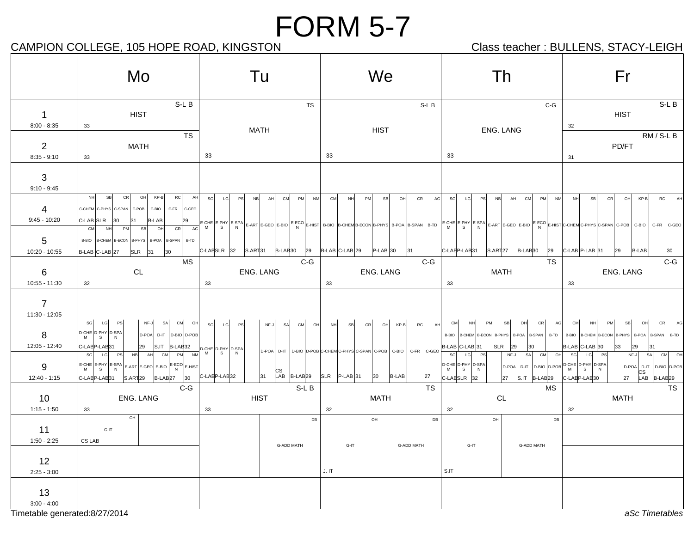## CAMPION COLLEGE, 105 HOPE ROAD, KINGSTON CAMPION Class teacher : BULLENS, STACY-LEIGH

|                                                | Mo                                                                                                                                                                                                                                                                                    | Tu                                                                                                                                               | We                                                                                                                          | Th                                                                                                                                                                                                                                                                  | Fr                                                                                                                                                                                      |  |  |  |
|------------------------------------------------|---------------------------------------------------------------------------------------------------------------------------------------------------------------------------------------------------------------------------------------------------------------------------------------|--------------------------------------------------------------------------------------------------------------------------------------------------|-----------------------------------------------------------------------------------------------------------------------------|---------------------------------------------------------------------------------------------------------------------------------------------------------------------------------------------------------------------------------------------------------------------|-----------------------------------------------------------------------------------------------------------------------------------------------------------------------------------------|--|--|--|
| $\mathbf 1$<br>$8:00 - 8:35$                   | $S-LB$<br><b>HIST</b><br>33                                                                                                                                                                                                                                                           | TS<br><b>MATH</b>                                                                                                                                | S-L B<br><b>HIST</b>                                                                                                        | $C-G$<br>ENG. LANG                                                                                                                                                                                                                                                  | S-L B<br><b>HIST</b><br>32                                                                                                                                                              |  |  |  |
| $\overline{2}$<br>$8:35 - 9:10$                | <b>TS</b><br><b>MATH</b><br>33                                                                                                                                                                                                                                                        | 33                                                                                                                                               | 33                                                                                                                          | 33                                                                                                                                                                                                                                                                  | RM / S-L B<br>PD/FT<br>31                                                                                                                                                               |  |  |  |
| 3<br>$9:10 - 9:45$                             |                                                                                                                                                                                                                                                                                       |                                                                                                                                                  |                                                                                                                             |                                                                                                                                                                                                                                                                     |                                                                                                                                                                                         |  |  |  |
| 4<br>$9:45 - 10:20$                            | CR<br>OH<br>KP-B<br>NH<br>SB<br>RC<br>AH<br>C-CHEM C-PHYS C-SPAN C-POB<br>C-BIO<br>C-FR<br>C-GEO<br>C-LAB SLR<br><b>B-LAB</b><br>30<br>29<br>131                                                                                                                                      | SG<br>LG<br><b>PS</b><br>CM<br>PM<br><b>NM</b><br><b>NB</b><br>AH                                                                                | <b>CM</b><br>PM<br>CR<br>NH<br><b>SB</b><br>OH                                                                              | PM<br>AG<br>SG<br>PS<br><b>NB</b><br>CM<br>LG<br>AH                                                                                                                                                                                                                 | $KP-B$<br>NM<br>NH<br><b>SB</b><br><b>CR</b><br>OH<br><b>RC</b><br>AH                                                                                                                   |  |  |  |
| 5<br>10:20 - 10:55                             | CM<br>CR<br>AG<br>NH<br>PM<br>SB<br>OH<br>B-BIO   B-CHEM   B-ECON   B-PHYS   B-POA   B-SPAN  <br>B-TD<br>B-LAB C-LAB 27<br>SLR<br>30<br> 31                                                                                                                                           | C-LABSLR 32<br>$ S.ART 31$ $ B-LAB 30$<br>29                                                                                                     | B-LAB C-LAB 29<br>$P-LAB$ 30<br> 31                                                                                         | E-CHE E-PHY E-SPA E-ART E-GEO E-BIO  <sup>E-ECO</sup>  E-HIST B-BIO  B-CHEMB-ECON B-PHYS B-POA B-SPAN  B-TD  E-CHE E-PHY E-SPA E-ART E-GEO E-BIO E-ECO E-HIST C-CHEM C-PHYS C-SPAN C-POB C-BIO <br>C-LABP-LAB31<br>S.ART <sub>27</sub><br>B-LAB <sub>30</sub><br>29 | C-FR C-GEO<br>C-LAB P-LAB 31<br>29<br><b>B-LAB</b><br>30                                                                                                                                |  |  |  |
| 6<br>10:55 - 11:30                             | MS<br>CL<br>32                                                                                                                                                                                                                                                                        | $C-G$<br>ENG. LANG<br>33                                                                                                                         | $C-G$<br><b>ENG. LANG</b><br>33                                                                                             | <b>TS</b><br><b>MATH</b><br>33                                                                                                                                                                                                                                      | $C-G$<br>ENG. LANG<br>33                                                                                                                                                                |  |  |  |
| $\overline{7}$<br>11:30 - 12:05                |                                                                                                                                                                                                                                                                                       |                                                                                                                                                  |                                                                                                                             |                                                                                                                                                                                                                                                                     |                                                                                                                                                                                         |  |  |  |
| 8<br>12:05 - 12:40                             | SG<br>CM<br>LG<br>PS<br>NF-J<br>SA<br>OH<br>$\left  \begin{array}{cc} \text{D-CHE} & \text{D-PHY} \\ \text{M} & \text{S} \end{array} \right  \left. \begin{array}{c} \text{D-SPA} \\ \text{N} \end{array} \right $<br>D-POA<br>D-IT D-BIO D-POB<br>C-LABP-LAB31<br>S.IT B-LAB32<br>29 | SG<br>LG<br>NF-J<br><b>CM</b><br>OH<br>PS<br>SA                                                                                                  | <b>NH</b><br>SB<br>CR<br>OH<br>$KP-B$<br><b>RC</b>                                                                          | PM<br>SB<br>CR<br><b>CM</b><br><b>NH</b><br>OH<br>AH<br>B-TD<br>B-BIO   B-CHEM   B-ECON   B-PHYS   B-POA   B-SPAN  <br>SLR<br>B-LAB C-LAB 31<br>29<br>30                                                                                                            | AG<br>CM<br>PM<br>SB<br>OH<br>CR<br><b>NH</b><br>B-CHEM B-ECON B-PHYS<br>B-POA<br>B-BIO<br><b>B-SPAN</b><br>B-TD<br>B-LAB C-LAB 30<br>33<br>29<br>31                                    |  |  |  |
| 9<br>12:40 - 1:15                              | sg<br>PM<br><b>PS</b><br>NB<br>CM<br><b>NM</b><br>LG<br>AH<br>$E-CHE$ $E-PHY$ $E-SPA$ $E-ART$ $E-GEO$ $E-BIO$ $E-ECO$ $E-HIST$<br>C-LABP-LAB31<br>S.ART <sub>29</sub><br>B-LAB <sub>27</sub><br>30                                                                                    | D-CHE D-PHY D-SPA<br>M<br>S<br>N<br>$\begin{array}{ c c c c }\n\hline\n\text{LAB} & \text{B-LAB} & \text{29}\n\end{array}$<br>C-LAEP-LAE32<br>31 | D-POA D-IT D-BIO D-POB C-CHEM C-PHYS C-SPAN C-POB<br>C-GEO<br>C-BIO<br>C-FR<br>$ SLR $ P-LAB 31<br>30<br><b>B-LAB</b><br>27 | SG<br>CM<br>LG<br>PS<br>NF-J<br>SA<br>$\begin{array}{ c c c c c }\nD-CHE & D-PHY & D-SPA & & \nM & S & N\n\end{array}$<br>D-POA<br>C-LABSLR 32<br>$S.IT$ $ B-LAB 29$<br>27                                                                                          | LG<br>NF-J<br>SA<br>CM<br>O <sub>H</sub><br>SG<br>PS<br>OH<br>D-IT D-BIO D-POB D-CHE D-PHY D-SPA<br>D-POA D-IT D-BIO D-POB<br>N<br> CS<br>C-LABP-LAB30<br>27<br>LAB B-LAB <sub>29</sub> |  |  |  |
| 10<br>$1:15 - 1:50$                            | $C-G$<br>ENG. LANG<br>33                                                                                                                                                                                                                                                              | S-L B<br><b>HIST</b><br>33                                                                                                                       | TS<br><b>MATH</b><br>32                                                                                                     | MS<br>CL<br>32                                                                                                                                                                                                                                                      | TS<br><b>MATH</b><br>32                                                                                                                                                                 |  |  |  |
| 11<br>$1:50 - 2:25$                            | OH<br>G-IT<br>CS LAB                                                                                                                                                                                                                                                                  | DB                                                                                                                                               | $\mathsf{OH}$                                                                                                               | ${\sf DB}$<br>DB<br>OH                                                                                                                                                                                                                                              |                                                                                                                                                                                         |  |  |  |
| 12<br>$2:25 - 3:00$                            |                                                                                                                                                                                                                                                                                       | G-ADD MATH                                                                                                                                       | <b>G-ADD MATH</b><br>G-IT<br>J. IT                                                                                          | <b>G-ADD MATH</b><br>G-IT<br>S.IT                                                                                                                                                                                                                                   |                                                                                                                                                                                         |  |  |  |
| 13                                             |                                                                                                                                                                                                                                                                                       |                                                                                                                                                  |                                                                                                                             |                                                                                                                                                                                                                                                                     |                                                                                                                                                                                         |  |  |  |
| $3:00 - 4:00$<br>Timetable generated:8/27/2014 |                                                                                                                                                                                                                                                                                       |                                                                                                                                                  |                                                                                                                             |                                                                                                                                                                                                                                                                     | aSc Timetables                                                                                                                                                                          |  |  |  |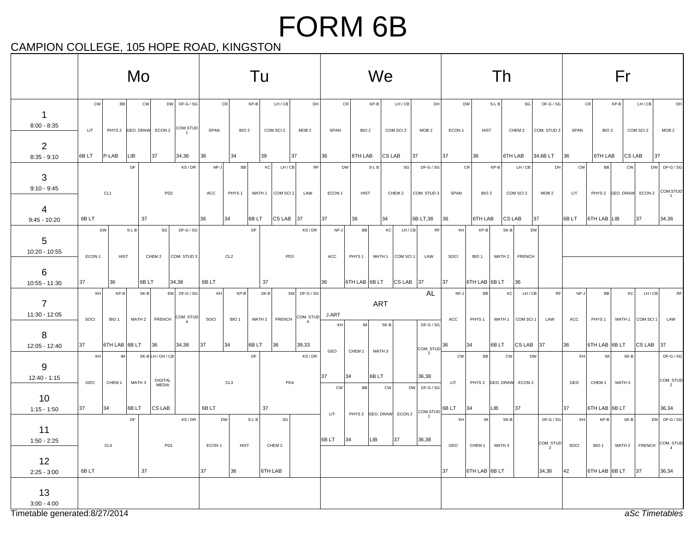## FORM 6B

CAMPION COLLEGE, 105 HOPE ROAD, KINGSTON

|                                 | Mo        |                     |                                      |                                | Tu                                                             |             |                         |            | We                          |                                 |             |                         | Th                |                                   |                                                                                                                                                                                        |            | Fr                       |                             |                         |                                           |                      |                        |                   |                         |                        |
|---------------------------------|-----------|---------------------|--------------------------------------|--------------------------------|----------------------------------------------------------------|-------------|-------------------------|------------|-----------------------------|---------------------------------|-------------|-------------------------|-------------------|-----------------------------------|----------------------------------------------------------------------------------------------------------------------------------------------------------------------------------------|------------|--------------------------|-----------------------------|-------------------------|-------------------------------------------|----------------------|------------------------|-------------------|-------------------------|------------------------|
| $\mathbf 1$<br>$8:00 - 8:35$    | cw<br>LIT | <b>BB</b>           | <b>CW</b><br>PHYS 2 GEO. DRAW ECON 2 |                                | DW DF-G/SG<br>COM.STUD                                         | SPAN        | CR<br>BIO <sub>2</sub>  | KP-B       | LH/CB<br>COM SCI 2          | DH<br>MOB <sub>2</sub>          | SPAN        | CR<br>BIO <sub>2</sub>  | $KP-B$            | LH / CB<br>COM SCI 2              | DH<br>MOB <sub>2</sub>                                                                                                                                                                 | ECON 1     | <b>DW</b><br><b>HIST</b> | $S-LB$                      | SG<br>CHEM 2            | $DF-G/SG$<br>COM. STUD 3                  | SPAN                 | CR<br>BIO <sub>2</sub> | $KP-B$            | LH/CB<br>COM SCI 2      | DH<br>MOB <sub>2</sub> |
| $\overline{2}$<br>$8:35 - 9:10$ | 6BLT      | $P-LAB$             | LIB.                                 | 37                             | 34,36                                                          | 36          | 34                      | 39         |                             | 37                              | 36          | 6TH LAB                 |                   | CS LAB                            | 37                                                                                                                                                                                     | 37         | 36                       |                             | 6TH LAB                 | 34,6B LT                                  | 36                   | 6TH LAB                |                   | $CS$ LAB<br> 37         |                        |
| 3<br>$9:10 - 9:45$              |           | CL <sub>1</sub>     | DF                                   | PD <sub>2</sub>                | KS/DR                                                          | NF-J<br>ACC | BB<br>PHYS <sub>1</sub> | KC         | LH / CB<br>MATH 1 COM SCI 1 | RF<br>LAW                       | ECON 1      | DW<br><b>HIST</b>       | S-L B             | SG<br>CHEM 2                      | DF-G / SG<br>COM. STUD 3                                                                                                                                                               | SPAN       | CR<br>BIO <sub>2</sub>   | KP-B                        | LH/CB<br>COM SCI 2      | DH<br>MOB <sub>2</sub>                    | <b>CW</b><br>LIT     | BB                     | <b>CW</b>         | PHYS 2 GEO. DRAW ECON 2 | DW DF-G/SG<br>COM.STUD |
| 4<br>$9:45 - 10:20$             | 6B LT     |                     | 37                                   |                                |                                                                | 36          | 34                      | 6BLT       | $CS$ LAB 37                 |                                 | 37          | 36                      | 34                |                                   | 6B LT,38                                                                                                                                                                               | 36         | 6TH LAB                  |                             | CS LAB                  | 37                                        | 6B LT                | 6TH LAB LIB            |                   | $ 37\rangle$            | 34,36                  |
| 5<br>10:20 - 10:55              | ECON 1    | DW<br><b>HIST</b>   | S-L B                                | SG<br>CHEM 2                   | DF-G / SG<br>COM. STUD 3                                       |             | CL <sub>2</sub>         | DF         | PD <sub>3</sub>             | KS/DR                           | NF-J<br>ACC | BB<br>PHYS <sub>1</sub> |                   | LH/CB<br>KC<br>MATH 1   COM SCI 1 | <b>RF</b><br>LAW                                                                                                                                                                       | KH<br>SOCI | KP-B<br>BIO <sub>1</sub> | $SK-B$<br>MATH <sub>2</sub> | <b>FRENCH</b>           | EM                                        |                      |                        |                   |                         |                        |
| 6<br>10:55 - 11:30              | 37        | 36                  | 6BLT                                 |                                | 34,38                                                          | 6BLT        |                         | 37         |                             |                                 | 36          | 6TH LAB 6B LT           |                   | CS LAB   37                       |                                                                                                                                                                                        | 37         | 6TH LAB 6B LT            |                             | 36                      |                                           |                      |                        |                   |                         |                        |
| $\overline{7}$<br>11:30 - 12:05 | KH        | KP-B                | SK-B                                 |                                | EM DF-G/SG                                                     | KH          | $KP-B$                  | $SK-B$     |                             | $EM$ DF-G / SG                  |             |                         | <b>ART</b>        |                                   | AL                                                                                                                                                                                     | NF-J       | <b>BB</b>                |                             | LH/CB<br>KC             | RF                                        | NF-J                 | BB                     | KC                | LH/CB                   | RF                     |
| 8                               | SOCI      | BIO <sub>1</sub>    |                                      |                                | $MATH 2$ FRENCH $\begin{bmatrix} COM. STUD \\ 4 \end{bmatrix}$ | SOCI        | BIO <sub>1</sub>        |            |                             | MATH 2   FRENCH COM. STUD J.ART | KH          | IM                      | $SK-B$            |                                   | DF-G / SG                                                                                                                                                                              | ACC        | PHYS <sub>1</sub>        | MATH 1                      | COM SCI 1               | LAW                                       | ACC                  | PHYS <sub>1</sub>      |                   | MATH 1 COM SCI 1        | LAW                    |
| $12:05 - 12:40$                 | 37<br>KH  | 6TH LAB 6B LT<br>IM |                                      | 36<br>SK-BLH/OH/CB             | 34,38                                                          | 37          | 34                      | 6BLT<br>DF | 36                          | 39,33<br>KS/DR                  | GEO         | CHEM <sub>1</sub>       | MATH 3            |                                   | $\left \text{COM}.\text{STUD}\right ^{36}$<br>$\overline{2}$                                                                                                                           | <b>CW</b>  | 34<br><b>BB</b>          | 6BLT<br>CW                  | $CS$ LAB 37             | DW                                        | 36<br>KH             | 6TH LAB 6B LT<br>IM    | SK-B              | CS LAB                  | 37<br>DF-G / SG        |
| 9<br>$12:40 - 1:15$             | GEO       | CHEM <sub>1</sub>   | MATH 3                               | <b>DIGITAL</b><br><b>MEDIA</b> |                                                                |             | CL3                     |            | PD4                         |                                 | 37<br>CW    | 34<br><b>BB</b>         | 6BLT<br><b>CW</b> |                                   | 36,38<br>DW DF-G/SG                                                                                                                                                                    | <b>LIT</b> |                          |                             | PHYS 2 GEO. DRAW ECON 2 |                                           | GEO                  | CHEM <sub>1</sub>      | MATH <sub>3</sub> |                         | COM. STUD              |
| 10<br>$1:15 - 1:50$             | 37        | 34                  | 6BLT                                 | CS LAB                         |                                                                | 6BLT        |                         | 37         |                             |                                 |             |                         |                   |                                   | $\begin{array}{c} \begin{array}{c} \begin{array}{c} \text{COM}.\text{STUD} \end{array} \end{array} \end{array} \begin{array}{c} \begin{array}{c} \text{GB LT} \end{array} \end{array}$ |            | 34                       | LIB                         | 37                      |                                           | 37                   | 6TH LAB 6B LT          |                   |                         | 36,34                  |
| 11                              |           |                     | DF                                   |                                | KS/DR                                                          |             | DW                      | $S-LB$     | SG                          |                                 | LIT         |                         |                   | PHYS 2 GEO. DRAW ECON 2           |                                                                                                                                                                                        | KH         | IM                       | SK-B                        |                         | $DF-G/SG$                                 | $\mathsf{KH}\xspace$ | $KP-B$                 | SK-B              |                         | EM DF-G/SG             |
| $1:50 - 2:25$<br>12             |           | CL <sub>4</sub>     |                                      | PD <sub>1</sub>                |                                                                | ECON 1      | <b>HIST</b>             |            | CHEM 2                      |                                 | 6B LT       | 34                      | LIB.              | 37                                | 36,38                                                                                                                                                                                  | GEO        |                          | CHEM 1 MATH 3               |                         | $\left \frac{\text{COM. STUD}}{2}\right $ | SOCI                 | BIO <sub>1</sub>       |                   | MATH 2   FRENCH         | COM. STUD              |
| $2:25 - 3:00$                   | 6BLT      |                     | 37                                   |                                |                                                                | 37          | 36                      |            | 6TH LAB                     |                                 |             |                         |                   |                                   |                                                                                                                                                                                        | 37         | 6TH LAB 6B LT            |                             |                         | 34,36                                     | 42                   | 6TH LAB 6B LT          |                   | 37                      | 36,34                  |
| 13<br>$3:00 - 4:00$             |           |                     |                                      |                                |                                                                |             |                         |            |                             |                                 |             |                         |                   |                                   |                                                                                                                                                                                        |            |                          |                             |                         |                                           |                      |                        |                   |                         |                        |